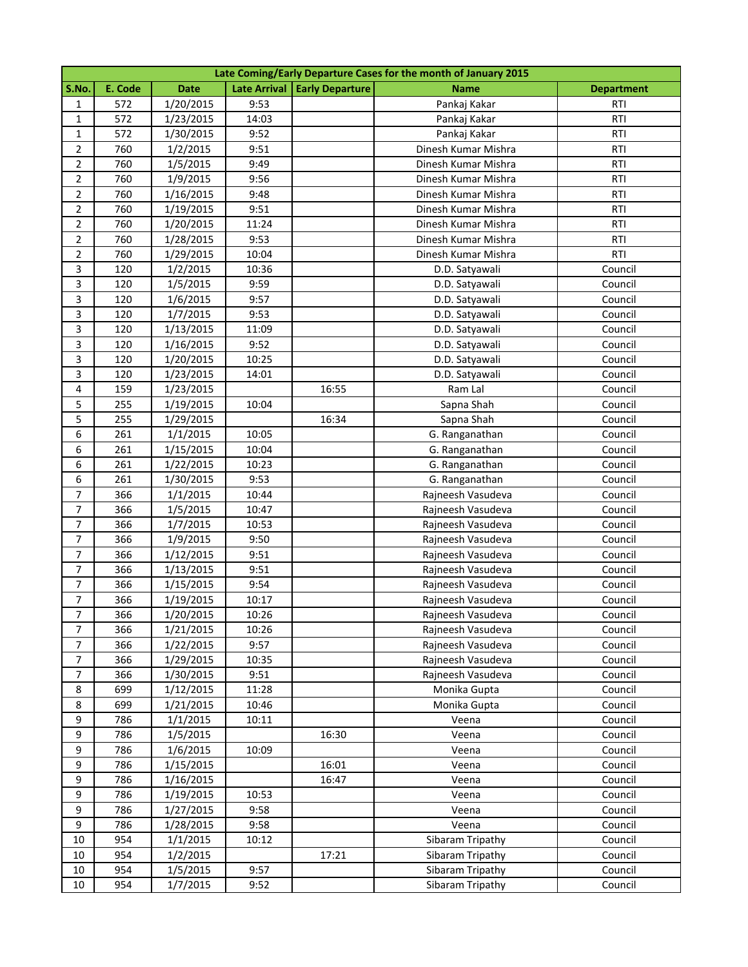|                         | Late Coming/Early Departure Cases for the month of January 2015 |             |       |                                |                     |                   |  |  |
|-------------------------|-----------------------------------------------------------------|-------------|-------|--------------------------------|---------------------|-------------------|--|--|
| S.No.                   | E. Code                                                         | <b>Date</b> |       | Late Arrival   Early Departure | <b>Name</b>         | <b>Department</b> |  |  |
| 1                       | 572                                                             | 1/20/2015   | 9:53  |                                | Pankaj Kakar        | RTI               |  |  |
| 1                       | 572                                                             | 1/23/2015   | 14:03 |                                | Pankaj Kakar        | <b>RTI</b>        |  |  |
| 1                       | 572                                                             | 1/30/2015   | 9:52  |                                | Pankaj Kakar        | RTI               |  |  |
| $\overline{2}$          | 760                                                             | 1/2/2015    | 9:51  |                                | Dinesh Kumar Mishra | <b>RTI</b>        |  |  |
| $\overline{2}$          | 760                                                             | 1/5/2015    | 9:49  |                                | Dinesh Kumar Mishra | <b>RTI</b>        |  |  |
| $\overline{2}$          | 760                                                             | 1/9/2015    | 9:56  |                                | Dinesh Kumar Mishra | <b>RTI</b>        |  |  |
| $\overline{2}$          | 760                                                             | 1/16/2015   | 9:48  |                                | Dinesh Kumar Mishra | <b>RTI</b>        |  |  |
| $\overline{2}$          | 760                                                             | 1/19/2015   | 9:51  |                                | Dinesh Kumar Mishra | <b>RTI</b>        |  |  |
| $\overline{2}$          | 760                                                             | 1/20/2015   | 11:24 |                                | Dinesh Kumar Mishra | <b>RTI</b>        |  |  |
| $\overline{2}$          | 760                                                             | 1/28/2015   | 9:53  |                                | Dinesh Kumar Mishra | <b>RTI</b>        |  |  |
| $\overline{2}$          | 760                                                             | 1/29/2015   | 10:04 |                                | Dinesh Kumar Mishra | RTI               |  |  |
| $\overline{\mathbf{3}}$ | 120                                                             | 1/2/2015    | 10:36 |                                | D.D. Satyawali      | Council           |  |  |
| $\overline{3}$          | 120                                                             | 1/5/2015    | 9:59  |                                | D.D. Satyawali      | Council           |  |  |
| 3                       | 120                                                             | 1/6/2015    | 9:57  |                                | D.D. Satyawali      | Council           |  |  |
| 3                       | 120                                                             | 1/7/2015    | 9:53  |                                | D.D. Satyawali      | Council           |  |  |
| 3                       | 120                                                             | 1/13/2015   | 11:09 |                                | D.D. Satyawali      | Council           |  |  |
| $\overline{3}$          | 120                                                             | 1/16/2015   | 9:52  |                                | D.D. Satyawali      | Council           |  |  |
| 3                       | 120                                                             | 1/20/2015   | 10:25 |                                | D.D. Satyawali      | Council           |  |  |
| $\overline{\mathbf{3}}$ | 120                                                             | 1/23/2015   | 14:01 |                                | D.D. Satyawali      | Council           |  |  |
| $\overline{4}$          | 159                                                             | 1/23/2015   |       | 16:55                          | Ram Lal             | Council           |  |  |
| 5                       | 255                                                             | 1/19/2015   | 10:04 |                                | Sapna Shah          | Council           |  |  |
| 5                       | 255                                                             | 1/29/2015   |       | 16:34                          | Sapna Shah          | Council           |  |  |
| 6                       | 261                                                             | 1/1/2015    | 10:05 |                                | G. Ranganathan      | Council           |  |  |
| 6                       | 261                                                             | 1/15/2015   | 10:04 |                                | G. Ranganathan      | Council           |  |  |
| 6                       | 261                                                             | 1/22/2015   | 10:23 |                                | G. Ranganathan      | Council           |  |  |
| 6                       | 261                                                             | 1/30/2015   | 9:53  |                                | G. Ranganathan      | Council           |  |  |
| $\overline{7}$          | 366                                                             | 1/1/2015    | 10:44 |                                | Rajneesh Vasudeva   | Council           |  |  |
| $\overline{7}$          | 366                                                             | 1/5/2015    | 10:47 |                                | Rajneesh Vasudeva   | Council           |  |  |
| $\overline{7}$          | 366                                                             | 1/7/2015    | 10:53 |                                | Rajneesh Vasudeva   | Council           |  |  |
| $\overline{7}$          | 366                                                             | 1/9/2015    | 9:50  |                                | Rajneesh Vasudeva   | Council           |  |  |
| $\overline{7}$          | 366                                                             | 1/12/2015   | 9:51  |                                | Rajneesh Vasudeva   | Council           |  |  |
| $\overline{7}$          | 366                                                             | 1/13/2015   | 9:51  |                                | Rajneesh Vasudeva   | Council           |  |  |
| $\overline{7}$          | 366                                                             | 1/15/2015   | 9:54  |                                | Rajneesh Vasudeva   | Council           |  |  |
| 7                       | 366                                                             | 1/19/2015   | 10:17 |                                | Rajneesh Vasudeva   | Council           |  |  |
| $\overline{7}$          | 366                                                             | 1/20/2015   | 10:26 |                                | Rajneesh Vasudeva   | Council           |  |  |
| $\overline{7}$          | 366                                                             | 1/21/2015   | 10:26 |                                | Rajneesh Vasudeva   | Council           |  |  |
| $\overline{7}$          | 366                                                             | 1/22/2015   | 9:57  |                                | Rajneesh Vasudeva   | Council           |  |  |
| $\overline{7}$          | 366                                                             | 1/29/2015   | 10:35 |                                | Rajneesh Vasudeva   | Council           |  |  |
| $\overline{7}$          | 366                                                             | 1/30/2015   | 9:51  |                                | Rajneesh Vasudeva   | Council           |  |  |
| 8                       | 699                                                             | 1/12/2015   | 11:28 |                                | Monika Gupta        | Council           |  |  |
| 8                       | 699                                                             | 1/21/2015   | 10:46 |                                | Monika Gupta        | Council           |  |  |
| 9                       | 786                                                             | 1/1/2015    | 10:11 |                                | Veena               | Council           |  |  |
| 9                       | 786                                                             | 1/5/2015    |       | 16:30                          | Veena               | Council           |  |  |
| 9                       | 786                                                             | 1/6/2015    | 10:09 |                                | Veena               | Council           |  |  |
| 9                       | 786                                                             | 1/15/2015   |       | 16:01                          | Veena               | Council           |  |  |
| 9                       | 786                                                             | 1/16/2015   |       | 16:47                          | Veena               | Council           |  |  |
| 9                       | 786                                                             | 1/19/2015   | 10:53 |                                | Veena               | Council           |  |  |
| 9                       | 786                                                             | 1/27/2015   | 9:58  |                                | Veena               | Council           |  |  |
| 9                       | 786                                                             | 1/28/2015   | 9:58  |                                | Veena               | Council           |  |  |
| 10                      | 954                                                             | 1/1/2015    | 10:12 |                                | Sibaram Tripathy    | Council           |  |  |
| 10                      | 954                                                             | 1/2/2015    |       | 17:21                          | Sibaram Tripathy    | Council           |  |  |
| 10                      | 954                                                             | 1/5/2015    | 9:57  |                                | Sibaram Tripathy    | Council           |  |  |
| 10                      | 954                                                             | 1/7/2015    | 9:52  |                                | Sibaram Tripathy    | Council           |  |  |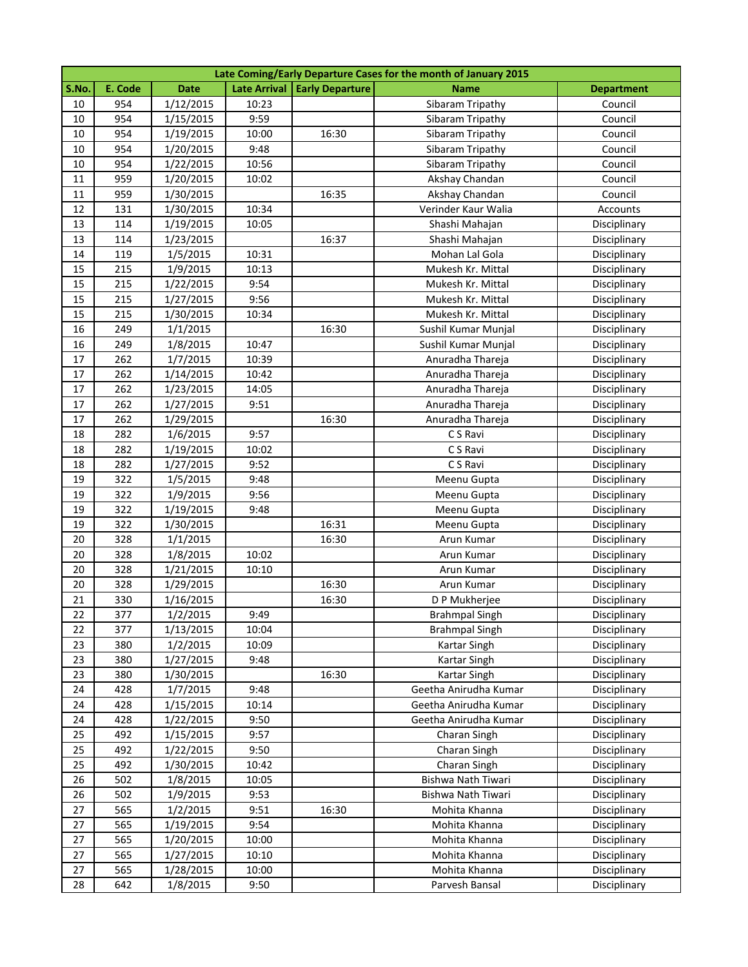|       | Late Coming/Early Departure Cases for the month of January 2015 |             |       |                                |                       |                   |  |  |
|-------|-----------------------------------------------------------------|-------------|-------|--------------------------------|-----------------------|-------------------|--|--|
| S.No. | E. Code                                                         | <b>Date</b> |       | Late Arrival   Early Departure | Name                  | <b>Department</b> |  |  |
| 10    | 954                                                             | 1/12/2015   | 10:23 |                                | Sibaram Tripathy      | Council           |  |  |
| 10    | 954                                                             | 1/15/2015   | 9:59  |                                | Sibaram Tripathy      | Council           |  |  |
| 10    | 954                                                             | 1/19/2015   | 10:00 | 16:30                          | Sibaram Tripathy      | Council           |  |  |
| 10    | 954                                                             | 1/20/2015   | 9:48  |                                | Sibaram Tripathy      | Council           |  |  |
| 10    | 954                                                             | 1/22/2015   | 10:56 |                                | Sibaram Tripathy      | Council           |  |  |
| 11    | 959                                                             | 1/20/2015   | 10:02 |                                | Akshay Chandan        | Council           |  |  |
| 11    | 959                                                             | 1/30/2015   |       | 16:35                          | Akshay Chandan        | Council           |  |  |
| 12    | 131                                                             | 1/30/2015   | 10:34 |                                | Verinder Kaur Walia   | Accounts          |  |  |
| 13    | 114                                                             | 1/19/2015   | 10:05 |                                | Shashi Mahajan        | Disciplinary      |  |  |
| 13    | 114                                                             | 1/23/2015   |       | 16:37                          | Shashi Mahajan        | Disciplinary      |  |  |
| 14    | 119                                                             | 1/5/2015    | 10:31 |                                | Mohan Lal Gola        | Disciplinary      |  |  |
| 15    | 215                                                             | 1/9/2015    | 10:13 |                                | Mukesh Kr. Mittal     | Disciplinary      |  |  |
| 15    | 215                                                             | 1/22/2015   | 9:54  |                                | Mukesh Kr. Mittal     | Disciplinary      |  |  |
| 15    | 215                                                             | 1/27/2015   | 9:56  |                                | Mukesh Kr. Mittal     | Disciplinary      |  |  |
| 15    | 215                                                             | 1/30/2015   | 10:34 |                                | Mukesh Kr. Mittal     | Disciplinary      |  |  |
| 16    | 249                                                             | 1/1/2015    |       | 16:30                          | Sushil Kumar Munjal   | Disciplinary      |  |  |
| 16    | 249                                                             | 1/8/2015    | 10:47 |                                | Sushil Kumar Munjal   | Disciplinary      |  |  |
| 17    | 262                                                             | 1/7/2015    | 10:39 |                                | Anuradha Thareja      | Disciplinary      |  |  |
| 17    | 262                                                             | 1/14/2015   | 10:42 |                                | Anuradha Thareja      | Disciplinary      |  |  |
| 17    | 262                                                             | 1/23/2015   | 14:05 |                                | Anuradha Thareja      | Disciplinary      |  |  |
| 17    | 262                                                             | 1/27/2015   | 9:51  |                                | Anuradha Thareja      | Disciplinary      |  |  |
| 17    | 262                                                             | 1/29/2015   |       | 16:30                          | Anuradha Thareja      | Disciplinary      |  |  |
| 18    | 282                                                             | 1/6/2015    | 9:57  |                                | C S Ravi              | Disciplinary      |  |  |
| 18    | 282                                                             | 1/19/2015   | 10:02 |                                | C S Ravi              | Disciplinary      |  |  |
| 18    | 282                                                             | 1/27/2015   | 9:52  |                                | C S Ravi              | Disciplinary      |  |  |
| 19    | 322                                                             | 1/5/2015    | 9:48  |                                | Meenu Gupta           | Disciplinary      |  |  |
| 19    | 322                                                             | 1/9/2015    | 9:56  |                                | Meenu Gupta           | Disciplinary      |  |  |
| 19    | 322                                                             | 1/19/2015   | 9:48  |                                | Meenu Gupta           | Disciplinary      |  |  |
| 19    | 322                                                             | 1/30/2015   |       | 16:31                          | Meenu Gupta           | Disciplinary      |  |  |
| 20    | 328                                                             | 1/1/2015    |       | 16:30                          | Arun Kumar            | Disciplinary      |  |  |
| 20    | 328                                                             | 1/8/2015    | 10:02 |                                | Arun Kumar            | Disciplinary      |  |  |
| 20    | 328                                                             | 1/21/2015   | 10:10 |                                | Arun Kumar            | Disciplinary      |  |  |
| 20    | 328                                                             | 1/29/2015   |       | 16:30                          | Arun Kumar            | Disciplinary      |  |  |
| 21    | 330                                                             | 1/16/2015   |       | 16:30                          | D P Mukherjee         | Disciplinary      |  |  |
| 22    | 377                                                             | 1/2/2015    | 9:49  |                                | <b>Brahmpal Singh</b> | Disciplinary      |  |  |
| 22    | 377                                                             | 1/13/2015   | 10:04 |                                | <b>Brahmpal Singh</b> | Disciplinary      |  |  |
| 23    | 380                                                             | 1/2/2015    | 10:09 |                                | Kartar Singh          | Disciplinary      |  |  |
| 23    | 380                                                             | 1/27/2015   | 9:48  |                                | Kartar Singh          | Disciplinary      |  |  |
| 23    | 380                                                             | 1/30/2015   |       | 16:30                          | Kartar Singh          | Disciplinary      |  |  |
| 24    | 428                                                             | 1/7/2015    | 9:48  |                                | Geetha Anirudha Kumar | Disciplinary      |  |  |
| 24    | 428                                                             | 1/15/2015   | 10:14 |                                | Geetha Anirudha Kumar | Disciplinary      |  |  |
| 24    | 428                                                             | 1/22/2015   | 9:50  |                                | Geetha Anirudha Kumar | Disciplinary      |  |  |
| 25    | 492                                                             | 1/15/2015   | 9:57  |                                | Charan Singh          | Disciplinary      |  |  |
| 25    | 492                                                             | 1/22/2015   | 9:50  |                                | Charan Singh          | Disciplinary      |  |  |
| 25    | 492                                                             | 1/30/2015   | 10:42 |                                | Charan Singh          | Disciplinary      |  |  |
| 26    | 502                                                             | 1/8/2015    | 10:05 |                                | Bishwa Nath Tiwari    | Disciplinary      |  |  |
| 26    | 502                                                             | 1/9/2015    | 9:53  |                                | Bishwa Nath Tiwari    | Disciplinary      |  |  |
| 27    | 565                                                             | 1/2/2015    | 9:51  | 16:30                          | Mohita Khanna         | Disciplinary      |  |  |
| 27    | 565                                                             | 1/19/2015   | 9:54  |                                | Mohita Khanna         | Disciplinary      |  |  |
| 27    | 565                                                             | 1/20/2015   | 10:00 |                                | Mohita Khanna         | Disciplinary      |  |  |
| 27    | 565                                                             | 1/27/2015   | 10:10 |                                | Mohita Khanna         | Disciplinary      |  |  |
| 27    | 565                                                             | 1/28/2015   | 10:00 |                                | Mohita Khanna         | Disciplinary      |  |  |
| 28    | 642                                                             | 1/8/2015    | 9:50  |                                | Parvesh Bansal        | Disciplinary      |  |  |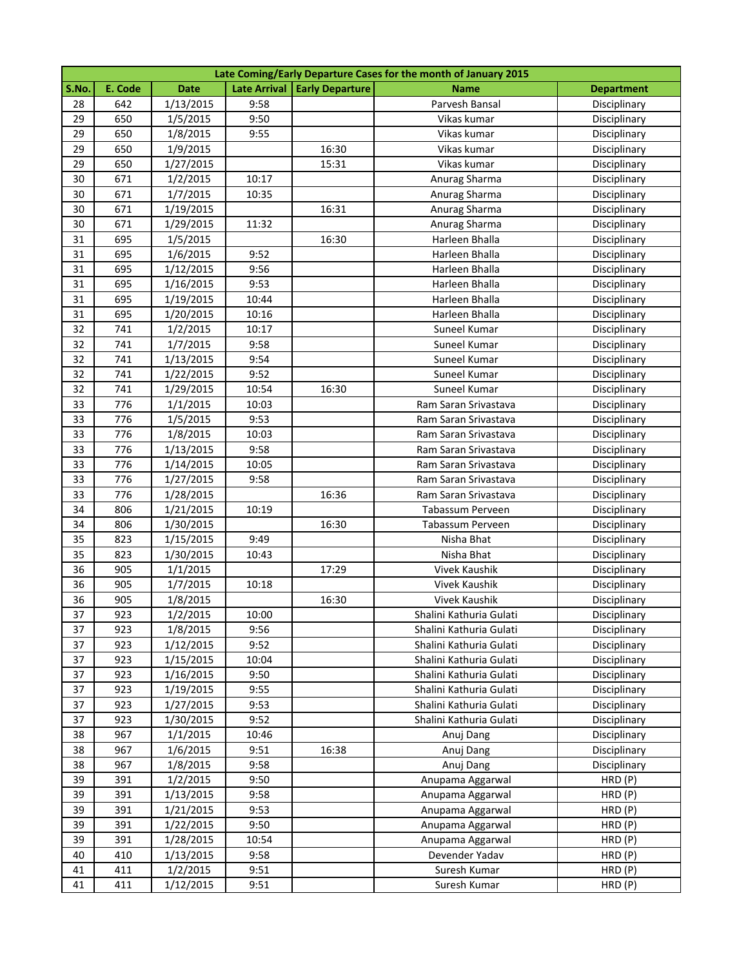|       | Late Coming/Early Departure Cases for the month of January 2015 |             |       |                                |                         |                   |  |  |
|-------|-----------------------------------------------------------------|-------------|-------|--------------------------------|-------------------------|-------------------|--|--|
| S.No. | E. Code                                                         | <b>Date</b> |       | Late Arrival   Early Departure | <b>Name</b>             | <b>Department</b> |  |  |
| 28    | 642                                                             | 1/13/2015   | 9:58  |                                | Parvesh Bansal          | Disciplinary      |  |  |
| 29    | 650                                                             | 1/5/2015    | 9:50  |                                | Vikas kumar             | Disciplinary      |  |  |
| 29    | 650                                                             | 1/8/2015    | 9:55  |                                | Vikas kumar             | Disciplinary      |  |  |
| 29    | 650                                                             | 1/9/2015    |       | 16:30                          | Vikas kumar             | Disciplinary      |  |  |
| 29    | 650                                                             | 1/27/2015   |       | 15:31                          | Vikas kumar             | Disciplinary      |  |  |
| 30    | 671                                                             | 1/2/2015    | 10:17 |                                | Anurag Sharma           | Disciplinary      |  |  |
| 30    | 671                                                             | 1/7/2015    | 10:35 |                                | Anurag Sharma           | Disciplinary      |  |  |
| 30    | 671                                                             | 1/19/2015   |       | 16:31                          | Anurag Sharma           | Disciplinary      |  |  |
| 30    | 671                                                             | 1/29/2015   | 11:32 |                                | Anurag Sharma           | Disciplinary      |  |  |
| 31    | 695                                                             | 1/5/2015    |       | 16:30                          | Harleen Bhalla          | Disciplinary      |  |  |
| 31    | 695                                                             | 1/6/2015    | 9:52  |                                | Harleen Bhalla          | Disciplinary      |  |  |
| 31    | 695                                                             | 1/12/2015   | 9:56  |                                | Harleen Bhalla          | Disciplinary      |  |  |
| 31    | 695                                                             | 1/16/2015   | 9:53  |                                | Harleen Bhalla          | Disciplinary      |  |  |
| 31    | 695                                                             | 1/19/2015   | 10:44 |                                | Harleen Bhalla          | Disciplinary      |  |  |
| 31    | 695                                                             | 1/20/2015   | 10:16 |                                | Harleen Bhalla          | Disciplinary      |  |  |
| 32    | 741                                                             | 1/2/2015    | 10:17 |                                | Suneel Kumar            | Disciplinary      |  |  |
| 32    | 741                                                             | 1/7/2015    | 9:58  |                                | Suneel Kumar            | Disciplinary      |  |  |
| 32    | 741                                                             | 1/13/2015   | 9:54  |                                | Suneel Kumar            | Disciplinary      |  |  |
| 32    | 741                                                             | 1/22/2015   | 9:52  |                                | Suneel Kumar            | Disciplinary      |  |  |
| 32    | 741                                                             | 1/29/2015   | 10:54 | 16:30                          | Suneel Kumar            | Disciplinary      |  |  |
| 33    | 776                                                             | 1/1/2015    | 10:03 |                                | Ram Saran Srivastava    | Disciplinary      |  |  |
| 33    | 776                                                             | 1/5/2015    | 9:53  |                                | Ram Saran Srivastava    | Disciplinary      |  |  |
| 33    | 776                                                             | 1/8/2015    | 10:03 |                                | Ram Saran Srivastava    | Disciplinary      |  |  |
| 33    | 776                                                             | 1/13/2015   | 9:58  |                                | Ram Saran Srivastava    | Disciplinary      |  |  |
| 33    | 776                                                             | 1/14/2015   | 10:05 |                                | Ram Saran Srivastava    | Disciplinary      |  |  |
| 33    | 776                                                             | 1/27/2015   | 9:58  |                                | Ram Saran Srivastava    | Disciplinary      |  |  |
| 33    | 776                                                             | 1/28/2015   |       | 16:36                          | Ram Saran Srivastava    | Disciplinary      |  |  |
| 34    | 806                                                             | 1/21/2015   | 10:19 |                                | Tabassum Perveen        | Disciplinary      |  |  |
| 34    | 806                                                             | 1/30/2015   |       | 16:30                          | Tabassum Perveen        | Disciplinary      |  |  |
| 35    | 823                                                             | 1/15/2015   | 9:49  |                                | Nisha Bhat              | Disciplinary      |  |  |
| 35    | 823                                                             | 1/30/2015   | 10:43 |                                | Nisha Bhat              | Disciplinary      |  |  |
| 36    | 905                                                             | 1/1/2015    |       | 17:29                          | Vivek Kaushik           | Disciplinary      |  |  |
| 36    | 905                                                             | 1/7/2015    | 10:18 |                                | Vivek Kaushik           | Disciplinary      |  |  |
| 36    | 905                                                             | 1/8/2015    |       | 16:30                          | Vivek Kaushik           | Disciplinary      |  |  |
| 37    | 923                                                             | 1/2/2015    | 10:00 |                                | Shalini Kathuria Gulati | Disciplinary      |  |  |
| 37    | 923                                                             | 1/8/2015    | 9:56  |                                | Shalini Kathuria Gulati | Disciplinary      |  |  |
| 37    | 923                                                             | 1/12/2015   | 9:52  |                                | Shalini Kathuria Gulati | Disciplinary      |  |  |
| 37    | 923                                                             | 1/15/2015   | 10:04 |                                | Shalini Kathuria Gulati | Disciplinary      |  |  |
| 37    | 923                                                             | 1/16/2015   | 9:50  |                                | Shalini Kathuria Gulati | Disciplinary      |  |  |
| 37    | 923                                                             | 1/19/2015   | 9:55  |                                | Shalini Kathuria Gulati | Disciplinary      |  |  |
| 37    | 923                                                             | 1/27/2015   | 9:53  |                                | Shalini Kathuria Gulati | Disciplinary      |  |  |
| 37    | 923                                                             | 1/30/2015   | 9:52  |                                | Shalini Kathuria Gulati | Disciplinary      |  |  |
| 38    | 967                                                             | 1/1/2015    | 10:46 |                                | Anuj Dang               | Disciplinary      |  |  |
| 38    | 967                                                             | 1/6/2015    | 9:51  | 16:38                          | Anuj Dang               | Disciplinary      |  |  |
| 38    | 967                                                             | 1/8/2015    | 9:58  |                                | Anuj Dang               | Disciplinary      |  |  |
| 39    | 391                                                             | 1/2/2015    | 9:50  |                                | Anupama Aggarwal        | HRD (P)           |  |  |
| 39    | 391                                                             | 1/13/2015   | 9:58  |                                | Anupama Aggarwal        | HRD (P)           |  |  |
| 39    | 391                                                             | 1/21/2015   | 9:53  |                                | Anupama Aggarwal        | HRD (P)           |  |  |
| 39    | 391                                                             | 1/22/2015   | 9:50  |                                | Anupama Aggarwal        | HRD (P)           |  |  |
| 39    | 391                                                             | 1/28/2015   | 10:54 |                                | Anupama Aggarwal        | HRD (P)           |  |  |
| 40    | 410                                                             | 1/13/2015   | 9:58  |                                | Devender Yadav          | HRD (P)           |  |  |
| 41    | 411                                                             | 1/2/2015    | 9:51  |                                | Suresh Kumar            | HRD (P)           |  |  |
| 41    | 411                                                             | 1/12/2015   | 9:51  |                                | Suresh Kumar            | HRD (P)           |  |  |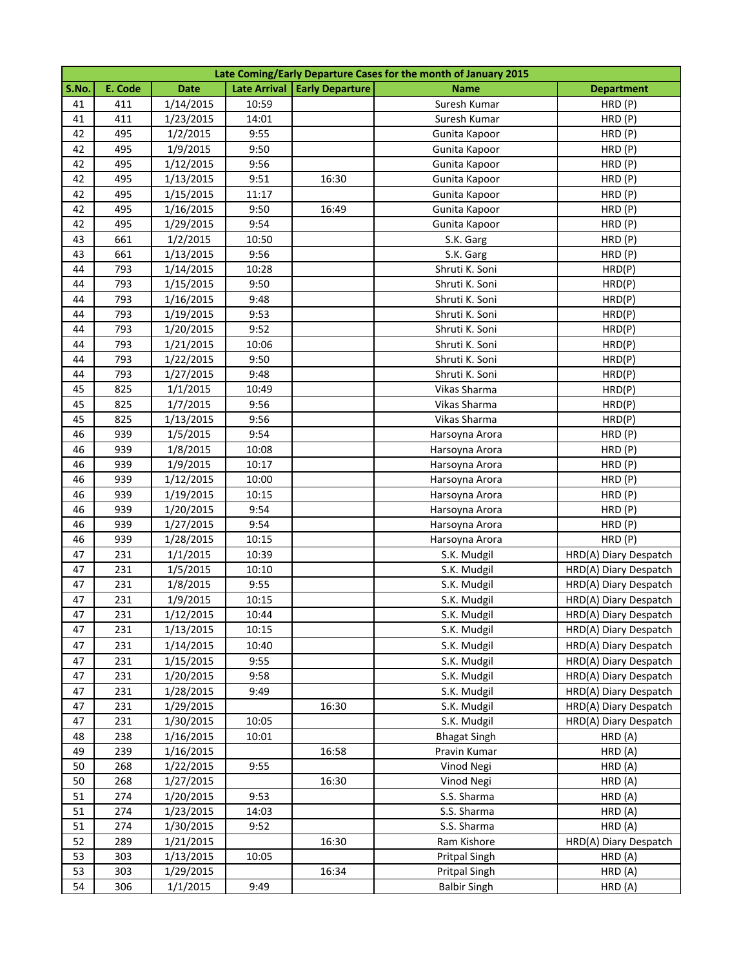|       | Late Coming/Early Departure Cases for the month of January 2015 |             |       |                                |                     |                       |  |  |
|-------|-----------------------------------------------------------------|-------------|-------|--------------------------------|---------------------|-----------------------|--|--|
| S.No. | E. Code                                                         | <b>Date</b> |       | Late Arrival   Early Departure | <b>Name</b>         | <b>Department</b>     |  |  |
| 41    | 411                                                             | 1/14/2015   | 10:59 |                                | Suresh Kumar        | HRD (P)               |  |  |
| 41    | 411                                                             | 1/23/2015   | 14:01 |                                | Suresh Kumar        | HRD (P)               |  |  |
| 42    | 495                                                             | 1/2/2015    | 9:55  |                                | Gunita Kapoor       | HRD (P)               |  |  |
| 42    | 495                                                             | 1/9/2015    | 9:50  |                                | Gunita Kapoor       | HRD (P)               |  |  |
| 42    | 495                                                             | 1/12/2015   | 9:56  |                                | Gunita Kapoor       | HRD (P)               |  |  |
| 42    | 495                                                             | 1/13/2015   | 9:51  | 16:30                          | Gunita Kapoor       | HRD (P)               |  |  |
| 42    | 495                                                             | 1/15/2015   | 11:17 |                                | Gunita Kapoor       | HRD (P)               |  |  |
| 42    | 495                                                             | 1/16/2015   | 9:50  | 16:49                          | Gunita Kapoor       | HRD (P)               |  |  |
| 42    | 495                                                             | 1/29/2015   | 9:54  |                                | Gunita Kapoor       | HRD (P)               |  |  |
| 43    | 661                                                             | 1/2/2015    | 10:50 |                                | S.K. Garg           | HRD (P)               |  |  |
| 43    | 661                                                             | 1/13/2015   | 9:56  |                                | S.K. Garg           | HRD (P)               |  |  |
| 44    | 793                                                             | 1/14/2015   | 10:28 |                                | Shruti K. Soni      | HRD(P)                |  |  |
| 44    | 793                                                             | 1/15/2015   | 9:50  |                                | Shruti K. Soni      | HRD(P)                |  |  |
| 44    | 793                                                             | 1/16/2015   | 9:48  |                                | Shruti K. Soni      | HRD(P)                |  |  |
| 44    | 793                                                             | 1/19/2015   | 9:53  |                                | Shruti K. Soni      | HRD(P)                |  |  |
| 44    | 793                                                             | 1/20/2015   | 9:52  |                                | Shruti K. Soni      | HRD(P)                |  |  |
| 44    | 793                                                             | 1/21/2015   | 10:06 |                                | Shruti K. Soni      | HRD(P)                |  |  |
| 44    | 793                                                             | 1/22/2015   | 9:50  |                                | Shruti K. Soni      | HRD(P)                |  |  |
| 44    | 793                                                             | 1/27/2015   | 9:48  |                                | Shruti K. Soni      | HRD(P)                |  |  |
| 45    | 825                                                             | 1/1/2015    | 10:49 |                                | Vikas Sharma        | HRD(P)                |  |  |
| 45    | 825                                                             | 1/7/2015    | 9:56  |                                | Vikas Sharma        | HRD(P)                |  |  |
| 45    | 825                                                             | 1/13/2015   | 9:56  |                                | Vikas Sharma        | HRD(P)                |  |  |
| 46    | 939                                                             | 1/5/2015    | 9:54  |                                | Harsoyna Arora      | HRD (P)               |  |  |
| 46    | 939                                                             | 1/8/2015    | 10:08 |                                | Harsoyna Arora      | HRD (P)               |  |  |
| 46    | 939                                                             | 1/9/2015    | 10:17 |                                | Harsoyna Arora      | HRD (P)               |  |  |
| 46    | 939                                                             | 1/12/2015   | 10:00 |                                | Harsoyna Arora      | HRD (P)               |  |  |
| 46    | 939                                                             | 1/19/2015   | 10:15 |                                | Harsoyna Arora      | HRD (P)               |  |  |
| 46    | 939                                                             | 1/20/2015   | 9:54  |                                | Harsoyna Arora      | HRD (P)               |  |  |
| 46    | 939                                                             | 1/27/2015   | 9:54  |                                | Harsoyna Arora      | HRD (P)               |  |  |
| 46    | 939                                                             | 1/28/2015   | 10:15 |                                | Harsoyna Arora      | HRD (P)               |  |  |
| 47    | 231                                                             | 1/1/2015    | 10:39 |                                | S.K. Mudgil         | HRD(A) Diary Despatch |  |  |
| 47    | 231                                                             | 1/5/2015    | 10:10 |                                | S.K. Mudgil         | HRD(A) Diary Despatch |  |  |
| 47    | 231                                                             | 1/8/2015    | 9:55  |                                | S.K. Mudgil         | HRD(A) Diary Despatch |  |  |
| 47    | 231                                                             | 1/9/2015    | 10:15 |                                | S.K. Mudgil         | HRD(A) Diary Despatch |  |  |
| 47    | 231                                                             | 1/12/2015   | 10:44 |                                | S.K. Mudgil         | HRD(A) Diary Despatch |  |  |
| 47    | 231                                                             | 1/13/2015   | 10:15 |                                | S.K. Mudgil         | HRD(A) Diary Despatch |  |  |
| 47    | 231                                                             | 1/14/2015   | 10:40 |                                | S.K. Mudgil         | HRD(A) Diary Despatch |  |  |
| 47    | 231                                                             | 1/15/2015   | 9:55  |                                | S.K. Mudgil         | HRD(A) Diary Despatch |  |  |
| 47    | 231                                                             | 1/20/2015   | 9:58  |                                | S.K. Mudgil         | HRD(A) Diary Despatch |  |  |
| 47    | 231                                                             | 1/28/2015   | 9:49  |                                | S.K. Mudgil         | HRD(A) Diary Despatch |  |  |
| 47    | 231                                                             | 1/29/2015   |       | 16:30                          | S.K. Mudgil         | HRD(A) Diary Despatch |  |  |
| 47    | 231                                                             | 1/30/2015   | 10:05 |                                | S.K. Mudgil         | HRD(A) Diary Despatch |  |  |
| 48    | 238                                                             | 1/16/2015   | 10:01 |                                | <b>Bhagat Singh</b> | HRD (A)               |  |  |
| 49    | 239                                                             | 1/16/2015   |       | 16:58                          | Pravin Kumar        | HRD (A)               |  |  |
| 50    | 268                                                             | 1/22/2015   | 9:55  |                                | Vinod Negi          | HRD (A)               |  |  |
| 50    | 268                                                             | 1/27/2015   |       | 16:30                          | Vinod Negi          | HRD (A)               |  |  |
| 51    | 274                                                             | 1/20/2015   | 9:53  |                                | S.S. Sharma         | HRD (A)               |  |  |
| 51    | 274                                                             | 1/23/2015   | 14:03 |                                | S.S. Sharma         | HRD (A)               |  |  |
| 51    | 274                                                             | 1/30/2015   | 9:52  |                                | S.S. Sharma         | HRD (A)               |  |  |
| 52    | 289                                                             | 1/21/2015   |       | 16:30                          | Ram Kishore         | HRD(A) Diary Despatch |  |  |
| 53    | 303                                                             | 1/13/2015   | 10:05 |                                | Pritpal Singh       | HRD (A)               |  |  |
| 53    | 303                                                             | 1/29/2015   |       | 16:34                          | Pritpal Singh       | HRD (A)               |  |  |
| 54    | 306                                                             | 1/1/2015    | 9:49  |                                | <b>Balbir Singh</b> | HRD (A)               |  |  |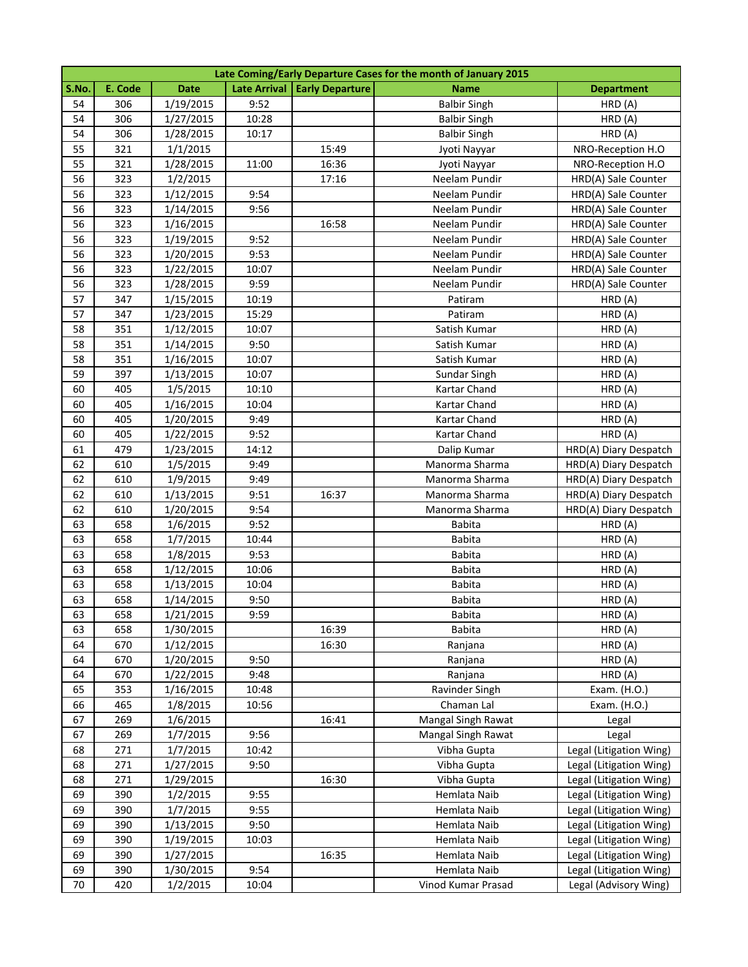|       | Late Coming/Early Departure Cases for the month of January 2015 |             |       |                                |                     |                         |  |  |
|-------|-----------------------------------------------------------------|-------------|-------|--------------------------------|---------------------|-------------------------|--|--|
| S.No. | E. Code                                                         | <b>Date</b> |       | Late Arrival   Early Departure | <b>Name</b>         | <b>Department</b>       |  |  |
| 54    | 306                                                             | 1/19/2015   | 9:52  |                                | <b>Balbir Singh</b> | HRD(A)                  |  |  |
| 54    | 306                                                             | 1/27/2015   | 10:28 |                                | <b>Balbir Singh</b> | HRD (A)                 |  |  |
| 54    | 306                                                             | 1/28/2015   | 10:17 |                                | <b>Balbir Singh</b> | HRD (A)                 |  |  |
| 55    | 321                                                             | 1/1/2015    |       | 15:49                          | Jyoti Nayyar        | NRO-Reception H.O       |  |  |
| 55    | 321                                                             | 1/28/2015   | 11:00 | 16:36                          | Jyoti Nayyar        | NRO-Reception H.O       |  |  |
| 56    | 323                                                             | 1/2/2015    |       | 17:16                          | Neelam Pundir       | HRD(A) Sale Counter     |  |  |
| 56    | 323                                                             | 1/12/2015   | 9:54  |                                | Neelam Pundir       | HRD(A) Sale Counter     |  |  |
| 56    | 323                                                             | 1/14/2015   | 9:56  |                                | Neelam Pundir       | HRD(A) Sale Counter     |  |  |
| 56    | 323                                                             | 1/16/2015   |       | 16:58                          | Neelam Pundir       | HRD(A) Sale Counter     |  |  |
| 56    | 323                                                             | 1/19/2015   | 9:52  |                                | Neelam Pundir       | HRD(A) Sale Counter     |  |  |
| 56    | 323                                                             | 1/20/2015   | 9:53  |                                | Neelam Pundir       | HRD(A) Sale Counter     |  |  |
| 56    | 323                                                             | 1/22/2015   | 10:07 |                                | Neelam Pundir       | HRD(A) Sale Counter     |  |  |
| 56    | 323                                                             | 1/28/2015   | 9:59  |                                | Neelam Pundir       | HRD(A) Sale Counter     |  |  |
| 57    | 347                                                             | 1/15/2015   | 10:19 |                                | Patiram             | HRD (A)                 |  |  |
| 57    | 347                                                             | 1/23/2015   | 15:29 |                                | Patiram             | HRD (A)                 |  |  |
| 58    | 351                                                             | 1/12/2015   | 10:07 |                                | Satish Kumar        | HRD (A)                 |  |  |
| 58    | 351                                                             | 1/14/2015   | 9:50  |                                | Satish Kumar        | HRD (A)                 |  |  |
| 58    | 351                                                             | 1/16/2015   | 10:07 |                                | Satish Kumar        | HRD (A)                 |  |  |
| 59    | 397                                                             | 1/13/2015   | 10:07 |                                | Sundar Singh        | HRD (A)                 |  |  |
| 60    | 405                                                             | 1/5/2015    | 10:10 |                                | Kartar Chand        | HRD (A)                 |  |  |
| 60    | 405                                                             | 1/16/2015   | 10:04 |                                | Kartar Chand        | HRD (A)                 |  |  |
| 60    | 405                                                             | 1/20/2015   | 9:49  |                                | Kartar Chand        | HRD (A)                 |  |  |
| 60    | 405                                                             | 1/22/2015   | 9:52  |                                | Kartar Chand        | HRD(A)                  |  |  |
| 61    | 479                                                             | 1/23/2015   | 14:12 |                                | Dalip Kumar         | HRD(A) Diary Despatch   |  |  |
| 62    | 610                                                             | 1/5/2015    | 9:49  |                                | Manorma Sharma      | HRD(A) Diary Despatch   |  |  |
| 62    | 610                                                             | 1/9/2015    | 9:49  |                                | Manorma Sharma      | HRD(A) Diary Despatch   |  |  |
| 62    | 610                                                             | 1/13/2015   | 9:51  | 16:37                          | Manorma Sharma      | HRD(A) Diary Despatch   |  |  |
| 62    | 610                                                             | 1/20/2015   | 9:54  |                                | Manorma Sharma      | HRD(A) Diary Despatch   |  |  |
| 63    | 658                                                             | 1/6/2015    | 9:52  |                                | <b>Babita</b>       | HRD (A)                 |  |  |
| 63    | 658                                                             | 1/7/2015    | 10:44 |                                | <b>Babita</b>       | HRD (A)                 |  |  |
| 63    | 658                                                             | 1/8/2015    | 9:53  |                                | <b>Babita</b>       | HRD (A)                 |  |  |
| 63    | 658                                                             | 1/12/2015   | 10:06 |                                | <b>Babita</b>       | HRD (A)                 |  |  |
| 63    | 658                                                             | 1/13/2015   | 10:04 |                                | <b>Babita</b>       | HRD (A)                 |  |  |
| 63    | 658                                                             | 1/14/2015   | 9:50  |                                | <b>Babita</b>       | HRD (A)                 |  |  |
| 63    | 658                                                             | 1/21/2015   | 9:59  |                                | <b>Babita</b>       | HRD (A)                 |  |  |
| 63    | 658                                                             | 1/30/2015   |       | 16:39                          | Babita              | HRD (A)                 |  |  |
| 64    | 670                                                             | 1/12/2015   |       | 16:30                          | Ranjana             | HRD (A)                 |  |  |
| 64    | 670                                                             | 1/20/2015   | 9:50  |                                | Ranjana             | HRD (A)                 |  |  |
| 64    | 670                                                             | 1/22/2015   | 9:48  |                                | Ranjana             | HRD (A)                 |  |  |
| 65    | 353                                                             | 1/16/2015   | 10:48 |                                | Ravinder Singh      | Exam. (H.O.)            |  |  |
| 66    | 465                                                             | 1/8/2015    | 10:56 |                                | Chaman Lal          | Exam. (H.O.)            |  |  |
| 67    | 269                                                             | 1/6/2015    |       | 16:41                          | Mangal Singh Rawat  | Legal                   |  |  |
| 67    | 269                                                             | 1/7/2015    | 9:56  |                                | Mangal Singh Rawat  | Legal                   |  |  |
| 68    | 271                                                             | 1/7/2015    | 10:42 |                                | Vibha Gupta         | Legal (Litigation Wing) |  |  |
| 68    | 271                                                             | 1/27/2015   | 9:50  |                                | Vibha Gupta         | Legal (Litigation Wing) |  |  |
| 68    | 271                                                             | 1/29/2015   |       | 16:30                          | Vibha Gupta         | Legal (Litigation Wing) |  |  |
| 69    | 390                                                             | 1/2/2015    | 9:55  |                                | Hemlata Naib        | Legal (Litigation Wing) |  |  |
| 69    | 390                                                             | 1/7/2015    | 9:55  |                                | Hemlata Naib        | Legal (Litigation Wing) |  |  |
| 69    | 390                                                             | 1/13/2015   | 9:50  |                                | Hemlata Naib        | Legal (Litigation Wing) |  |  |
| 69    | 390                                                             | 1/19/2015   | 10:03 |                                | Hemlata Naib        | Legal (Litigation Wing) |  |  |
| 69    | 390                                                             | 1/27/2015   |       | 16:35                          | Hemlata Naib        | Legal (Litigation Wing) |  |  |
| 69    | 390                                                             | 1/30/2015   | 9:54  |                                | Hemlata Naib        | Legal (Litigation Wing) |  |  |
| 70    | 420                                                             | 1/2/2015    | 10:04 |                                | Vinod Kumar Prasad  | Legal (Advisory Wing)   |  |  |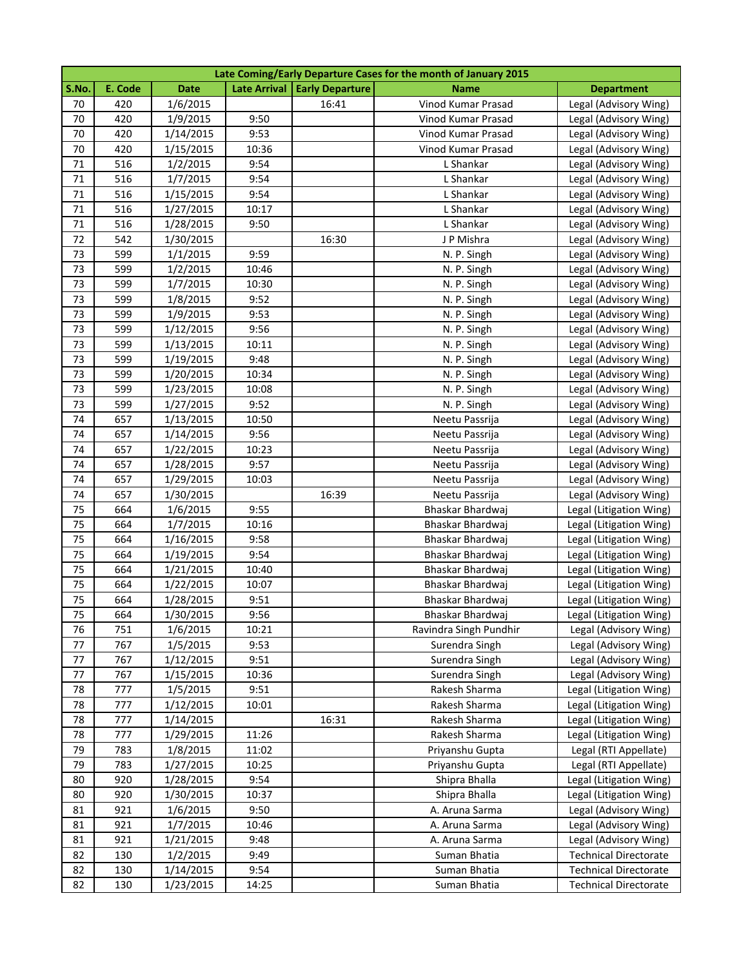|       | Late Coming/Early Departure Cases for the month of January 2015 |             |       |                                |                        |                              |  |  |
|-------|-----------------------------------------------------------------|-------------|-------|--------------------------------|------------------------|------------------------------|--|--|
| S.No. | E. Code                                                         | <b>Date</b> |       | Late Arrival   Early Departure | <b>Name</b>            | <b>Department</b>            |  |  |
| 70    | 420                                                             | 1/6/2015    |       | 16:41                          | Vinod Kumar Prasad     | Legal (Advisory Wing)        |  |  |
| 70    | 420                                                             | 1/9/2015    | 9:50  |                                | Vinod Kumar Prasad     | Legal (Advisory Wing)        |  |  |
| 70    | 420                                                             | 1/14/2015   | 9:53  |                                | Vinod Kumar Prasad     | Legal (Advisory Wing)        |  |  |
| 70    | 420                                                             | 1/15/2015   | 10:36 |                                | Vinod Kumar Prasad     | Legal (Advisory Wing)        |  |  |
| 71    | 516                                                             | 1/2/2015    | 9:54  |                                | L Shankar              | Legal (Advisory Wing)        |  |  |
| 71    | 516                                                             | 1/7/2015    | 9:54  |                                | L Shankar              | Legal (Advisory Wing)        |  |  |
| 71    | 516                                                             | 1/15/2015   | 9:54  |                                | L Shankar              | Legal (Advisory Wing)        |  |  |
| 71    | 516                                                             | 1/27/2015   | 10:17 |                                | L Shankar              | Legal (Advisory Wing)        |  |  |
| 71    | 516                                                             | 1/28/2015   | 9:50  |                                | L Shankar              | Legal (Advisory Wing)        |  |  |
| 72    | 542                                                             | 1/30/2015   |       | 16:30                          | J P Mishra             | Legal (Advisory Wing)        |  |  |
| 73    | 599                                                             | 1/1/2015    | 9:59  |                                | N. P. Singh            | Legal (Advisory Wing)        |  |  |
| 73    | 599                                                             | 1/2/2015    | 10:46 |                                | N. P. Singh            | Legal (Advisory Wing)        |  |  |
| 73    | 599                                                             | 1/7/2015    | 10:30 |                                | N. P. Singh            | Legal (Advisory Wing)        |  |  |
| 73    | 599                                                             | 1/8/2015    | 9:52  |                                | N. P. Singh            | Legal (Advisory Wing)        |  |  |
| 73    | 599                                                             | 1/9/2015    | 9:53  |                                | N. P. Singh            | Legal (Advisory Wing)        |  |  |
| 73    | 599                                                             | 1/12/2015   | 9:56  |                                | N. P. Singh            | Legal (Advisory Wing)        |  |  |
| 73    | 599                                                             | 1/13/2015   | 10:11 |                                | N. P. Singh            | Legal (Advisory Wing)        |  |  |
| 73    | 599                                                             | 1/19/2015   | 9:48  |                                | N. P. Singh            | Legal (Advisory Wing)        |  |  |
| 73    | 599                                                             | 1/20/2015   | 10:34 |                                | N. P. Singh            | Legal (Advisory Wing)        |  |  |
| 73    | 599                                                             | 1/23/2015   | 10:08 |                                | N. P. Singh            | Legal (Advisory Wing)        |  |  |
| 73    | 599                                                             | 1/27/2015   | 9:52  |                                | N. P. Singh            | Legal (Advisory Wing)        |  |  |
| 74    | 657                                                             | 1/13/2015   | 10:50 |                                | Neetu Passrija         | Legal (Advisory Wing)        |  |  |
| 74    | 657                                                             | 1/14/2015   | 9:56  |                                | Neetu Passrija         | Legal (Advisory Wing)        |  |  |
| 74    | 657                                                             | 1/22/2015   | 10:23 |                                | Neetu Passrija         | Legal (Advisory Wing)        |  |  |
| 74    | 657                                                             | 1/28/2015   | 9:57  |                                | Neetu Passrija         | Legal (Advisory Wing)        |  |  |
| 74    | 657                                                             | 1/29/2015   | 10:03 |                                | Neetu Passrija         | Legal (Advisory Wing)        |  |  |
| 74    | 657                                                             | 1/30/2015   |       | 16:39                          | Neetu Passrija         | Legal (Advisory Wing)        |  |  |
| 75    | 664                                                             | 1/6/2015    | 9:55  |                                | Bhaskar Bhardwaj       | Legal (Litigation Wing)      |  |  |
| 75    | 664                                                             | 1/7/2015    | 10:16 |                                | Bhaskar Bhardwaj       | Legal (Litigation Wing)      |  |  |
| 75    | 664                                                             | 1/16/2015   | 9:58  |                                | Bhaskar Bhardwaj       | Legal (Litigation Wing)      |  |  |
| 75    | 664                                                             | 1/19/2015   | 9:54  |                                | Bhaskar Bhardwaj       | Legal (Litigation Wing)      |  |  |
| 75    | 664                                                             | 1/21/2015   | 10:40 |                                | Bhaskar Bhardwaj       | Legal (Litigation Wing)      |  |  |
| 75    | 664                                                             | 1/22/2015   | 10:07 |                                | Bhaskar Bhardwaj       | Legal (Litigation Wing)      |  |  |
| 75    | 664                                                             | 1/28/2015   | 9:51  |                                | Bhaskar Bhardwaj       | Legal (Litigation Wing)      |  |  |
| 75    | 664                                                             | 1/30/2015   | 9:56  |                                | Bhaskar Bhardwaj       | Legal (Litigation Wing)      |  |  |
| 76    | 751                                                             | 1/6/2015    | 10:21 |                                | Ravindra Singh Pundhir | Legal (Advisory Wing)        |  |  |
| 77    | 767                                                             | 1/5/2015    | 9:53  |                                | Surendra Singh         | Legal (Advisory Wing)        |  |  |
| 77    | 767                                                             | 1/12/2015   | 9:51  |                                | Surendra Singh         | Legal (Advisory Wing)        |  |  |
| 77    | 767                                                             | 1/15/2015   | 10:36 |                                | Surendra Singh         | Legal (Advisory Wing)        |  |  |
| 78    | 777                                                             | 1/5/2015    | 9:51  |                                | Rakesh Sharma          | Legal (Litigation Wing)      |  |  |
| 78    | 777                                                             | 1/12/2015   | 10:01 |                                | Rakesh Sharma          | Legal (Litigation Wing)      |  |  |
| 78    | 777                                                             | 1/14/2015   |       | 16:31                          | Rakesh Sharma          | Legal (Litigation Wing)      |  |  |
| 78    | 777                                                             | 1/29/2015   | 11:26 |                                | Rakesh Sharma          | Legal (Litigation Wing)      |  |  |
| 79    | 783                                                             | 1/8/2015    | 11:02 |                                | Priyanshu Gupta        | Legal (RTI Appellate)        |  |  |
| 79    | 783                                                             | 1/27/2015   | 10:25 |                                | Priyanshu Gupta        | Legal (RTI Appellate)        |  |  |
| 80    | 920                                                             | 1/28/2015   | 9:54  |                                | Shipra Bhalla          | Legal (Litigation Wing)      |  |  |
| 80    | 920                                                             | 1/30/2015   | 10:37 |                                | Shipra Bhalla          | Legal (Litigation Wing)      |  |  |
| 81    | 921                                                             | 1/6/2015    | 9:50  |                                | A. Aruna Sarma         | Legal (Advisory Wing)        |  |  |
| 81    | 921                                                             | 1/7/2015    | 10:46 |                                | A. Aruna Sarma         | Legal (Advisory Wing)        |  |  |
| 81    | 921                                                             | 1/21/2015   | 9:48  |                                | A. Aruna Sarma         | Legal (Advisory Wing)        |  |  |
| 82    | 130                                                             | 1/2/2015    | 9:49  |                                | Suman Bhatia           | <b>Technical Directorate</b> |  |  |
| 82    | 130                                                             | 1/14/2015   | 9:54  |                                | Suman Bhatia           | <b>Technical Directorate</b> |  |  |
| 82    | 130                                                             | 1/23/2015   | 14:25 |                                | Suman Bhatia           | <b>Technical Directorate</b> |  |  |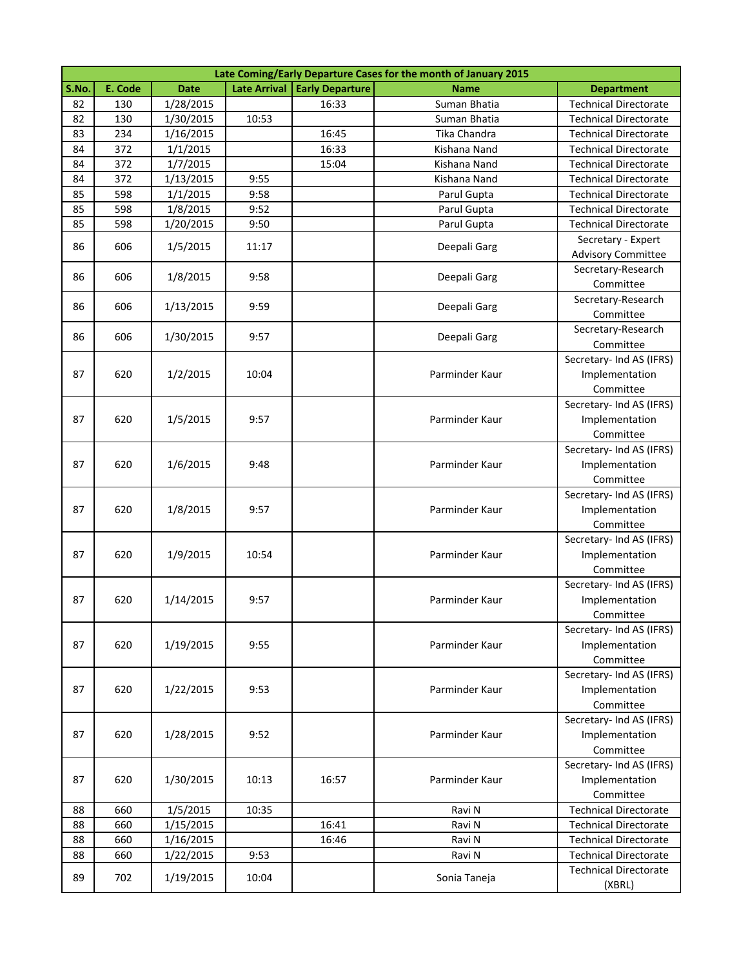|       | Late Coming/Early Departure Cases for the month of January 2015 |             |                     |                        |                |                                                 |  |  |  |
|-------|-----------------------------------------------------------------|-------------|---------------------|------------------------|----------------|-------------------------------------------------|--|--|--|
| S.No. | E. Code                                                         | <b>Date</b> | <b>Late Arrival</b> | <b>Early Departure</b> | <b>Name</b>    | <b>Department</b>                               |  |  |  |
| 82    | 130                                                             | 1/28/2015   |                     | 16:33                  | Suman Bhatia   | <b>Technical Directorate</b>                    |  |  |  |
| 82    | 130                                                             | 1/30/2015   | 10:53               |                        | Suman Bhatia   | <b>Technical Directorate</b>                    |  |  |  |
| 83    | 234                                                             | 1/16/2015   |                     | 16:45                  | Tika Chandra   | <b>Technical Directorate</b>                    |  |  |  |
| 84    | 372                                                             | 1/1/2015    |                     | 16:33                  | Kishana Nand   | <b>Technical Directorate</b>                    |  |  |  |
| 84    | 372                                                             | 1/7/2015    |                     | 15:04                  | Kishana Nand   | <b>Technical Directorate</b>                    |  |  |  |
| 84    | 372                                                             | 1/13/2015   | 9:55                |                        | Kishana Nand   | <b>Technical Directorate</b>                    |  |  |  |
| 85    | 598                                                             | 1/1/2015    | 9:58                |                        | Parul Gupta    | <b>Technical Directorate</b>                    |  |  |  |
| 85    | 598                                                             | 1/8/2015    | 9:52                |                        | Parul Gupta    | <b>Technical Directorate</b>                    |  |  |  |
| 85    | 598                                                             | 1/20/2015   | 9:50                |                        | Parul Gupta    | <b>Technical Directorate</b>                    |  |  |  |
| 86    | 606                                                             | 1/5/2015    | 11:17               |                        | Deepali Garg   | Secretary - Expert<br><b>Advisory Committee</b> |  |  |  |
|       |                                                                 |             |                     |                        |                | Secretary-Research                              |  |  |  |
| 86    | 606                                                             | 1/8/2015    | 9:58                |                        | Deepali Garg   | Committee                                       |  |  |  |
|       |                                                                 |             |                     |                        |                | Secretary-Research                              |  |  |  |
| 86    | 606                                                             | 1/13/2015   | 9:59                |                        | Deepali Garg   | Committee                                       |  |  |  |
|       |                                                                 |             |                     |                        |                | Secretary-Research                              |  |  |  |
| 86    | 606                                                             | 1/30/2015   | 9:57                |                        | Deepali Garg   | Committee                                       |  |  |  |
|       |                                                                 |             |                     |                        |                | Secretary- Ind AS (IFRS)                        |  |  |  |
| 87    | 620                                                             | 1/2/2015    | 10:04               |                        | Parminder Kaur | Implementation                                  |  |  |  |
|       |                                                                 |             |                     |                        |                | Committee                                       |  |  |  |
|       |                                                                 |             |                     |                        |                | Secretary- Ind AS (IFRS)                        |  |  |  |
| 87    | 620                                                             | 1/5/2015    | 9:57                |                        | Parminder Kaur | Implementation                                  |  |  |  |
|       |                                                                 |             |                     |                        |                | Committee                                       |  |  |  |
|       |                                                                 |             |                     |                        |                | Secretary- Ind AS (IFRS)                        |  |  |  |
| 87    | 620                                                             | 1/6/2015    | 9:48                |                        | Parminder Kaur | Implementation                                  |  |  |  |
|       |                                                                 |             |                     |                        |                | Committee                                       |  |  |  |
|       |                                                                 |             |                     |                        |                | Secretary- Ind AS (IFRS)                        |  |  |  |
| 87    | 620                                                             | 1/8/2015    | 9:57                |                        | Parminder Kaur | Implementation                                  |  |  |  |
|       |                                                                 |             |                     |                        |                | Committee                                       |  |  |  |
|       |                                                                 |             |                     |                        |                | Secretary- Ind AS (IFRS)                        |  |  |  |
| 87    | 620                                                             | 1/9/2015    | 10:54               |                        | Parminder Kaur | Implementation                                  |  |  |  |
|       |                                                                 |             |                     |                        |                | Committee                                       |  |  |  |
|       |                                                                 |             |                     |                        |                | Secretary- Ind AS (IFRS)                        |  |  |  |
| 87    | 620                                                             | 1/14/2015   | 9:57                |                        | Parminder Kaur | Implementation                                  |  |  |  |
|       |                                                                 |             |                     |                        |                | Committee                                       |  |  |  |
|       |                                                                 |             |                     |                        |                | Secretary- Ind AS (IFRS)                        |  |  |  |
| 87    | 620                                                             | 1/19/2015   | 9:55                |                        | Parminder Kaur | Implementation                                  |  |  |  |
|       |                                                                 |             |                     |                        |                | Committee                                       |  |  |  |
|       |                                                                 |             |                     |                        |                | Secretary- Ind AS (IFRS)                        |  |  |  |
| 87    | 620                                                             | 1/22/2015   | 9:53                |                        | Parminder Kaur | Implementation                                  |  |  |  |
|       |                                                                 |             |                     |                        |                | Committee                                       |  |  |  |
|       |                                                                 |             |                     |                        |                | Secretary- Ind AS (IFRS)                        |  |  |  |
| 87    | 620                                                             | 1/28/2015   | 9:52                |                        | Parminder Kaur | Implementation                                  |  |  |  |
|       |                                                                 |             |                     |                        |                | Committee                                       |  |  |  |
|       |                                                                 |             |                     |                        |                | Secretary- Ind AS (IFRS)                        |  |  |  |
| 87    | 620                                                             | 1/30/2015   | 10:13               | 16:57                  | Parminder Kaur | Implementation                                  |  |  |  |
|       |                                                                 |             |                     |                        |                | Committee                                       |  |  |  |
| 88    | 660                                                             | 1/5/2015    | 10:35               |                        | Ravi N         | <b>Technical Directorate</b>                    |  |  |  |
| 88    | 660                                                             | 1/15/2015   |                     | 16:41                  | Ravi N         | <b>Technical Directorate</b>                    |  |  |  |
| 88    | 660                                                             | 1/16/2015   |                     | 16:46                  | Ravi N         | <b>Technical Directorate</b>                    |  |  |  |
| 88    | 660                                                             | 1/22/2015   | 9:53                |                        | Ravi N         | <b>Technical Directorate</b>                    |  |  |  |
| 89    | 702                                                             | 1/19/2015   | 10:04               |                        | Sonia Taneja   | <b>Technical Directorate</b>                    |  |  |  |
|       |                                                                 |             |                     |                        |                | (XBRL)                                          |  |  |  |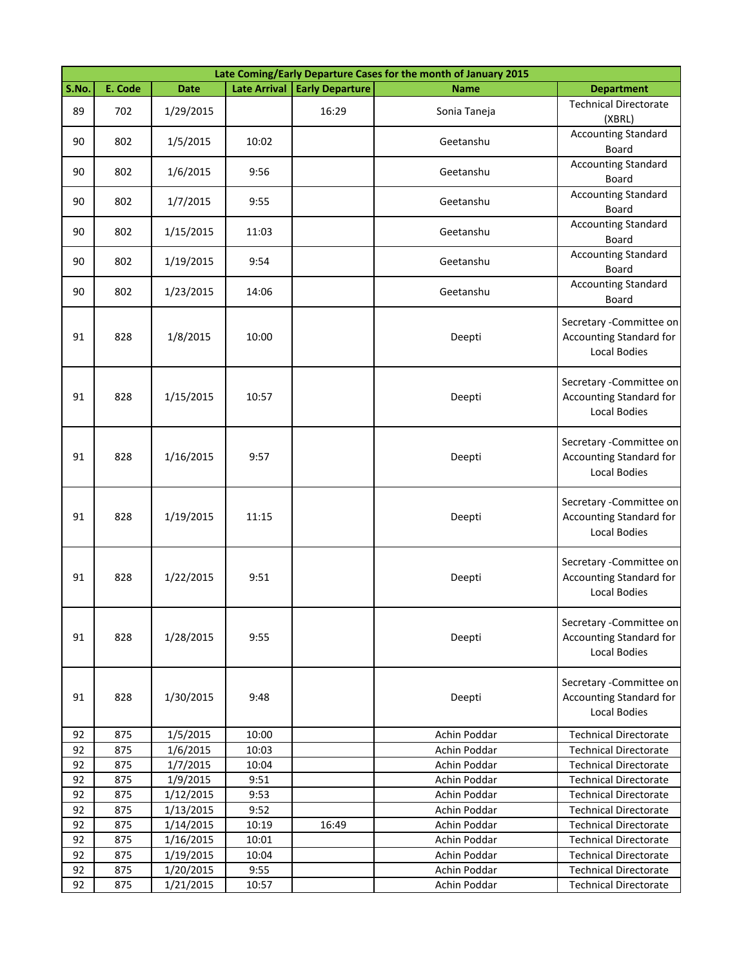|       | Late Coming/Early Departure Cases for the month of January 2015 |             |                     |                        |              |                                                                                   |  |  |  |
|-------|-----------------------------------------------------------------|-------------|---------------------|------------------------|--------------|-----------------------------------------------------------------------------------|--|--|--|
| S.No. | E. Code                                                         | <b>Date</b> | <b>Late Arrival</b> | <b>Early Departure</b> | <b>Name</b>  | <b>Department</b>                                                                 |  |  |  |
| 89    | 702                                                             | 1/29/2015   |                     | 16:29                  | Sonia Taneja | <b>Technical Directorate</b><br>(XBRL)                                            |  |  |  |
| 90    | 802                                                             | 1/5/2015    | 10:02               |                        | Geetanshu    | <b>Accounting Standard</b><br>Board                                               |  |  |  |
| 90    | 802                                                             | 1/6/2015    | 9:56                |                        | Geetanshu    | <b>Accounting Standard</b><br>Board                                               |  |  |  |
| 90    | 802                                                             | 1/7/2015    | 9:55                |                        | Geetanshu    | <b>Accounting Standard</b><br>Board                                               |  |  |  |
| 90    | 802                                                             | 1/15/2015   | 11:03               |                        | Geetanshu    | <b>Accounting Standard</b><br>Board                                               |  |  |  |
| 90    | 802                                                             | 1/19/2015   | 9:54                |                        | Geetanshu    | <b>Accounting Standard</b><br>Board                                               |  |  |  |
| 90    | 802                                                             | 1/23/2015   | 14:06               |                        | Geetanshu    | <b>Accounting Standard</b><br>Board                                               |  |  |  |
| 91    | 828                                                             | 1/8/2015    | 10:00               |                        | Deepti       | Secretary - Committee on<br>Accounting Standard for<br><b>Local Bodies</b>        |  |  |  |
| 91    | 828                                                             | 1/15/2015   | 10:57               |                        | Deepti       | Secretary - Committee on<br>Accounting Standard for<br><b>Local Bodies</b>        |  |  |  |
| 91    | 828                                                             | 1/16/2015   | 9:57                |                        | Deepti       | Secretary - Committee on<br>Accounting Standard for<br><b>Local Bodies</b>        |  |  |  |
| 91    | 828                                                             | 1/19/2015   | 11:15               |                        | Deepti       | Secretary - Committee on<br>Accounting Standard for<br><b>Local Bodies</b>        |  |  |  |
| 91    | 828                                                             | 1/22/2015   | 9:51                |                        | Deepti       | Secretary - Committee on<br><b>Accounting Standard for</b><br><b>Local Bodies</b> |  |  |  |
| 91    | 828                                                             | 1/28/2015   | 9:55                |                        | Deepti       | Secretary - Committee on<br>Accounting Standard for<br><b>Local Bodies</b>        |  |  |  |
| 91    | 828                                                             | 1/30/2015   | 9:48                |                        | Deepti       | Secretary - Committee on<br>Accounting Standard for<br>Local Bodies               |  |  |  |
| 92    | 875                                                             | 1/5/2015    | 10:00               |                        | Achin Poddar | <b>Technical Directorate</b>                                                      |  |  |  |
| 92    | 875                                                             | 1/6/2015    | 10:03               |                        | Achin Poddar | <b>Technical Directorate</b>                                                      |  |  |  |
| 92    | 875                                                             | 1/7/2015    | 10:04               |                        | Achin Poddar | <b>Technical Directorate</b>                                                      |  |  |  |
| 92    | 875                                                             | 1/9/2015    | 9:51                |                        | Achin Poddar | <b>Technical Directorate</b>                                                      |  |  |  |
| 92    | 875                                                             | 1/12/2015   | 9:53                |                        | Achin Poddar | <b>Technical Directorate</b>                                                      |  |  |  |
| 92    | 875                                                             | 1/13/2015   | 9:52                |                        | Achin Poddar | <b>Technical Directorate</b>                                                      |  |  |  |
| 92    | 875                                                             | 1/14/2015   | 10:19               | 16:49                  | Achin Poddar | <b>Technical Directorate</b>                                                      |  |  |  |
| 92    | 875                                                             | 1/16/2015   | 10:01               |                        | Achin Poddar | <b>Technical Directorate</b>                                                      |  |  |  |
| 92    | 875                                                             | 1/19/2015   | 10:04               |                        | Achin Poddar | <b>Technical Directorate</b>                                                      |  |  |  |
| 92    | 875                                                             | 1/20/2015   | 9:55                |                        | Achin Poddar | <b>Technical Directorate</b>                                                      |  |  |  |
| 92    | 875                                                             | 1/21/2015   | 10:57               |                        | Achin Poddar | <b>Technical Directorate</b>                                                      |  |  |  |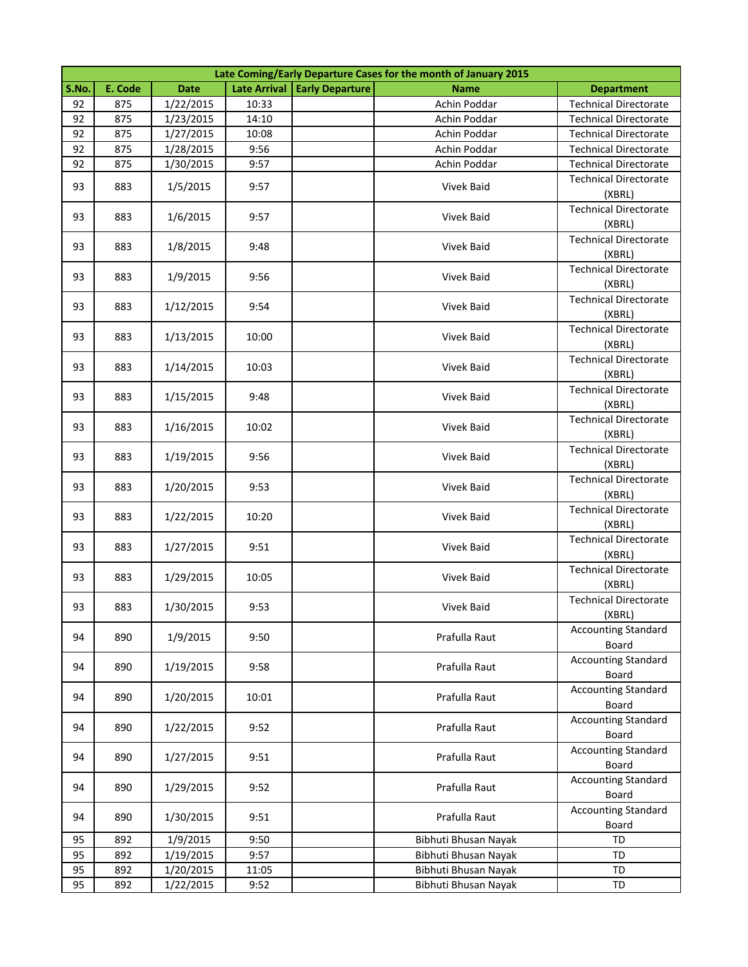|       | Late Coming/Early Departure Cases for the month of January 2015 |             |       |                                |                      |                                        |  |  |  |
|-------|-----------------------------------------------------------------|-------------|-------|--------------------------------|----------------------|----------------------------------------|--|--|--|
| S.No. | E. Code                                                         | <b>Date</b> |       | Late Arrival   Early Departure | <b>Name</b>          | <b>Department</b>                      |  |  |  |
| 92    | 875                                                             | 1/22/2015   | 10:33 |                                | Achin Poddar         | <b>Technical Directorate</b>           |  |  |  |
| 92    | 875                                                             | 1/23/2015   | 14:10 |                                | Achin Poddar         | <b>Technical Directorate</b>           |  |  |  |
| 92    | 875                                                             | 1/27/2015   | 10:08 |                                | Achin Poddar         | <b>Technical Directorate</b>           |  |  |  |
| 92    | 875                                                             | 1/28/2015   | 9:56  |                                | Achin Poddar         | <b>Technical Directorate</b>           |  |  |  |
| 92    | 875                                                             | 1/30/2015   | 9:57  |                                | Achin Poddar         | <b>Technical Directorate</b>           |  |  |  |
| 93    | 883                                                             | 1/5/2015    | 9:57  |                                | Vivek Baid           | <b>Technical Directorate</b><br>(XBRL) |  |  |  |
| 93    | 883                                                             | 1/6/2015    | 9:57  |                                | Vivek Baid           | <b>Technical Directorate</b><br>(XBRL) |  |  |  |
| 93    | 883                                                             | 1/8/2015    | 9:48  |                                | Vivek Baid           | <b>Technical Directorate</b><br>(XBRL) |  |  |  |
| 93    | 883                                                             | 1/9/2015    | 9:56  |                                | Vivek Baid           | <b>Technical Directorate</b><br>(XBRL) |  |  |  |
| 93    | 883                                                             | 1/12/2015   | 9:54  |                                | Vivek Baid           | <b>Technical Directorate</b><br>(XBRL) |  |  |  |
| 93    | 883                                                             | 1/13/2015   | 10:00 |                                | <b>Vivek Baid</b>    | <b>Technical Directorate</b><br>(XBRL) |  |  |  |
| 93    | 883                                                             | 1/14/2015   | 10:03 |                                | <b>Vivek Baid</b>    | <b>Technical Directorate</b><br>(XBRL) |  |  |  |
| 93    | 883                                                             | 1/15/2015   | 9:48  |                                | <b>Vivek Baid</b>    | <b>Technical Directorate</b><br>(XBRL) |  |  |  |
| 93    | 883                                                             | 1/16/2015   | 10:02 |                                | Vivek Baid           | <b>Technical Directorate</b><br>(XBRL) |  |  |  |
| 93    | 883                                                             | 1/19/2015   | 9:56  |                                | Vivek Baid           | <b>Technical Directorate</b><br>(XBRL) |  |  |  |
| 93    | 883                                                             | 1/20/2015   | 9:53  |                                | Vivek Baid           | <b>Technical Directorate</b><br>(XBRL) |  |  |  |
| 93    | 883                                                             | 1/22/2015   | 10:20 |                                | Vivek Baid           | <b>Technical Directorate</b><br>(XBRL) |  |  |  |
| 93    | 883                                                             | 1/27/2015   | 9:51  |                                | Vivek Baid           | <b>Technical Directorate</b><br>(XBRL) |  |  |  |
| 93    | 883                                                             | 1/29/2015   | 10:05 |                                | Vivek Baid           | <b>Technical Directorate</b><br>(XBRL) |  |  |  |
| 93    | 883                                                             | 1/30/2015   | 9:53  |                                | Vivek Baid           | <b>Technical Directorate</b><br>(XBRL) |  |  |  |
| 94    | 890                                                             | 1/9/2015    | 9:50  |                                | Prafulla Raut        | <b>Accounting Standard</b><br>Board    |  |  |  |
| 94    | 890                                                             | 1/19/2015   | 9:58  |                                | Prafulla Raut        | <b>Accounting Standard</b><br>Board    |  |  |  |
| 94    | 890                                                             | 1/20/2015   | 10:01 |                                | Prafulla Raut        | <b>Accounting Standard</b><br>Board    |  |  |  |
| 94    | 890                                                             | 1/22/2015   | 9:52  |                                | Prafulla Raut        | <b>Accounting Standard</b><br>Board    |  |  |  |
| 94    | 890                                                             | 1/27/2015   | 9:51  |                                | Prafulla Raut        | <b>Accounting Standard</b><br>Board    |  |  |  |
| 94    | 890                                                             | 1/29/2015   | 9:52  |                                | Prafulla Raut        | <b>Accounting Standard</b><br>Board    |  |  |  |
| 94    | 890                                                             | 1/30/2015   | 9:51  |                                | Prafulla Raut        | <b>Accounting Standard</b><br>Board    |  |  |  |
| 95    | 892                                                             | 1/9/2015    | 9:50  |                                | Bibhuti Bhusan Nayak | TD                                     |  |  |  |
| 95    | 892                                                             | 1/19/2015   | 9:57  |                                | Bibhuti Bhusan Nayak | <b>TD</b>                              |  |  |  |
| 95    | 892                                                             | 1/20/2015   | 11:05 |                                | Bibhuti Bhusan Nayak | <b>TD</b>                              |  |  |  |
| 95    | 892                                                             | 1/22/2015   | 9:52  |                                | Bibhuti Bhusan Nayak | TD                                     |  |  |  |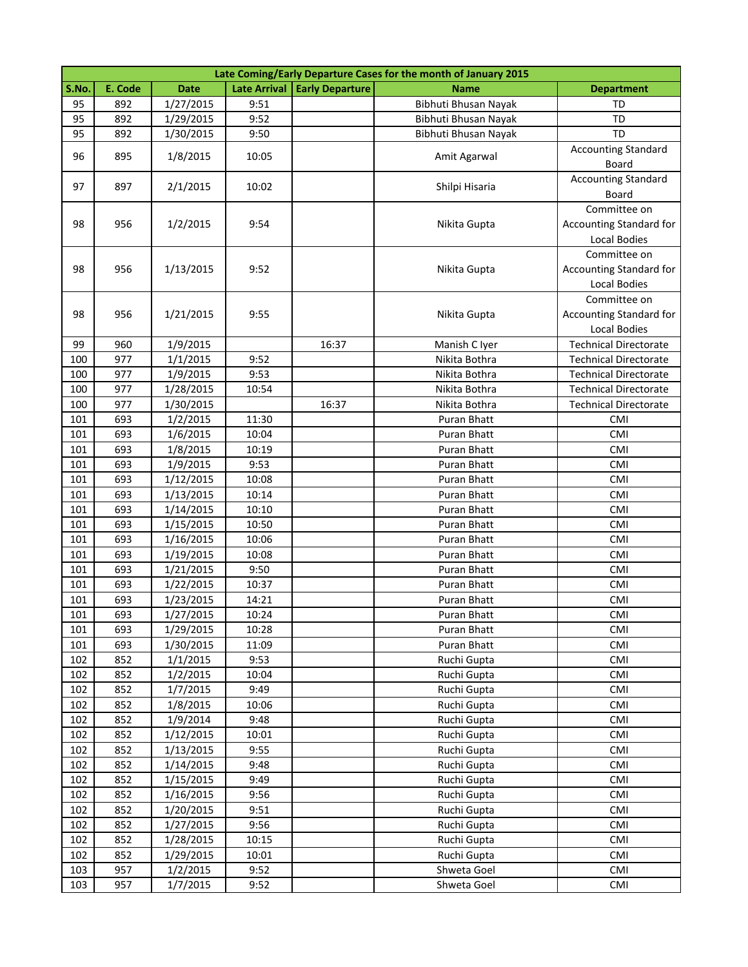|       | Late Coming/Early Departure Cases for the month of January 2015 |             |                     |                        |                      |                              |  |  |
|-------|-----------------------------------------------------------------|-------------|---------------------|------------------------|----------------------|------------------------------|--|--|
| S.No. | E. Code                                                         | <b>Date</b> | <b>Late Arrival</b> | <b>Early Departure</b> | <b>Name</b>          | <b>Department</b>            |  |  |
| 95    | 892                                                             | 1/27/2015   | 9:51                |                        | Bibhuti Bhusan Nayak | TD                           |  |  |
| 95    | 892                                                             | 1/29/2015   | 9:52                |                        | Bibhuti Bhusan Nayak | <b>TD</b>                    |  |  |
| 95    | 892                                                             | 1/30/2015   | 9:50                |                        | Bibhuti Bhusan Nayak | TD                           |  |  |
| 96    | 895                                                             | 1/8/2015    | 10:05               |                        |                      | <b>Accounting Standard</b>   |  |  |
|       |                                                                 |             |                     |                        | Amit Agarwal         | Board                        |  |  |
| 97    | 897                                                             |             |                     |                        |                      | <b>Accounting Standard</b>   |  |  |
|       |                                                                 | 2/1/2015    | 10:02               |                        | Shilpi Hisaria       | Board                        |  |  |
|       |                                                                 |             |                     |                        |                      | Committee on                 |  |  |
| 98    | 956                                                             | 1/2/2015    | 9:54                |                        | Nikita Gupta         | Accounting Standard for      |  |  |
|       |                                                                 |             |                     |                        |                      | Local Bodies                 |  |  |
|       |                                                                 |             |                     |                        |                      | Committee on                 |  |  |
| 98    | 956                                                             | 1/13/2015   | 9:52                |                        | Nikita Gupta         | Accounting Standard for      |  |  |
|       |                                                                 |             |                     |                        |                      | Local Bodies                 |  |  |
|       |                                                                 |             |                     |                        |                      | Committee on                 |  |  |
| 98    | 956                                                             | 1/21/2015   | 9:55                |                        | Nikita Gupta         | Accounting Standard for      |  |  |
|       |                                                                 |             |                     |                        |                      | Local Bodies                 |  |  |
| 99    | 960                                                             | 1/9/2015    |                     | 16:37                  | Manish C Iyer        | <b>Technical Directorate</b> |  |  |
| 100   | 977                                                             | 1/1/2015    | 9:52                |                        | Nikita Bothra        | <b>Technical Directorate</b> |  |  |
| 100   | 977                                                             | 1/9/2015    | 9:53                |                        | Nikita Bothra        | <b>Technical Directorate</b> |  |  |
| 100   | 977                                                             | 1/28/2015   | 10:54               |                        | Nikita Bothra        | <b>Technical Directorate</b> |  |  |
| 100   | 977                                                             | 1/30/2015   |                     | 16:37                  | Nikita Bothra        | <b>Technical Directorate</b> |  |  |
| 101   | 693                                                             | 1/2/2015    | 11:30               |                        | Puran Bhatt          | CMI                          |  |  |
| 101   | 693                                                             | 1/6/2015    | 10:04               |                        | Puran Bhatt          | CMI                          |  |  |
| 101   | 693                                                             | 1/8/2015    | 10:19               |                        | Puran Bhatt          | CMI                          |  |  |
| 101   | 693                                                             | 1/9/2015    | 9:53                |                        | Puran Bhatt          | CMI                          |  |  |
| 101   | 693                                                             | 1/12/2015   | 10:08               |                        | Puran Bhatt          | CMI                          |  |  |
| 101   | 693                                                             | 1/13/2015   | 10:14               |                        | Puran Bhatt          | CMI                          |  |  |
| 101   | 693                                                             | 1/14/2015   | 10:10               |                        | Puran Bhatt          | CMI                          |  |  |
| 101   | 693                                                             | 1/15/2015   | 10:50               |                        | Puran Bhatt          | CMI                          |  |  |
| 101   | 693                                                             | 1/16/2015   | 10:06               |                        | Puran Bhatt          | <b>CMI</b>                   |  |  |
| 101   | 693                                                             | 1/19/2015   | 10:08               |                        | Puran Bhatt          | CMI                          |  |  |
| 101   | 693                                                             | 1/21/2015   | 9:50                |                        | Puran Bhatt          | CMI                          |  |  |
| 101   | 693                                                             | 1/22/2015   | 10:37               |                        | Puran Bhatt          | CMI                          |  |  |
| 101   | 693                                                             | 1/23/2015   | 14:21               |                        | Puran Bhatt          | CMI                          |  |  |
| 101   | 693                                                             | 1/27/2015   | 10:24               |                        | Puran Bhatt          | CMI                          |  |  |
| 101   | 693                                                             | 1/29/2015   | 10:28               |                        | Puran Bhatt          | CMI                          |  |  |
| 101   | 693                                                             | 1/30/2015   | 11:09               |                        | Puran Bhatt          | CMI                          |  |  |
| 102   | 852                                                             | 1/1/2015    | 9:53                |                        | Ruchi Gupta          | CMI                          |  |  |
| 102   | 852                                                             | 1/2/2015    | 10:04               |                        | Ruchi Gupta          | CMI                          |  |  |
| 102   | 852                                                             | 1/7/2015    | 9:49                |                        | Ruchi Gupta          | CMI                          |  |  |
| 102   | 852                                                             | 1/8/2015    | 10:06               |                        | Ruchi Gupta          | CMI                          |  |  |
| 102   | 852                                                             | 1/9/2014    | 9:48                |                        | Ruchi Gupta          | CMI                          |  |  |
| 102   | 852                                                             | 1/12/2015   | 10:01               |                        | Ruchi Gupta          | CMI                          |  |  |
| 102   | 852                                                             | 1/13/2015   | 9:55                |                        | Ruchi Gupta          | <b>CMI</b>                   |  |  |
| 102   | 852                                                             | 1/14/2015   | 9:48                |                        | Ruchi Gupta          | CMI                          |  |  |
| 102   | 852                                                             | 1/15/2015   | 9:49                |                        | Ruchi Gupta          | CMI                          |  |  |
| 102   | 852                                                             | 1/16/2015   | 9:56                |                        | Ruchi Gupta          | CMI                          |  |  |
| 102   | 852                                                             | 1/20/2015   | 9:51                |                        | Ruchi Gupta          | CMI                          |  |  |
| 102   | 852                                                             | 1/27/2015   | 9:56                |                        | Ruchi Gupta          | CMI                          |  |  |
| 102   | 852                                                             | 1/28/2015   | 10:15               |                        | Ruchi Gupta          | CMI                          |  |  |
| 102   | 852                                                             | 1/29/2015   | 10:01               |                        | Ruchi Gupta          | CMI                          |  |  |
| 103   | 957                                                             | 1/2/2015    | 9:52                |                        | Shweta Goel          | CMI                          |  |  |
| 103   | 957                                                             | 1/7/2015    | 9:52                |                        | Shweta Goel          | <b>CMI</b>                   |  |  |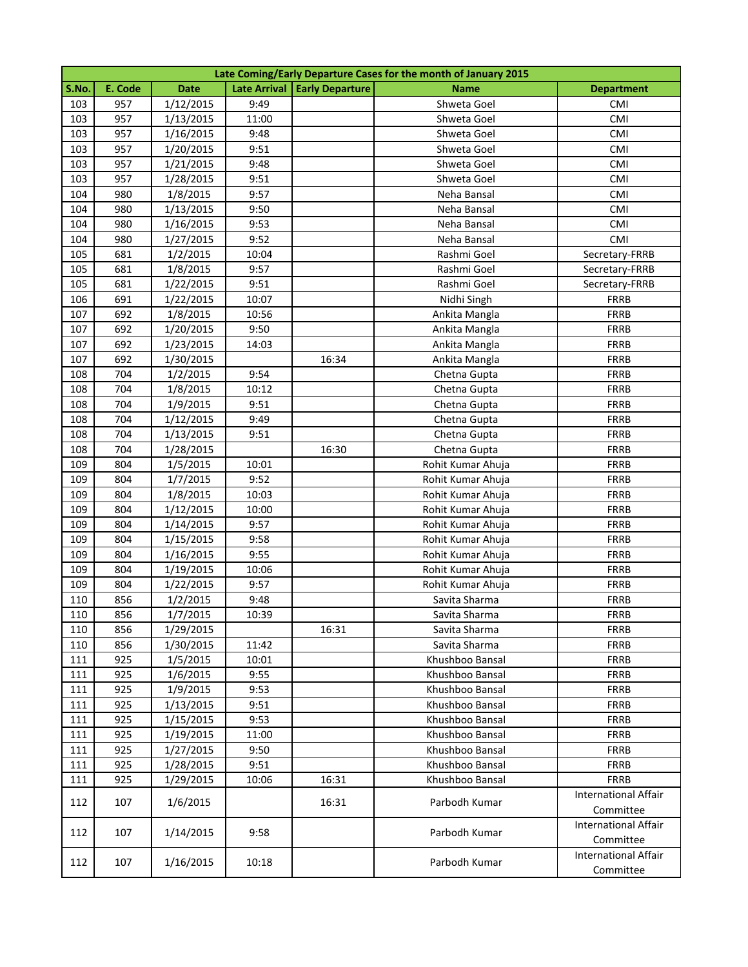|       | Late Coming/Early Departure Cases for the month of January 2015 |             |       |                                |                   |                                          |  |  |
|-------|-----------------------------------------------------------------|-------------|-------|--------------------------------|-------------------|------------------------------------------|--|--|
| S.No. | E. Code                                                         | <b>Date</b> |       | Late Arrival   Early Departure | <b>Name</b>       | <b>Department</b>                        |  |  |
| 103   | 957                                                             | 1/12/2015   | 9:49  |                                | Shweta Goel       | CMI                                      |  |  |
| 103   | 957                                                             | 1/13/2015   | 11:00 |                                | Shweta Goel       | CMI                                      |  |  |
| 103   | 957                                                             | 1/16/2015   | 9:48  |                                | Shweta Goel       | CMI                                      |  |  |
| 103   | 957                                                             | 1/20/2015   | 9:51  |                                | Shweta Goel       | <b>CMI</b>                               |  |  |
| 103   | 957                                                             | 1/21/2015   | 9:48  |                                | Shweta Goel       | <b>CMI</b>                               |  |  |
| 103   | 957                                                             | 1/28/2015   | 9:51  |                                | Shweta Goel       | <b>CMI</b>                               |  |  |
| 104   | 980                                                             | 1/8/2015    | 9:57  |                                | Neha Bansal       | <b>CMI</b>                               |  |  |
| 104   | 980                                                             | 1/13/2015   | 9:50  |                                | Neha Bansal       | CMI                                      |  |  |
| 104   | 980                                                             | 1/16/2015   | 9:53  |                                | Neha Bansal       | CMI                                      |  |  |
| 104   | 980                                                             | 1/27/2015   | 9:52  |                                | Neha Bansal       | CMI                                      |  |  |
| 105   | 681                                                             | 1/2/2015    | 10:04 |                                | Rashmi Goel       | Secretary-FRRB                           |  |  |
| 105   | 681                                                             | 1/8/2015    | 9:57  |                                | Rashmi Goel       | Secretary-FRRB                           |  |  |
| 105   | 681                                                             | 1/22/2015   | 9:51  |                                | Rashmi Goel       | Secretary-FRRB                           |  |  |
| 106   | 691                                                             | 1/22/2015   | 10:07 |                                | Nidhi Singh       | <b>FRRB</b>                              |  |  |
| 107   | 692                                                             | 1/8/2015    | 10:56 |                                | Ankita Mangla     | <b>FRRB</b>                              |  |  |
| 107   | 692                                                             | 1/20/2015   | 9:50  |                                | Ankita Mangla     | FRRB                                     |  |  |
| 107   | 692                                                             | 1/23/2015   | 14:03 |                                | Ankita Mangla     | FRRB                                     |  |  |
| 107   | 692                                                             | 1/30/2015   |       | 16:34                          | Ankita Mangla     | FRRB                                     |  |  |
| 108   | 704                                                             | 1/2/2015    | 9:54  |                                | Chetna Gupta      | FRRB                                     |  |  |
| 108   | 704                                                             | 1/8/2015    | 10:12 |                                | Chetna Gupta      | <b>FRRB</b>                              |  |  |
| 108   | 704                                                             | 1/9/2015    | 9:51  |                                | Chetna Gupta      | FRRB                                     |  |  |
| 108   | 704                                                             | 1/12/2015   | 9:49  |                                | Chetna Gupta      | FRRB                                     |  |  |
| 108   | 704                                                             | 1/13/2015   | 9:51  |                                | Chetna Gupta      | <b>FRRB</b>                              |  |  |
| 108   | 704                                                             | 1/28/2015   |       | 16:30                          | Chetna Gupta      | FRRB                                     |  |  |
| 109   | 804                                                             | 1/5/2015    | 10:01 |                                | Rohit Kumar Ahuja | <b>FRRB</b>                              |  |  |
| 109   | 804                                                             | 1/7/2015    | 9:52  |                                | Rohit Kumar Ahuja | FRRB                                     |  |  |
| 109   | 804                                                             | 1/8/2015    | 10:03 |                                | Rohit Kumar Ahuja | FRRB                                     |  |  |
| 109   | 804                                                             | 1/12/2015   | 10:00 |                                | Rohit Kumar Ahuja | FRRB                                     |  |  |
| 109   | 804                                                             | 1/14/2015   | 9:57  |                                | Rohit Kumar Ahuja | FRRB                                     |  |  |
| 109   | 804                                                             | 1/15/2015   | 9:58  |                                | Rohit Kumar Ahuja | <b>FRRB</b>                              |  |  |
| 109   | 804                                                             | 1/16/2015   | 9:55  |                                | Rohit Kumar Ahuja | <b>FRRB</b>                              |  |  |
| 109   | 804                                                             | 1/19/2015   | 10:06 |                                | Rohit Kumar Ahuja | FRRB                                     |  |  |
| 109   | 804                                                             | 1/22/2015   | 9:57  |                                | Rohit Kumar Ahuja | <b>FRRB</b>                              |  |  |
| 110   | 856                                                             | 1/2/2015    | 9:48  |                                | Savita Sharma     | FRRB                                     |  |  |
| 110   | 856                                                             | 1/7/2015    | 10:39 |                                | Savita Sharma     | FRRB                                     |  |  |
| 110   | 856                                                             | 1/29/2015   |       | 16:31                          | Savita Sharma     | <b>FRRB</b>                              |  |  |
| 110   | 856                                                             | 1/30/2015   | 11:42 |                                | Savita Sharma     | FRRB                                     |  |  |
| 111   | 925                                                             | 1/5/2015    | 10:01 |                                | Khushboo Bansal   | FRRB                                     |  |  |
| 111   | 925                                                             | 1/6/2015    | 9:55  |                                | Khushboo Bansal   | <b>FRRB</b>                              |  |  |
| 111   | 925                                                             | 1/9/2015    | 9:53  |                                | Khushboo Bansal   | <b>FRRB</b>                              |  |  |
| 111   | 925                                                             | 1/13/2015   | 9:51  |                                | Khushboo Bansal   | <b>FRRB</b>                              |  |  |
| 111   | 925                                                             | 1/15/2015   | 9:53  |                                | Khushboo Bansal   | <b>FRRB</b>                              |  |  |
| 111   | 925                                                             | 1/19/2015   | 11:00 |                                | Khushboo Bansal   | <b>FRRB</b>                              |  |  |
| 111   | 925                                                             | 1/27/2015   | 9:50  |                                | Khushboo Bansal   | <b>FRRB</b>                              |  |  |
| 111   | 925                                                             | 1/28/2015   | 9:51  |                                | Khushboo Bansal   | <b>FRRB</b>                              |  |  |
| 111   | 925                                                             | 1/29/2015   | 10:06 | 16:31                          | Khushboo Bansal   | <b>FRRB</b>                              |  |  |
| 112   | 107                                                             | 1/6/2015    |       | 16:31                          | Parbodh Kumar     | <b>International Affair</b>              |  |  |
|       |                                                                 |             |       |                                |                   | Committee                                |  |  |
| 112   | 107                                                             | 1/14/2015   | 9:58  |                                | Parbodh Kumar     | <b>International Affair</b><br>Committee |  |  |
| 112   | 107                                                             | 1/16/2015   | 10:18 |                                | Parbodh Kumar     | <b>International Affair</b>              |  |  |
|       |                                                                 |             |       |                                |                   | Committee                                |  |  |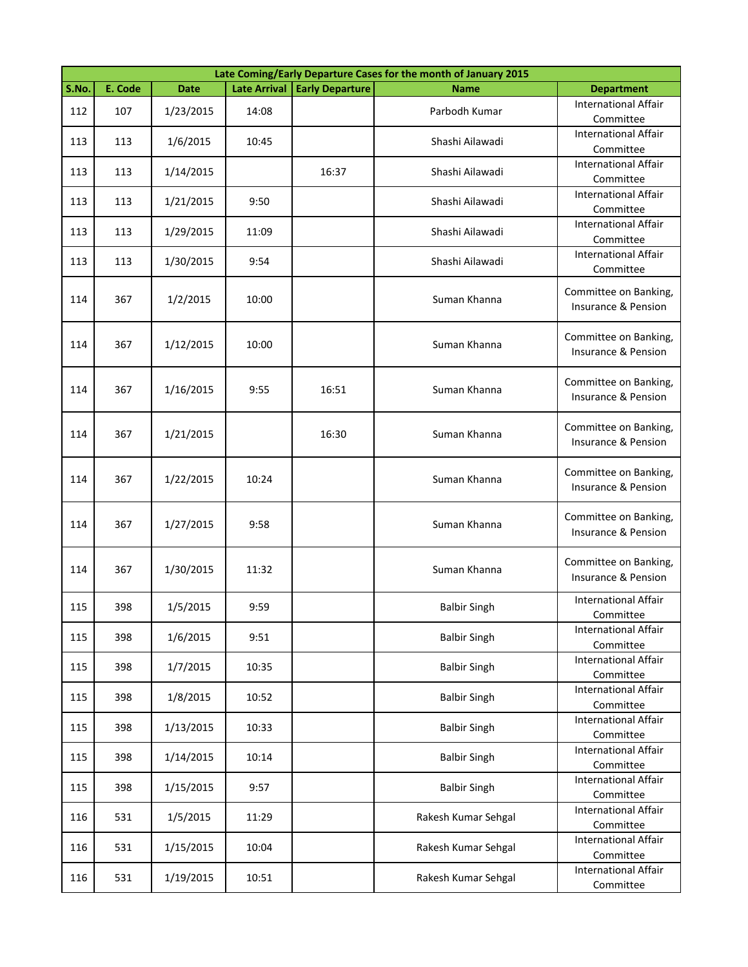|       | Late Coming/Early Departure Cases for the month of January 2015 |             |                     |                        |                     |                                              |  |  |  |
|-------|-----------------------------------------------------------------|-------------|---------------------|------------------------|---------------------|----------------------------------------------|--|--|--|
| S.No. | E. Code                                                         | <b>Date</b> | <b>Late Arrival</b> | <b>Early Departure</b> | <b>Name</b>         | <b>Department</b>                            |  |  |  |
| 112   | 107                                                             | 1/23/2015   | 14:08               |                        | Parbodh Kumar       | <b>International Affair</b><br>Committee     |  |  |  |
| 113   | 113                                                             | 1/6/2015    | 10:45               |                        | Shashi Ailawadi     | <b>International Affair</b><br>Committee     |  |  |  |
| 113   | 113                                                             | 1/14/2015   |                     | 16:37                  | Shashi Ailawadi     | <b>International Affair</b><br>Committee     |  |  |  |
| 113   | 113                                                             | 1/21/2015   | 9:50                |                        | Shashi Ailawadi     | <b>International Affair</b><br>Committee     |  |  |  |
| 113   | 113                                                             | 1/29/2015   | 11:09               |                        | Shashi Ailawadi     | <b>International Affair</b><br>Committee     |  |  |  |
| 113   | 113                                                             | 1/30/2015   | 9:54                |                        | Shashi Ailawadi     | <b>International Affair</b><br>Committee     |  |  |  |
| 114   | 367                                                             | 1/2/2015    | 10:00               |                        | Suman Khanna        | Committee on Banking,<br>Insurance & Pension |  |  |  |
| 114   | 367                                                             | 1/12/2015   | 10:00               |                        | Suman Khanna        | Committee on Banking,<br>Insurance & Pension |  |  |  |
| 114   | 367                                                             | 1/16/2015   | 9:55                | 16:51                  | Suman Khanna        | Committee on Banking,<br>Insurance & Pension |  |  |  |
| 114   | 367                                                             | 1/21/2015   |                     | 16:30                  | Suman Khanna        | Committee on Banking,<br>Insurance & Pension |  |  |  |
| 114   | 367                                                             | 1/22/2015   | 10:24               |                        | Suman Khanna        | Committee on Banking,<br>Insurance & Pension |  |  |  |
| 114   | 367                                                             | 1/27/2015   | 9:58                |                        | Suman Khanna        | Committee on Banking,<br>Insurance & Pension |  |  |  |
| 114   | 367                                                             | 1/30/2015   | 11:32               |                        | Suman Khanna        | Committee on Banking,<br>Insurance & Pension |  |  |  |
| 115   | 398                                                             | 1/5/2015    | 9:59                |                        | <b>Balbir Singh</b> | International Affair<br>Committee            |  |  |  |
| 115   | 398                                                             | 1/6/2015    | 9:51                |                        | <b>Balbir Singh</b> | <b>International Affair</b><br>Committee     |  |  |  |
| 115   | 398                                                             | 1/7/2015    | 10:35               |                        | <b>Balbir Singh</b> | <b>International Affair</b><br>Committee     |  |  |  |
| 115   | 398                                                             | 1/8/2015    | 10:52               |                        | <b>Balbir Singh</b> | <b>International Affair</b><br>Committee     |  |  |  |
| 115   | 398                                                             | 1/13/2015   | 10:33               |                        | <b>Balbir Singh</b> | <b>International Affair</b><br>Committee     |  |  |  |
| 115   | 398                                                             | 1/14/2015   | 10:14               |                        | <b>Balbir Singh</b> | <b>International Affair</b><br>Committee     |  |  |  |
| 115   | 398                                                             | 1/15/2015   | 9:57                |                        | <b>Balbir Singh</b> | <b>International Affair</b><br>Committee     |  |  |  |
| 116   | 531                                                             | 1/5/2015    | 11:29               |                        | Rakesh Kumar Sehgal | <b>International Affair</b><br>Committee     |  |  |  |
| 116   | 531                                                             | 1/15/2015   | 10:04               |                        | Rakesh Kumar Sehgal | <b>International Affair</b><br>Committee     |  |  |  |
| 116   | 531                                                             | 1/19/2015   | 10:51               |                        | Rakesh Kumar Sehgal | <b>International Affair</b><br>Committee     |  |  |  |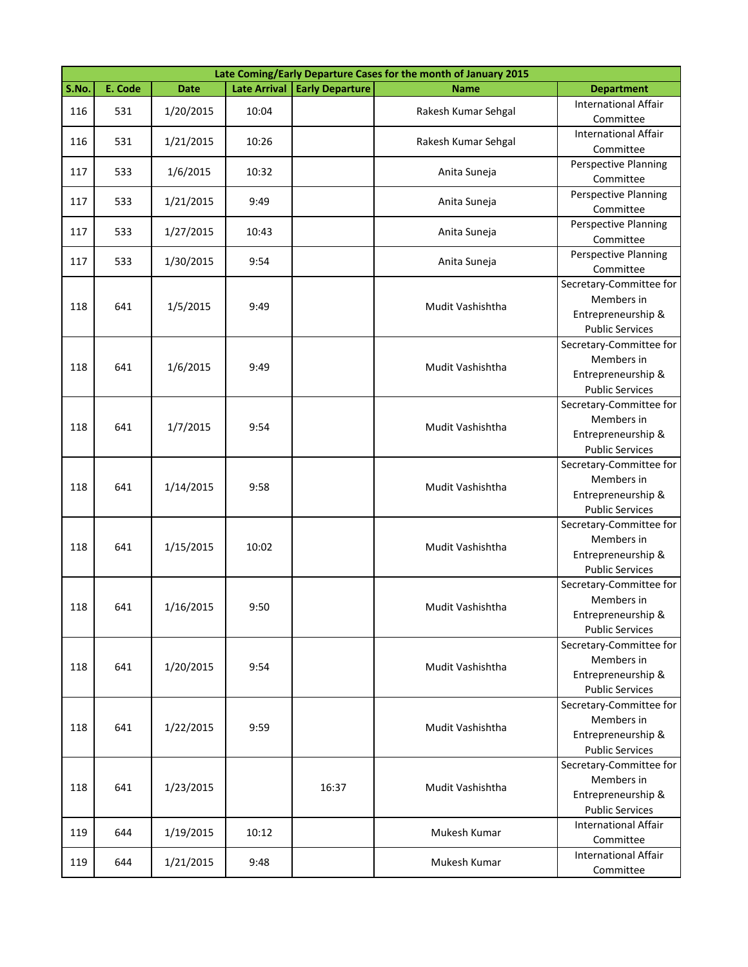|            | Late Coming/Early Departure Cases for the month of January 2015 |             |              |                        |                                       |                                          |  |  |  |
|------------|-----------------------------------------------------------------|-------------|--------------|------------------------|---------------------------------------|------------------------------------------|--|--|--|
| S.No.      | E. Code                                                         | <b>Date</b> | Late Arrival | <b>Early Departure</b> | <b>Name</b>                           | <b>Department</b>                        |  |  |  |
| 116        | 531                                                             | 1/20/2015   | 10:04        |                        | Rakesh Kumar Sehgal                   | <b>International Affair</b><br>Committee |  |  |  |
|            |                                                                 |             |              |                        |                                       | <b>International Affair</b>              |  |  |  |
| 116        | 531                                                             | 1/21/2015   | 10:26        |                        | Rakesh Kumar Sehgal                   | Committee                                |  |  |  |
| 117        | 533                                                             | 1/6/2015    | 10:32        |                        | Anita Suneja                          | Perspective Planning                     |  |  |  |
|            |                                                                 |             |              |                        |                                       | Committee                                |  |  |  |
| 117        | 533                                                             | 1/21/2015   | 9:49         |                        | Anita Suneja                          | Perspective Planning<br>Committee        |  |  |  |
|            |                                                                 |             |              |                        |                                       | Perspective Planning                     |  |  |  |
| 117        | 533                                                             | 1/27/2015   | 10:43        |                        | Anita Suneja                          | Committee                                |  |  |  |
|            |                                                                 |             |              |                        |                                       | Perspective Planning                     |  |  |  |
| 117        | 533                                                             | 1/30/2015   | 9:54         |                        | Anita Suneja                          | Committee                                |  |  |  |
|            |                                                                 |             |              |                        |                                       | Secretary-Committee for                  |  |  |  |
| 118        | 641                                                             | 1/5/2015    | 9:49         |                        | Mudit Vashishtha                      | Members in                               |  |  |  |
|            |                                                                 |             |              |                        |                                       | Entrepreneurship &                       |  |  |  |
|            |                                                                 |             |              |                        |                                       | <b>Public Services</b>                   |  |  |  |
|            |                                                                 |             |              |                        |                                       | Secretary-Committee for                  |  |  |  |
| 118        | 641                                                             | 1/6/2015    | 9:49         |                        | Mudit Vashishtha                      | Members in                               |  |  |  |
|            |                                                                 |             |              |                        |                                       | Entrepreneurship &                       |  |  |  |
|            |                                                                 |             |              |                        |                                       | <b>Public Services</b>                   |  |  |  |
|            |                                                                 |             |              |                        |                                       | Secretary-Committee for                  |  |  |  |
| 641<br>118 | 1/7/2015                                                        | 9:54        |              | Mudit Vashishtha       | Members in                            |                                          |  |  |  |
|            |                                                                 |             |              |                        |                                       | Entrepreneurship &                       |  |  |  |
|            |                                                                 |             |              |                        |                                       | <b>Public Services</b>                   |  |  |  |
|            |                                                                 |             |              |                        | Secretary-Committee for<br>Members in |                                          |  |  |  |
| 118        | 641                                                             | 1/14/2015   | 9:58         |                        | Mudit Vashishtha                      | Entrepreneurship &                       |  |  |  |
|            |                                                                 |             |              |                        |                                       | <b>Public Services</b>                   |  |  |  |
|            |                                                                 |             |              |                        |                                       | Secretary-Committee for                  |  |  |  |
|            |                                                                 |             |              |                        |                                       | Members in                               |  |  |  |
| 118        | 641                                                             | 1/15/2015   | 10:02        |                        | Mudit Vashishtha                      | Entrepreneurship &                       |  |  |  |
|            |                                                                 |             |              |                        |                                       | <b>Public Services</b>                   |  |  |  |
|            |                                                                 |             |              |                        |                                       | Secretary-Committee for                  |  |  |  |
|            |                                                                 |             |              |                        |                                       | Members in                               |  |  |  |
| 118        | 641                                                             | 1/16/2015   | 9:50         |                        | Mudit Vashishtha                      | Entrepreneurship &                       |  |  |  |
|            |                                                                 |             |              |                        |                                       | <b>Public Services</b>                   |  |  |  |
|            |                                                                 |             |              |                        |                                       | Secretary-Committee for                  |  |  |  |
| 118        | 641                                                             | 1/20/2015   | 9:54         |                        | Mudit Vashishtha                      | Members in                               |  |  |  |
|            |                                                                 |             |              |                        |                                       | Entrepreneurship &                       |  |  |  |
|            |                                                                 |             |              |                        |                                       | <b>Public Services</b>                   |  |  |  |
|            |                                                                 |             |              |                        |                                       | Secretary-Committee for                  |  |  |  |
| 118        | 641                                                             | 1/22/2015   | 9:59         |                        | Mudit Vashishtha                      | Members in                               |  |  |  |
|            |                                                                 |             |              |                        |                                       | Entrepreneurship &                       |  |  |  |
|            |                                                                 |             |              |                        |                                       | <b>Public Services</b>                   |  |  |  |
|            |                                                                 |             |              |                        |                                       | Secretary-Committee for<br>Members in    |  |  |  |
| 118        | 641                                                             | 1/23/2015   |              | 16:37                  | Mudit Vashishtha                      | Entrepreneurship &                       |  |  |  |
|            |                                                                 |             |              |                        |                                       | <b>Public Services</b>                   |  |  |  |
|            |                                                                 |             |              |                        |                                       | <b>International Affair</b>              |  |  |  |
| 119        | 644                                                             | 1/19/2015   | 10:12        |                        | Mukesh Kumar                          | Committee                                |  |  |  |
|            |                                                                 |             |              |                        |                                       | <b>International Affair</b>              |  |  |  |
| 119        | 644                                                             | 1/21/2015   | 9:48         |                        | Mukesh Kumar                          | Committee                                |  |  |  |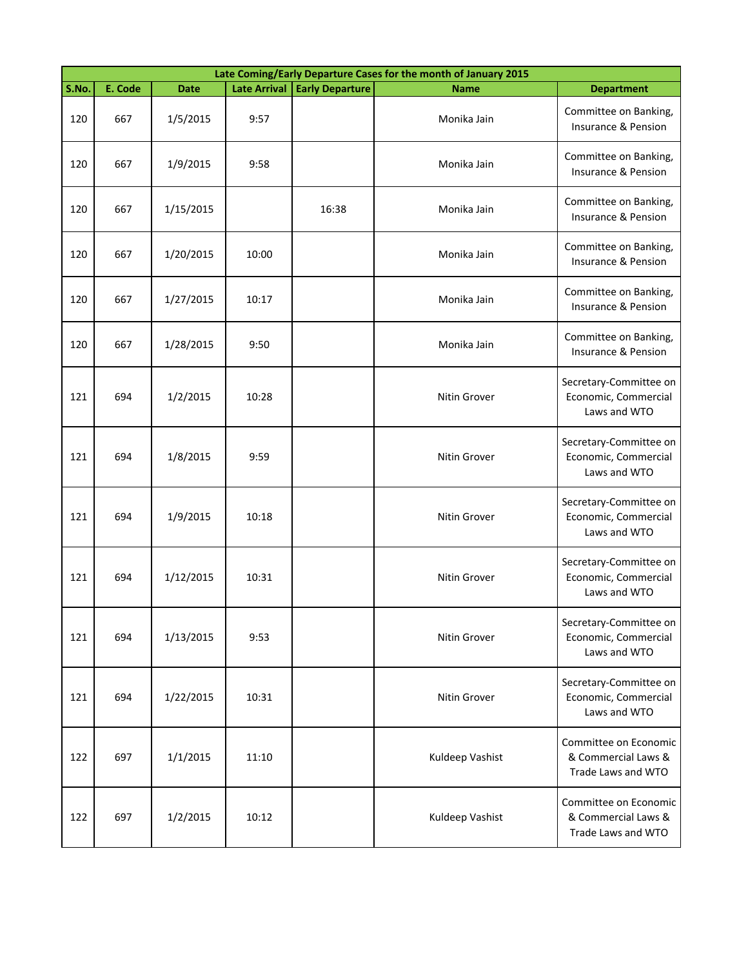|       | Late Coming/Early Departure Cases for the month of January 2015 |             |                     |                        |                 |                                                                    |  |  |  |
|-------|-----------------------------------------------------------------|-------------|---------------------|------------------------|-----------------|--------------------------------------------------------------------|--|--|--|
| S.No. | E. Code                                                         | <b>Date</b> | <b>Late Arrival</b> | <b>Early Departure</b> | <b>Name</b>     | <b>Department</b>                                                  |  |  |  |
| 120   | 667                                                             | 1/5/2015    | 9:57                |                        | Monika Jain     | Committee on Banking,<br>Insurance & Pension                       |  |  |  |
| 120   | 667                                                             | 1/9/2015    | 9:58                |                        | Monika Jain     | Committee on Banking,<br>Insurance & Pension                       |  |  |  |
| 120   | 667                                                             | 1/15/2015   |                     | 16:38                  | Monika Jain     | Committee on Banking,<br>Insurance & Pension                       |  |  |  |
| 120   | 667                                                             | 1/20/2015   | 10:00               |                        | Monika Jain     | Committee on Banking,<br>Insurance & Pension                       |  |  |  |
| 120   | 667                                                             | 1/27/2015   | 10:17               |                        | Monika Jain     | Committee on Banking,<br>Insurance & Pension                       |  |  |  |
| 120   | 667                                                             | 1/28/2015   | 9:50                |                        | Monika Jain     | Committee on Banking,<br>Insurance & Pension                       |  |  |  |
| 121   | 694                                                             | 1/2/2015    | 10:28               |                        | Nitin Grover    | Secretary-Committee on<br>Economic, Commercial<br>Laws and WTO     |  |  |  |
| 121   | 694                                                             | 1/8/2015    | 9:59                |                        | Nitin Grover    | Secretary-Committee on<br>Economic, Commercial<br>Laws and WTO     |  |  |  |
| 121   | 694                                                             | 1/9/2015    | 10:18               |                        | Nitin Grover    | Secretary-Committee on<br>Economic, Commercial<br>Laws and WTO     |  |  |  |
| 121   | 694                                                             | 1/12/2015   | 10:31               |                        | Nitin Grover    | Secretary-Committee on<br>Economic, Commercial<br>Laws and WTO     |  |  |  |
| 121   | 694                                                             | 1/13/2015   | 9:53                |                        | Nitin Grover    | Secretary-Committee on<br>Economic, Commercial<br>Laws and WTO     |  |  |  |
| 121   | 694                                                             | 1/22/2015   | 10:31               |                        | Nitin Grover    | Secretary-Committee on<br>Economic, Commercial<br>Laws and WTO     |  |  |  |
| 122   | 697                                                             | 1/1/2015    | 11:10               |                        | Kuldeep Vashist | Committee on Economic<br>& Commercial Laws &<br>Trade Laws and WTO |  |  |  |
| 122   | 697                                                             | 1/2/2015    | 10:12               |                        | Kuldeep Vashist | Committee on Economic<br>& Commercial Laws &<br>Trade Laws and WTO |  |  |  |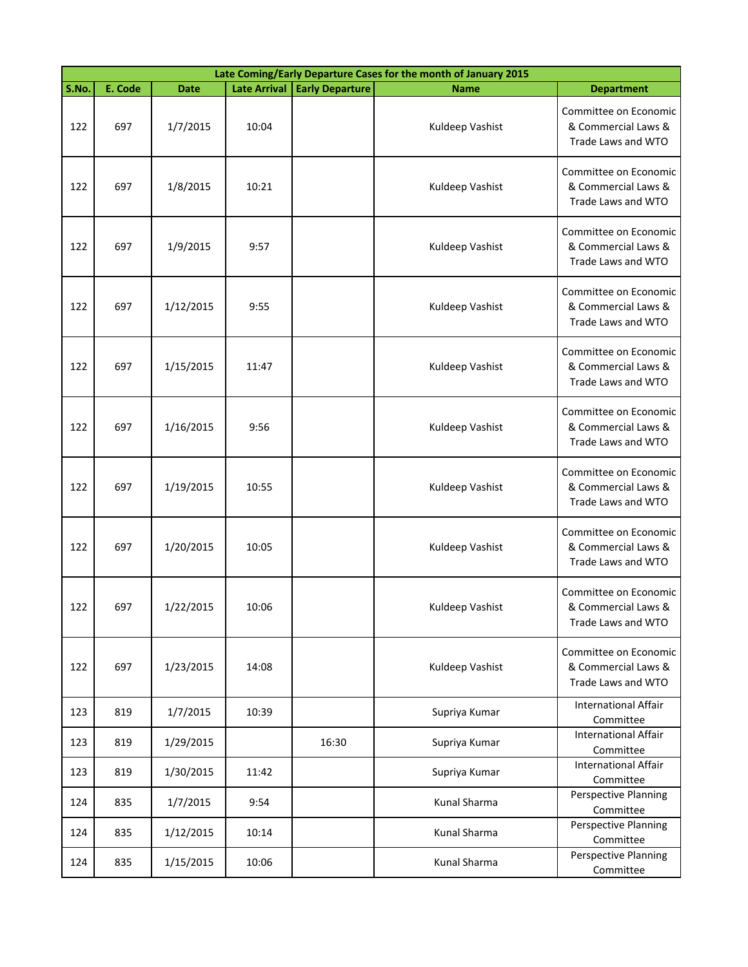|       | Late Coming/Early Departure Cases for the month of January 2015 |             |                     |                        |                 |                                                                    |  |  |
|-------|-----------------------------------------------------------------|-------------|---------------------|------------------------|-----------------|--------------------------------------------------------------------|--|--|
| S.No. | E. Code                                                         | <b>Date</b> | <b>Late Arrival</b> | <b>Early Departure</b> | <b>Name</b>     | <b>Department</b>                                                  |  |  |
| 122   | 697                                                             | 1/7/2015    | 10:04               |                        | Kuldeep Vashist | Committee on Economic<br>& Commercial Laws &<br>Trade Laws and WTO |  |  |
| 122   | 697                                                             | 1/8/2015    | 10:21               |                        | Kuldeep Vashist | Committee on Economic<br>& Commercial Laws &<br>Trade Laws and WTO |  |  |
| 122   | 697                                                             | 1/9/2015    | 9:57                |                        | Kuldeep Vashist | Committee on Economic<br>& Commercial Laws &<br>Trade Laws and WTO |  |  |
| 122   | 697                                                             | 1/12/2015   | 9:55                |                        | Kuldeep Vashist | Committee on Economic<br>& Commercial Laws &<br>Trade Laws and WTO |  |  |
| 122   | 697                                                             | 1/15/2015   | 11:47               |                        | Kuldeep Vashist | Committee on Economic<br>& Commercial Laws &<br>Trade Laws and WTO |  |  |
| 122   | 697                                                             | 1/16/2015   | 9:56                |                        | Kuldeep Vashist | Committee on Economic<br>& Commercial Laws &<br>Trade Laws and WTO |  |  |
| 122   | 697                                                             | 1/19/2015   | 10:55               |                        | Kuldeep Vashist | Committee on Economic<br>& Commercial Laws &<br>Trade Laws and WTO |  |  |
| 122   | 697                                                             | 1/20/2015   | 10:05               |                        | Kuldeep Vashist | Committee on Economic<br>& Commercial Laws &<br>Trade Laws and WTO |  |  |
| 122   | 697                                                             | 1/22/2015   | 10:06               |                        | Kuldeep Vashist | Committee on Economic<br>& Commercial Laws &<br>Trade Laws and WTO |  |  |
| 122   | 697                                                             | 1/23/2015   | 14:08               |                        | Kuldeep Vashist | Committee on Economic<br>& Commercial Laws &<br>Trade Laws and WTO |  |  |
| 123   | 819                                                             | 1/7/2015    | 10:39               |                        | Supriya Kumar   | <b>International Affair</b><br>Committee                           |  |  |
| 123   | 819                                                             | 1/29/2015   |                     | 16:30                  | Supriya Kumar   | International Affair<br>Committee                                  |  |  |
| 123   | 819                                                             | 1/30/2015   | 11:42               |                        | Supriya Kumar   | <b>International Affair</b><br>Committee                           |  |  |
| 124   | 835                                                             | 1/7/2015    | 9:54                |                        | Kunal Sharma    | Perspective Planning<br>Committee                                  |  |  |
| 124   | 835                                                             | 1/12/2015   | 10:14               |                        | Kunal Sharma    | <b>Perspective Planning</b><br>Committee                           |  |  |
| 124   | 835                                                             | 1/15/2015   | 10:06               |                        | Kunal Sharma    | Perspective Planning<br>Committee                                  |  |  |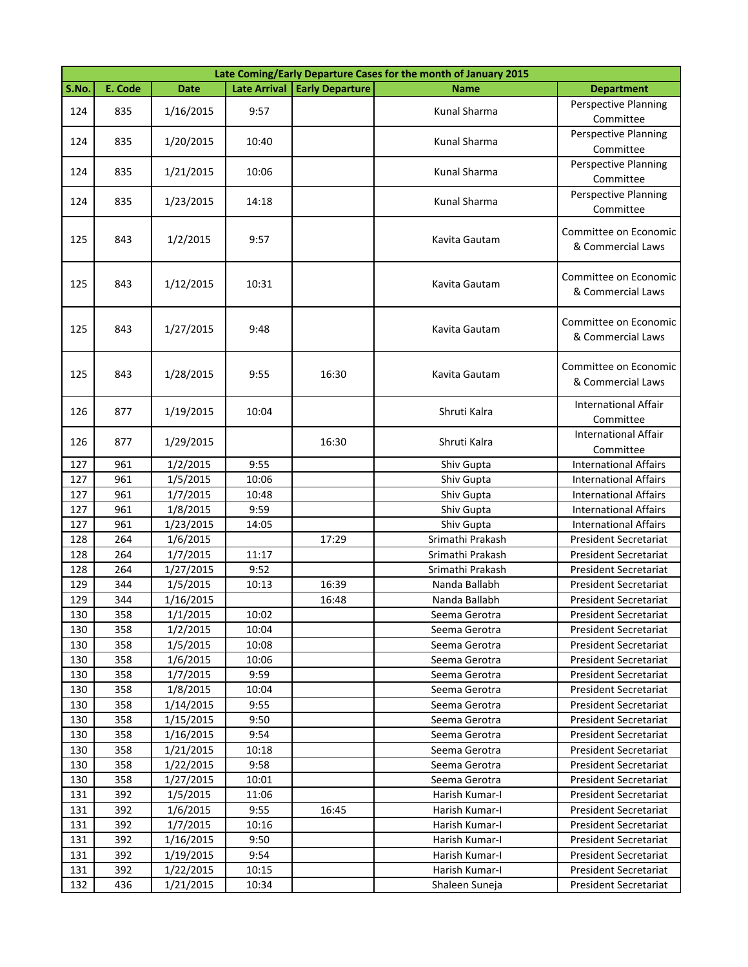|       | Late Coming/Early Departure Cases for the month of January 2015 |             |                     |                        |                  |                                            |  |  |  |
|-------|-----------------------------------------------------------------|-------------|---------------------|------------------------|------------------|--------------------------------------------|--|--|--|
| S.No. | E. Code                                                         | <b>Date</b> | <b>Late Arrival</b> | <b>Early Departure</b> | <b>Name</b>      | <b>Department</b>                          |  |  |  |
| 124   | 835                                                             | 1/16/2015   | 9:57                |                        | Kunal Sharma     | Perspective Planning<br>Committee          |  |  |  |
| 124   | 835                                                             | 1/20/2015   | 10:40               |                        | Kunal Sharma     | Perspective Planning<br>Committee          |  |  |  |
| 124   | 835                                                             | 1/21/2015   | 10:06               |                        | Kunal Sharma     | <b>Perspective Planning</b><br>Committee   |  |  |  |
| 124   | 835                                                             | 1/23/2015   | 14:18               |                        | Kunal Sharma     | Perspective Planning<br>Committee          |  |  |  |
| 125   | 843                                                             | 1/2/2015    | 9:57                |                        | Kavita Gautam    | Committee on Economic<br>& Commercial Laws |  |  |  |
| 125   | 843                                                             | 1/12/2015   | 10:31               |                        | Kavita Gautam    | Committee on Economic<br>& Commercial Laws |  |  |  |
| 125   | 843                                                             | 1/27/2015   | 9:48                |                        | Kavita Gautam    | Committee on Economic<br>& Commercial Laws |  |  |  |
| 125   | 843                                                             | 1/28/2015   | 9:55                | 16:30                  | Kavita Gautam    | Committee on Economic<br>& Commercial Laws |  |  |  |
| 126   | 877                                                             | 1/19/2015   | 10:04               |                        | Shruti Kalra     | <b>International Affair</b><br>Committee   |  |  |  |
| 126   | 877                                                             | 1/29/2015   |                     | 16:30                  | Shruti Kalra     | <b>International Affair</b><br>Committee   |  |  |  |
| 127   | 961                                                             | 1/2/2015    | 9:55                |                        | Shiv Gupta       | <b>International Affairs</b>               |  |  |  |
| 127   | 961                                                             | 1/5/2015    | 10:06               |                        | Shiv Gupta       | <b>International Affairs</b>               |  |  |  |
| 127   | 961                                                             | 1/7/2015    | 10:48               |                        | Shiv Gupta       | <b>International Affairs</b>               |  |  |  |
| 127   | 961                                                             | 1/8/2015    | 9:59                |                        | Shiv Gupta       | <b>International Affairs</b>               |  |  |  |
| 127   | 961                                                             | 1/23/2015   | 14:05               |                        | Shiv Gupta       | <b>International Affairs</b>               |  |  |  |
| 128   | 264                                                             | 1/6/2015    |                     | 17:29                  | Srimathi Prakash | <b>President Secretariat</b>               |  |  |  |
| 128   | 264                                                             | 1/7/2015    | 11:17               |                        | Srimathi Prakash | <b>President Secretariat</b>               |  |  |  |
| 128   | 264                                                             | 1/27/2015   | 9:52                |                        | Srimathi Prakash | President Secretariat                      |  |  |  |
| 129   | 344                                                             | 1/5/2015    | 10:13               | 16:39                  | Nanda Ballabh    | President Secretariat                      |  |  |  |
| 129   | 344                                                             | 1/16/2015   |                     | 16:48                  | Nanda Ballabh    | <b>President Secretariat</b>               |  |  |  |
| 130   | 358                                                             | 1/1/2015    | 10:02               |                        | Seema Gerotra    | <b>President Secretariat</b>               |  |  |  |
| 130   | 358                                                             | 1/2/2015    | 10:04               |                        | Seema Gerotra    | President Secretariat                      |  |  |  |
| 130   | 358                                                             | 1/5/2015    | 10:08               |                        | Seema Gerotra    | <b>President Secretariat</b>               |  |  |  |
| 130   | 358                                                             | 1/6/2015    | 10:06               |                        | Seema Gerotra    | <b>President Secretariat</b>               |  |  |  |
| 130   | 358                                                             | 1/7/2015    | 9:59                |                        | Seema Gerotra    | President Secretariat                      |  |  |  |
| 130   | 358                                                             | 1/8/2015    | 10:04               |                        | Seema Gerotra    | <b>President Secretariat</b>               |  |  |  |
| 130   | 358                                                             | 1/14/2015   | 9:55                |                        | Seema Gerotra    | President Secretariat                      |  |  |  |
| 130   | 358                                                             | 1/15/2015   | 9:50                |                        | Seema Gerotra    | President Secretariat                      |  |  |  |
| 130   | 358                                                             | 1/16/2015   | 9:54                |                        | Seema Gerotra    | <b>President Secretariat</b>               |  |  |  |
| 130   | 358                                                             | 1/21/2015   | 10:18               |                        | Seema Gerotra    | President Secretariat                      |  |  |  |
| 130   | 358                                                             | 1/22/2015   | 9:58                |                        | Seema Gerotra    | President Secretariat                      |  |  |  |
| 130   | 358                                                             | 1/27/2015   | 10:01               |                        | Seema Gerotra    | <b>President Secretariat</b>               |  |  |  |
| 131   | 392                                                             | 1/5/2015    | 11:06               |                        | Harish Kumar-I   | President Secretariat                      |  |  |  |
| 131   | 392                                                             | 1/6/2015    | 9:55                | 16:45                  | Harish Kumar-I   | President Secretariat                      |  |  |  |
| 131   | 392                                                             | 1/7/2015    | 10:16               |                        | Harish Kumar-I   | President Secretariat                      |  |  |  |
| 131   | 392                                                             | 1/16/2015   | 9:50                |                        | Harish Kumar-I   | <b>President Secretariat</b>               |  |  |  |
| 131   | 392                                                             | 1/19/2015   | 9:54                |                        | Harish Kumar-I   | President Secretariat                      |  |  |  |
| 131   | 392                                                             | 1/22/2015   | 10:15               |                        | Harish Kumar-I   | President Secretariat                      |  |  |  |
| 132   | 436                                                             | 1/21/2015   | 10:34               |                        | Shaleen Suneja   | President Secretariat                      |  |  |  |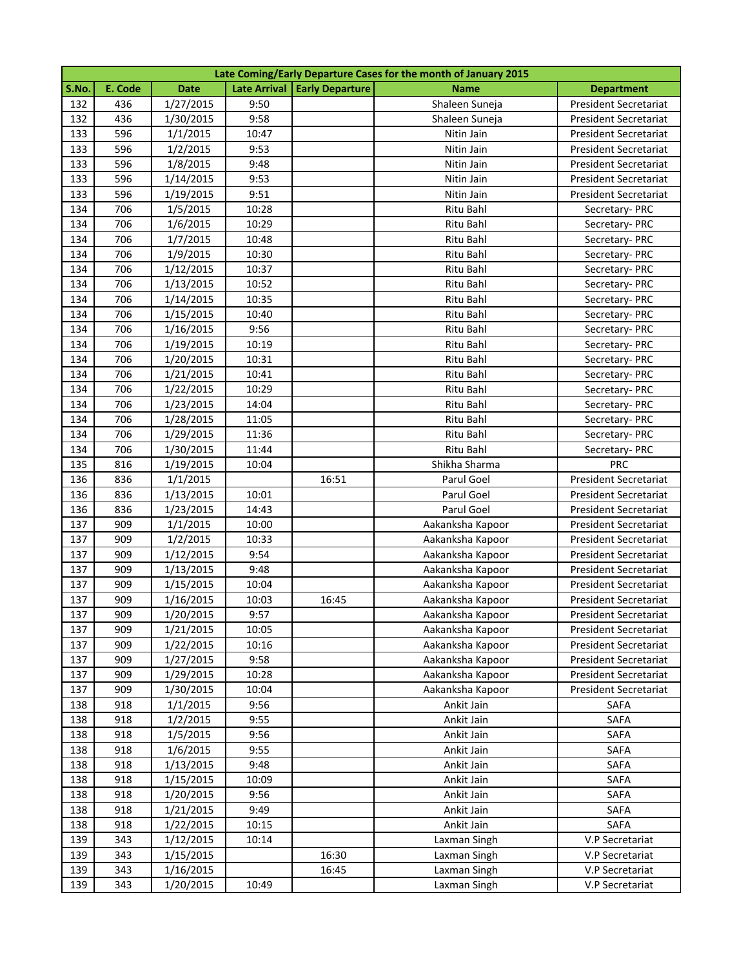|       | Late Coming/Early Departure Cases for the month of January 2015 |             |       |                                |                  |                              |  |  |
|-------|-----------------------------------------------------------------|-------------|-------|--------------------------------|------------------|------------------------------|--|--|
| S.No. | E. Code                                                         | <b>Date</b> |       | Late Arrival   Early Departure | Name             | <b>Department</b>            |  |  |
| 132   | 436                                                             | 1/27/2015   | 9:50  |                                | Shaleen Suneja   | <b>President Secretariat</b> |  |  |
| 132   | 436                                                             | 1/30/2015   | 9:58  |                                | Shaleen Suneja   | <b>President Secretariat</b> |  |  |
| 133   | 596                                                             | 1/1/2015    | 10:47 |                                | Nitin Jain       | <b>President Secretariat</b> |  |  |
| 133   | 596                                                             | 1/2/2015    | 9:53  |                                | Nitin Jain       | President Secretariat        |  |  |
| 133   | 596                                                             | 1/8/2015    | 9:48  |                                | Nitin Jain       | President Secretariat        |  |  |
| 133   | 596                                                             | 1/14/2015   | 9:53  |                                | Nitin Jain       | President Secretariat        |  |  |
| 133   | 596                                                             | 1/19/2015   | 9:51  |                                | Nitin Jain       | President Secretariat        |  |  |
| 134   | 706                                                             | 1/5/2015    | 10:28 |                                | Ritu Bahl        | Secretary- PRC               |  |  |
| 134   | 706                                                             | 1/6/2015    | 10:29 |                                | Ritu Bahl        | Secretary-PRC                |  |  |
| 134   | 706                                                             | 1/7/2015    | 10:48 |                                | Ritu Bahl        | Secretary-PRC                |  |  |
| 134   | 706                                                             | 1/9/2015    | 10:30 |                                | Ritu Bahl        | Secretary-PRC                |  |  |
| 134   | 706                                                             | 1/12/2015   | 10:37 |                                | Ritu Bahl        | Secretary- PRC               |  |  |
| 134   | 706                                                             | 1/13/2015   | 10:52 |                                | Ritu Bahl        | Secretary-PRC                |  |  |
| 134   | 706                                                             | 1/14/2015   | 10:35 |                                | Ritu Bahl        | Secretary-PRC                |  |  |
| 134   | 706                                                             | 1/15/2015   | 10:40 |                                | Ritu Bahl        | Secretary-PRC                |  |  |
| 134   | 706                                                             | 1/16/2015   | 9:56  |                                | Ritu Bahl        | Secretary-PRC                |  |  |
| 134   | 706                                                             | 1/19/2015   | 10:19 |                                | Ritu Bahl        | Secretary-PRC                |  |  |
| 134   | 706                                                             | 1/20/2015   | 10:31 |                                | Ritu Bahl        | Secretary-PRC                |  |  |
| 134   | 706                                                             | 1/21/2015   | 10:41 |                                | Ritu Bahl        | Secretary-PRC                |  |  |
| 134   | 706                                                             | 1/22/2015   | 10:29 |                                | Ritu Bahl        | Secretary-PRC                |  |  |
| 134   | 706                                                             | 1/23/2015   | 14:04 |                                | Ritu Bahl        | Secretary-PRC                |  |  |
| 134   | 706                                                             | 1/28/2015   | 11:05 |                                | Ritu Bahl        | Secretary-PRC                |  |  |
| 134   | 706                                                             | 1/29/2015   | 11:36 |                                | Ritu Bahl        | Secretary-PRC                |  |  |
| 134   | 706                                                             | 1/30/2015   | 11:44 |                                | Ritu Bahl        | Secretary-PRC                |  |  |
| 135   | 816                                                             | 1/19/2015   | 10:04 |                                | Shikha Sharma    | PRC                          |  |  |
| 136   | 836                                                             | 1/1/2015    |       | 16:51                          | Parul Goel       | President Secretariat        |  |  |
| 136   | 836                                                             | 1/13/2015   | 10:01 |                                | Parul Goel       | President Secretariat        |  |  |
| 136   | 836                                                             | 1/23/2015   | 14:43 |                                | Parul Goel       | President Secretariat        |  |  |
| 137   | 909                                                             | 1/1/2015    | 10:00 |                                | Aakanksha Kapoor | <b>President Secretariat</b> |  |  |
| 137   | 909                                                             | 1/2/2015    | 10:33 |                                | Aakanksha Kapoor | <b>President Secretariat</b> |  |  |
| 137   | 909                                                             | 1/12/2015   | 9:54  |                                | Aakanksha Kapoor | President Secretariat        |  |  |
| 137   | 909                                                             | 1/13/2015   | 9:48  |                                | Aakanksha Kapoor | President Secretariat        |  |  |
| 137   | 909                                                             | 1/15/2015   | 10:04 |                                | Aakanksha Kapoor | <b>President Secretariat</b> |  |  |
| 137   | 909                                                             | 1/16/2015   | 10:03 | 16:45                          | Aakanksha Kapoor | <b>President Secretariat</b> |  |  |
| 137   | 909                                                             | 1/20/2015   | 9:57  |                                | Aakanksha Kapoor | President Secretariat        |  |  |
| 137   | 909                                                             | 1/21/2015   | 10:05 |                                | Aakanksha Kapoor | <b>President Secretariat</b> |  |  |
| 137   | 909                                                             | 1/22/2015   | 10:16 |                                | Aakanksha Kapoor | President Secretariat        |  |  |
| 137   | 909                                                             | 1/27/2015   | 9:58  |                                | Aakanksha Kapoor | President Secretariat        |  |  |
| 137   | 909                                                             | 1/29/2015   | 10:28 |                                | Aakanksha Kapoor | <b>President Secretariat</b> |  |  |
| 137   | 909                                                             | 1/30/2015   | 10:04 |                                | Aakanksha Kapoor | President Secretariat        |  |  |
| 138   | 918                                                             | 1/1/2015    | 9:56  |                                | Ankit Jain       | SAFA                         |  |  |
| 138   | 918                                                             | 1/2/2015    | 9:55  |                                | Ankit Jain       | SAFA                         |  |  |
| 138   | 918                                                             | 1/5/2015    | 9:56  |                                | Ankit Jain       | <b>SAFA</b>                  |  |  |
| 138   | 918                                                             | 1/6/2015    | 9:55  |                                | Ankit Jain       | SAFA                         |  |  |
| 138   | 918                                                             | 1/13/2015   | 9:48  |                                | Ankit Jain       | SAFA                         |  |  |
| 138   | 918                                                             | 1/15/2015   | 10:09 |                                | Ankit Jain       | SAFA                         |  |  |
| 138   | 918                                                             | 1/20/2015   | 9:56  |                                | Ankit Jain       | SAFA                         |  |  |
| 138   | 918                                                             | 1/21/2015   | 9:49  |                                | Ankit Jain       | SAFA                         |  |  |
| 138   | 918                                                             | 1/22/2015   | 10:15 |                                | Ankit Jain       | SAFA                         |  |  |
| 139   | 343                                                             | 1/12/2015   | 10:14 |                                | Laxman Singh     | V.P Secretariat              |  |  |
| 139   | 343                                                             | 1/15/2015   |       | 16:30                          | Laxman Singh     | V.P Secretariat              |  |  |
| 139   | 343                                                             | 1/16/2015   |       | 16:45                          | Laxman Singh     | V.P Secretariat              |  |  |
| 139   | 343                                                             | 1/20/2015   | 10:49 |                                | Laxman Singh     | V.P Secretariat              |  |  |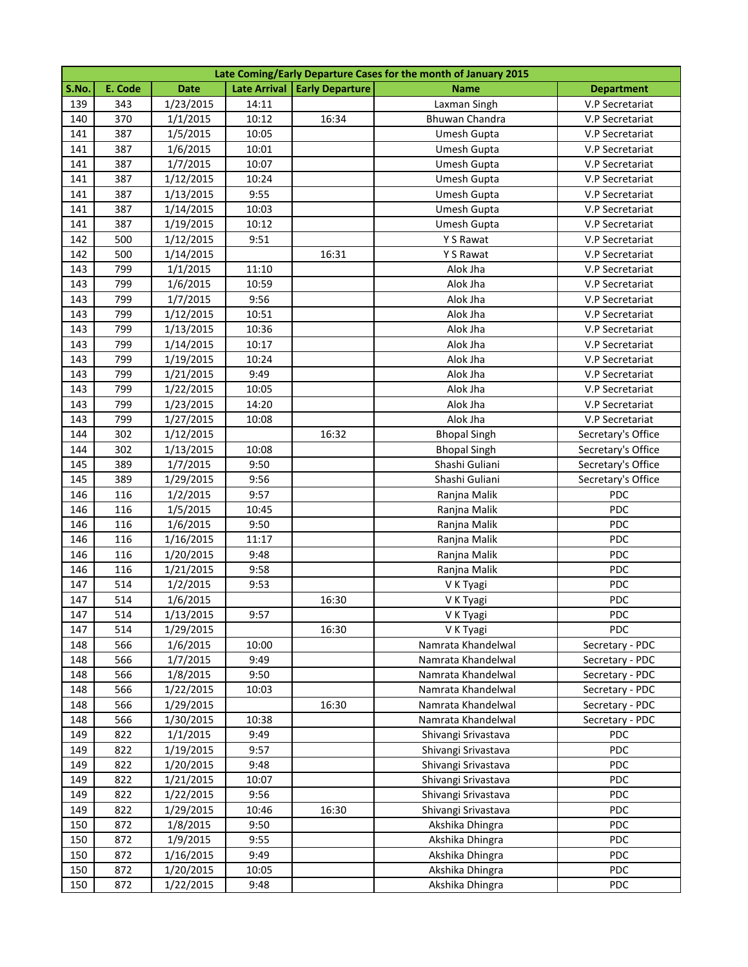|            | Late Coming/Early Departure Cases for the month of January 2015 |                        |              |                                |                                            |                                    |  |  |
|------------|-----------------------------------------------------------------|------------------------|--------------|--------------------------------|--------------------------------------------|------------------------------------|--|--|
| S.No.      | E. Code                                                         | <b>Date</b>            |              | Late Arrival   Early Departure | Name                                       | <b>Department</b>                  |  |  |
| 139        | 343                                                             | 1/23/2015              | 14:11        |                                | Laxman Singh                               | V.P Secretariat                    |  |  |
| 140        | 370                                                             | 1/1/2015               | 10:12        | 16:34                          | Bhuwan Chandra                             | V.P Secretariat                    |  |  |
| 141        | 387                                                             | 1/5/2015               | 10:05        |                                | Umesh Gupta                                | V.P Secretariat                    |  |  |
| 141        | 387                                                             | 1/6/2015               | 10:01        |                                | Umesh Gupta                                | V.P Secretariat                    |  |  |
| 141        | 387                                                             | 1/7/2015               | 10:07        |                                | Umesh Gupta                                | V.P Secretariat                    |  |  |
| 141        | 387                                                             | 1/12/2015              | 10:24        |                                | Umesh Gupta                                | V.P Secretariat                    |  |  |
| 141        | 387                                                             | 1/13/2015              | 9:55         |                                | Umesh Gupta                                | V.P Secretariat                    |  |  |
| 141        | 387                                                             | 1/14/2015              | 10:03        |                                | Umesh Gupta                                | V.P Secretariat                    |  |  |
| 141        | 387                                                             | 1/19/2015              | 10:12        |                                | Umesh Gupta                                | V.P Secretariat                    |  |  |
| 142        | 500                                                             | 1/12/2015              | 9:51         |                                | Y S Rawat                                  | V.P Secretariat                    |  |  |
| 142        | 500                                                             | 1/14/2015              |              | 16:31                          | Y S Rawat                                  | V.P Secretariat                    |  |  |
| 143        | 799                                                             | 1/1/2015               | 11:10        |                                | Alok Jha                                   | V.P Secretariat                    |  |  |
| 143        | 799                                                             | 1/6/2015               | 10:59        |                                | Alok Jha                                   | V.P Secretariat                    |  |  |
| 143        | 799                                                             | 1/7/2015               | 9:56         |                                | Alok Jha                                   | V.P Secretariat                    |  |  |
| 143        | 799                                                             | 1/12/2015              | 10:51        |                                | Alok Jha                                   | V.P Secretariat                    |  |  |
| 143        | 799                                                             | 1/13/2015              | 10:36        |                                | Alok Jha                                   | V.P Secretariat                    |  |  |
| 143        | 799                                                             | 1/14/2015              | 10:17        |                                | Alok Jha                                   | V.P Secretariat                    |  |  |
| 143        | 799                                                             | 1/19/2015              | 10:24        |                                | Alok Jha                                   | V.P Secretariat                    |  |  |
| 143        | 799                                                             | 1/21/2015              | 9:49         |                                | Alok Jha                                   | V.P Secretariat                    |  |  |
| 143        | 799                                                             | 1/22/2015              | 10:05        |                                | Alok Jha                                   | V.P Secretariat                    |  |  |
| 143        | 799                                                             | 1/23/2015              | 14:20        |                                | Alok Jha                                   | V.P Secretariat                    |  |  |
| 143        | 799                                                             | 1/27/2015              | 10:08        |                                | Alok Jha                                   | V.P Secretariat                    |  |  |
| 144        | 302                                                             | 1/12/2015              |              | 16:32                          | <b>Bhopal Singh</b>                        | Secretary's Office                 |  |  |
| 144        | 302                                                             | 1/13/2015              | 10:08        |                                | <b>Bhopal Singh</b>                        | Secretary's Office                 |  |  |
| 145        | 389                                                             | 1/7/2015               | 9:50         |                                | Shashi Guliani                             | Secretary's Office                 |  |  |
| 145        | 389                                                             | 1/29/2015              | 9:56         |                                | Shashi Guliani                             | Secretary's Office                 |  |  |
| 146        | 116                                                             | 1/2/2015               | 9:57         |                                | Ranjna Malik                               | PDC                                |  |  |
| 146        | 116                                                             | 1/5/2015               | 10:45        |                                | Ranjna Malik                               | PDC                                |  |  |
| 146        | 116                                                             | 1/6/2015               | 9:50         |                                | Ranjna Malik                               | PDC                                |  |  |
| 146        | 116                                                             | 1/16/2015              | 11:17        |                                | Ranjna Malik                               | PDC                                |  |  |
| 146        | 116                                                             | 1/20/2015              | 9:48         |                                | Ranjna Malik                               | PDC                                |  |  |
| 146        | 116                                                             | 1/21/2015              | 9:58         |                                | Ranjna Malik                               | PDC                                |  |  |
| 147        | 514                                                             | 1/2/2015               | 9:53         |                                | V K Tyagi                                  | PDC                                |  |  |
| 147        | 514                                                             | 1/6/2015               |              | 16:30                          | V K Tyagi                                  | PDC                                |  |  |
| 147        | 514                                                             | 1/13/2015              | 9:57         |                                | V K Tyagi                                  | PDC                                |  |  |
| 147        | 514                                                             | 1/29/2015              |              | 16:30                          | V K Tyagi                                  | PDC                                |  |  |
| 148        | 566                                                             | 1/6/2015               | 10:00        |                                | Namrata Khandelwal                         | Secretary - PDC                    |  |  |
| 148        | 566                                                             | 1/7/2015               | 9:49         |                                | Namrata Khandelwal                         | Secretary - PDC                    |  |  |
| 148        | 566                                                             | 1/8/2015               | 9:50         |                                | Namrata Khandelwal                         | Secretary - PDC                    |  |  |
| 148        | 566                                                             | 1/22/2015<br>1/29/2015 | 10:03        |                                | Namrata Khandelwal<br>Namrata Khandelwal   | Secretary - PDC                    |  |  |
| 148        | 566<br>566                                                      |                        |              | 16:30                          |                                            | Secretary - PDC<br>Secretary - PDC |  |  |
| 148        |                                                                 | 1/30/2015              | 10:38        |                                | Namrata Khandelwal                         | <b>PDC</b>                         |  |  |
| 149        | 822                                                             | 1/1/2015               | 9:49         |                                | Shivangi Srivastava                        |                                    |  |  |
| 149<br>149 | 822                                                             | 1/19/2015              | 9:57<br>9:48 |                                | Shivangi Srivastava                        | <b>PDC</b><br><b>PDC</b>           |  |  |
| 149        | 822<br>822                                                      | 1/20/2015<br>1/21/2015 | 10:07        |                                | Shivangi Srivastava<br>Shivangi Srivastava | PDC                                |  |  |
| 149        | 822                                                             | 1/22/2015              | 9:56         |                                | Shivangi Srivastava                        | PDC                                |  |  |
| 149        | 822                                                             | 1/29/2015              | 10:46        | 16:30                          | Shivangi Srivastava                        | PDC                                |  |  |
| 150        | 872                                                             | 1/8/2015               | 9:50         |                                | Akshika Dhingra                            | PDC                                |  |  |
| 150        | 872                                                             | 1/9/2015               | 9:55         |                                | Akshika Dhingra                            | PDC                                |  |  |
| 150        | 872                                                             | 1/16/2015              | 9:49         |                                | Akshika Dhingra                            | PDC                                |  |  |
| 150        | 872                                                             | 1/20/2015              | 10:05        |                                | Akshika Dhingra                            | PDC                                |  |  |
| 150        | 872                                                             | 1/22/2015              | 9:48         |                                | Akshika Dhingra                            | <b>PDC</b>                         |  |  |
|            |                                                                 |                        |              |                                |                                            |                                    |  |  |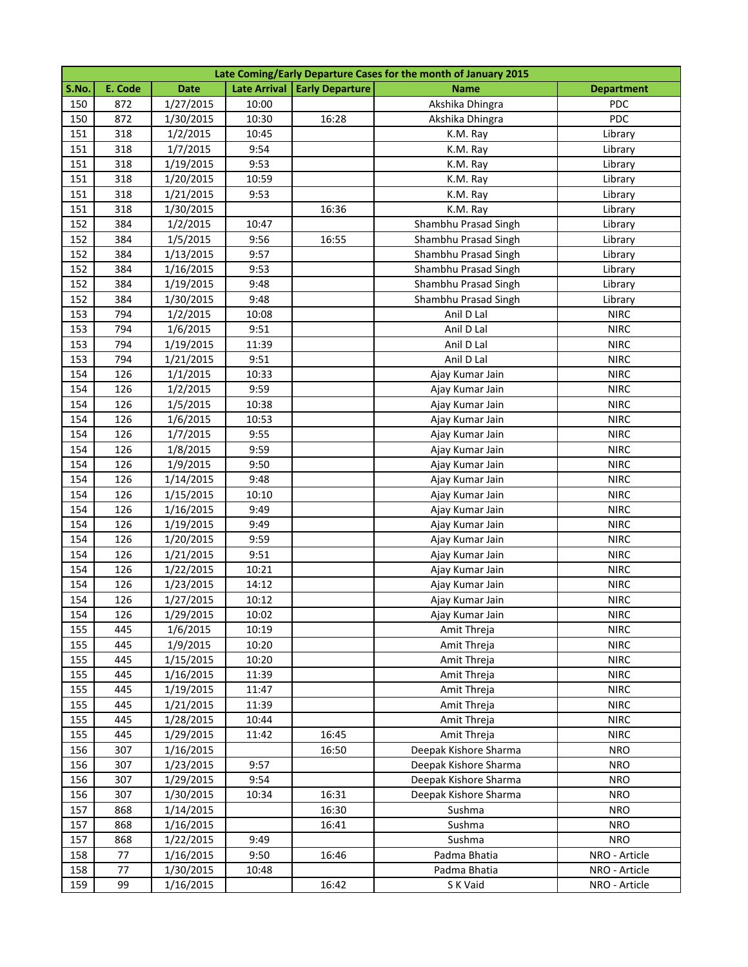|            | Late Coming/Early Departure Cases for the month of January 2015 |                        |                |                                |                            |                            |  |  |
|------------|-----------------------------------------------------------------|------------------------|----------------|--------------------------------|----------------------------|----------------------------|--|--|
| S.No.      | E. Code                                                         | <b>Date</b>            |                | Late Arrival   Early Departure | <b>Name</b>                | <b>Department</b>          |  |  |
| 150        | 872                                                             | 1/27/2015              | 10:00          |                                | Akshika Dhingra            | <b>PDC</b>                 |  |  |
| 150        | 872                                                             | 1/30/2015              | 10:30          | 16:28                          | Akshika Dhingra            | PDC                        |  |  |
| 151        | 318                                                             | 1/2/2015               | 10:45          |                                | K.M. Ray                   | Library                    |  |  |
| 151        | 318                                                             | 1/7/2015               | 9:54           |                                | K.M. Ray                   | Library                    |  |  |
| 151        | 318                                                             | 1/19/2015              | 9:53           |                                | K.M. Ray                   | Library                    |  |  |
| 151        | 318                                                             | 1/20/2015              | 10:59          |                                | K.M. Ray                   | Library                    |  |  |
| 151        | 318                                                             | 1/21/2015              | 9:53           |                                | K.M. Ray                   | Library                    |  |  |
| 151        | 318                                                             | 1/30/2015              |                | 16:36                          | K.M. Ray                   | Library                    |  |  |
| 152        | 384                                                             | 1/2/2015               | 10:47          |                                | Shambhu Prasad Singh       | Library                    |  |  |
| 152        | 384                                                             | 1/5/2015               | 9:56           | 16:55                          | Shambhu Prasad Singh       | Library                    |  |  |
| 152        | 384                                                             | 1/13/2015              | 9:57           |                                | Shambhu Prasad Singh       | Library                    |  |  |
| 152        | 384                                                             | 1/16/2015              | 9:53           |                                | Shambhu Prasad Singh       | Library                    |  |  |
| 152        | 384                                                             | 1/19/2015              | 9:48           |                                | Shambhu Prasad Singh       | Library                    |  |  |
| 152        | 384                                                             | 1/30/2015              | 9:48           |                                | Shambhu Prasad Singh       | Library                    |  |  |
| 153        | 794                                                             | 1/2/2015               | 10:08          |                                | Anil D Lal                 | <b>NIRC</b>                |  |  |
| 153        | 794                                                             | 1/6/2015               | 9:51           |                                | Anil D Lal                 | <b>NIRC</b>                |  |  |
| 153        | 794                                                             | 1/19/2015              | 11:39          |                                | Anil D Lal                 | <b>NIRC</b>                |  |  |
| 153        | 794                                                             | 1/21/2015              | 9:51           |                                | Anil D Lal                 | <b>NIRC</b>                |  |  |
| 154        | 126                                                             | 1/1/2015               | 10:33          |                                | Ajay Kumar Jain            | <b>NIRC</b>                |  |  |
| 154        | 126                                                             | 1/2/2015               | 9:59           |                                | Ajay Kumar Jain            | <b>NIRC</b>                |  |  |
| 154        | 126                                                             | 1/5/2015               | 10:38          |                                | Ajay Kumar Jain            | <b>NIRC</b>                |  |  |
| 154        | 126                                                             | 1/6/2015               | 10:53          |                                | Ajay Kumar Jain            | <b>NIRC</b>                |  |  |
| 154        | 126                                                             | 1/7/2015               | 9:55           |                                | Ajay Kumar Jain            | <b>NIRC</b>                |  |  |
| 154        | 126                                                             | 1/8/2015               | 9:59           |                                | Ajay Kumar Jain            | <b>NIRC</b>                |  |  |
| 154        | 126                                                             | 1/9/2015               | 9:50           |                                | Ajay Kumar Jain            | <b>NIRC</b>                |  |  |
| 154        | 126                                                             | 1/14/2015              | 9:48           |                                | Ajay Kumar Jain            | <b>NIRC</b>                |  |  |
| 154        | 126                                                             | 1/15/2015              | 10:10          |                                | Ajay Kumar Jain            | <b>NIRC</b>                |  |  |
| 154        | 126                                                             | 1/16/2015              | 9:49           |                                | Ajay Kumar Jain            | <b>NIRC</b>                |  |  |
| 154        | 126                                                             | 1/19/2015              | 9:49           |                                | Ajay Kumar Jain            | <b>NIRC</b>                |  |  |
| 154        | 126                                                             | 1/20/2015              | 9:59           |                                | Ajay Kumar Jain            | <b>NIRC</b>                |  |  |
| 154        | 126                                                             | 1/21/2015              | 9:51           |                                | Ajay Kumar Jain            | <b>NIRC</b>                |  |  |
| 154        | 126                                                             | 1/22/2015              | 10:21          |                                | Ajay Kumar Jain            | <b>NIRC</b>                |  |  |
| 154        | 126                                                             | 1/23/2015              | 14:12          |                                | Ajay Kumar Jain            | <b>NIRC</b>                |  |  |
| 154        | 126                                                             | 1/27/2015              | 10:12          |                                | Ajay Kumar Jain            | <b>NIRC</b>                |  |  |
| 154        | 126                                                             | 1/29/2015              | 10:02          |                                | Ajay Kumar Jain            | <b>NIRC</b>                |  |  |
| 155        | 445                                                             | 1/6/2015               | 10:19          |                                | Amit Threja                | <b>NIRC</b>                |  |  |
| 155        | 445                                                             | 1/9/2015               | 10:20          |                                | Amit Threja                | <b>NIRC</b>                |  |  |
| 155        | 445<br>445                                                      | 1/15/2015              | 10:20          |                                | Amit Threja                | <b>NIRC</b><br><b>NIRC</b> |  |  |
| 155        |                                                                 | 1/16/2015              | 11:39          |                                | Amit Threja                | <b>NIRC</b>                |  |  |
| 155<br>155 | 445<br>445                                                      | 1/19/2015<br>1/21/2015 | 11:47<br>11:39 |                                | Amit Threja<br>Amit Threja | <b>NIRC</b>                |  |  |
| 155        | 445                                                             | 1/28/2015              | 10:44          |                                | Amit Threja                | <b>NIRC</b>                |  |  |
| 155        | 445                                                             | 1/29/2015              | 11:42          | 16:45                          | Amit Threja                | <b>NIRC</b>                |  |  |
| 156        | 307                                                             | 1/16/2015              |                | 16:50                          | Deepak Kishore Sharma      | <b>NRO</b>                 |  |  |
| 156        | 307                                                             | 1/23/2015              | 9:57           |                                | Deepak Kishore Sharma      | <b>NRO</b>                 |  |  |
| 156        | 307                                                             | 1/29/2015              | 9:54           |                                | Deepak Kishore Sharma      | <b>NRO</b>                 |  |  |
| 156        | 307                                                             | 1/30/2015              | 10:34          | 16:31                          | Deepak Kishore Sharma      | <b>NRO</b>                 |  |  |
| 157        | 868                                                             | 1/14/2015              |                | 16:30                          | Sushma                     | <b>NRO</b>                 |  |  |
| 157        | 868                                                             | 1/16/2015              |                | 16:41                          | Sushma                     | <b>NRO</b>                 |  |  |
| 157        | 868                                                             | 1/22/2015              | 9:49           |                                | Sushma                     | <b>NRO</b>                 |  |  |
| 158        | 77                                                              | 1/16/2015              | 9:50           | 16:46                          | Padma Bhatia               | NRO - Article              |  |  |
| 158        | 77                                                              | 1/30/2015              | 10:48          |                                | Padma Bhatia               | NRO - Article              |  |  |
| 159        | 99                                                              | 1/16/2015              |                | 16:42                          | S K Vaid                   | NRO - Article              |  |  |
|            |                                                                 |                        |                |                                |                            |                            |  |  |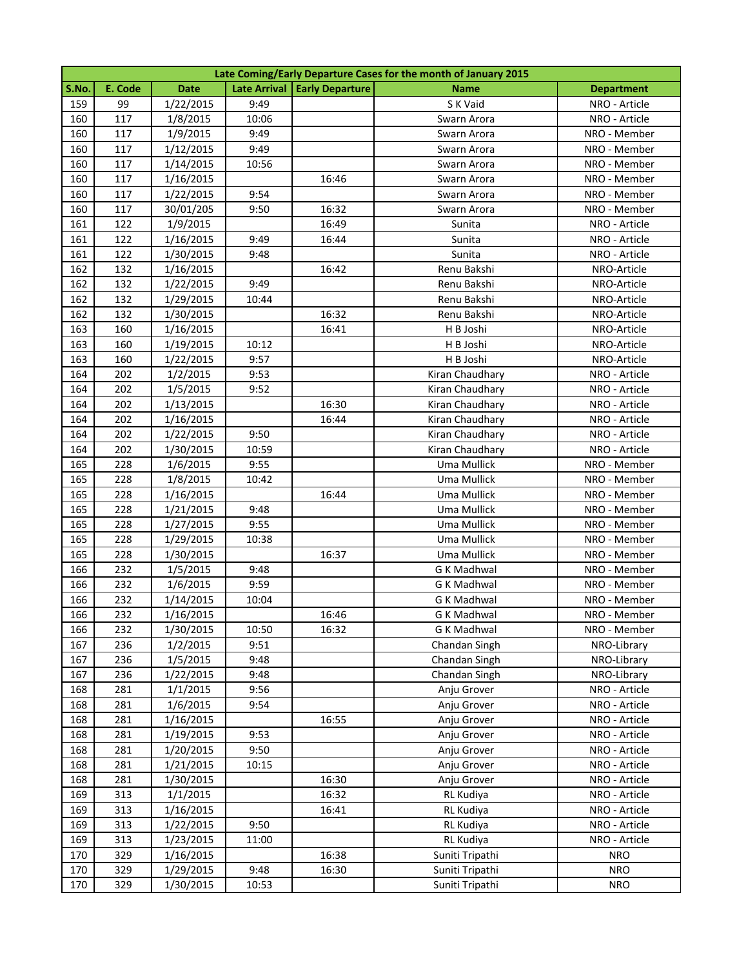|       | Late Coming/Early Departure Cases for the month of January 2015 |             |       |                                |                    |                   |  |  |
|-------|-----------------------------------------------------------------|-------------|-------|--------------------------------|--------------------|-------------------|--|--|
| S.No. | E. Code                                                         | <b>Date</b> |       | Late Arrival   Early Departure | <b>Name</b>        | <b>Department</b> |  |  |
| 159   | 99                                                              | 1/22/2015   | 9:49  |                                | S K Vaid           | NRO - Article     |  |  |
| 160   | 117                                                             | 1/8/2015    | 10:06 |                                | Swarn Arora        | NRO - Article     |  |  |
| 160   | 117                                                             | 1/9/2015    | 9:49  |                                | Swarn Arora        | NRO - Member      |  |  |
| 160   | 117                                                             | 1/12/2015   | 9:49  |                                | Swarn Arora        | NRO - Member      |  |  |
| 160   | 117                                                             | 1/14/2015   | 10:56 |                                | Swarn Arora        | NRO - Member      |  |  |
| 160   | 117                                                             | 1/16/2015   |       | 16:46                          | Swarn Arora        | NRO - Member      |  |  |
| 160   | 117                                                             | 1/22/2015   | 9:54  |                                | Swarn Arora        | NRO - Member      |  |  |
| 160   | 117                                                             | 30/01/205   | 9:50  | 16:32                          | Swarn Arora        | NRO - Member      |  |  |
| 161   | 122                                                             | 1/9/2015    |       | 16:49                          | Sunita             | NRO - Article     |  |  |
| 161   | 122                                                             | 1/16/2015   | 9:49  | 16:44                          | Sunita             | NRO - Article     |  |  |
| 161   | 122                                                             | 1/30/2015   | 9:48  |                                | Sunita             | NRO - Article     |  |  |
| 162   | 132                                                             | 1/16/2015   |       | 16:42                          | Renu Bakshi        | NRO-Article       |  |  |
| 162   | 132                                                             | 1/22/2015   | 9:49  |                                | Renu Bakshi        | NRO-Article       |  |  |
| 162   | 132                                                             | 1/29/2015   | 10:44 |                                | Renu Bakshi        | NRO-Article       |  |  |
| 162   | 132                                                             | 1/30/2015   |       | 16:32                          | Renu Bakshi        | NRO-Article       |  |  |
| 163   | 160                                                             | 1/16/2015   |       | 16:41                          | H B Joshi          | NRO-Article       |  |  |
| 163   | 160                                                             | 1/19/2015   | 10:12 |                                | H B Joshi          | NRO-Article       |  |  |
| 163   | 160                                                             | 1/22/2015   | 9:57  |                                | H B Joshi          | NRO-Article       |  |  |
| 164   | 202                                                             | 1/2/2015    | 9:53  |                                | Kiran Chaudhary    | NRO - Article     |  |  |
| 164   | 202                                                             | 1/5/2015    | 9:52  |                                | Kiran Chaudhary    | NRO - Article     |  |  |
| 164   | 202                                                             | 1/13/2015   |       | 16:30                          | Kiran Chaudhary    | NRO - Article     |  |  |
| 164   | 202                                                             | 1/16/2015   |       | 16:44                          | Kiran Chaudhary    | NRO - Article     |  |  |
| 164   | 202                                                             | 1/22/2015   | 9:50  |                                | Kiran Chaudhary    | NRO - Article     |  |  |
| 164   | 202                                                             | 1/30/2015   | 10:59 |                                | Kiran Chaudhary    | NRO - Article     |  |  |
| 165   | 228                                                             | 1/6/2015    | 9:55  |                                | Uma Mullick        | NRO - Member      |  |  |
| 165   | 228                                                             | 1/8/2015    | 10:42 |                                | Uma Mullick        | NRO - Member      |  |  |
| 165   | 228                                                             | 1/16/2015   |       | 16:44                          | Uma Mullick        | NRO - Member      |  |  |
| 165   | 228                                                             | 1/21/2015   | 9:48  |                                | Uma Mullick        | NRO - Member      |  |  |
| 165   | 228                                                             | 1/27/2015   | 9:55  |                                | Uma Mullick        | NRO - Member      |  |  |
| 165   | 228                                                             | 1/29/2015   | 10:38 |                                | Uma Mullick        | NRO - Member      |  |  |
| 165   | 228                                                             | 1/30/2015   |       | 16:37                          | Uma Mullick        | NRO - Member      |  |  |
| 166   | 232                                                             | 1/5/2015    | 9:48  |                                | <b>G K Madhwal</b> | NRO - Member      |  |  |
| 166   | 232                                                             | 1/6/2015    | 9:59  |                                | G K Madhwal        | NRO - Member      |  |  |
| 166   | 232                                                             | 1/14/2015   | 10:04 |                                | <b>G K Madhwal</b> | NRO - Member      |  |  |
| 166   | 232                                                             | 1/16/2015   |       | 16:46                          | <b>GK Madhwal</b>  | NRO - Member      |  |  |
| 166   | 232                                                             | 1/30/2015   | 10:50 | 16:32                          | <b>G K Madhwal</b> | NRO - Member      |  |  |
| 167   | 236                                                             | 1/2/2015    | 9:51  |                                | Chandan Singh      | NRO-Library       |  |  |
| 167   | 236                                                             | 1/5/2015    | 9:48  |                                | Chandan Singh      | NRO-Library       |  |  |
| 167   | 236                                                             | 1/22/2015   | 9:48  |                                | Chandan Singh      | NRO-Library       |  |  |
| 168   | 281                                                             | 1/1/2015    | 9:56  |                                | Anju Grover        | NRO - Article     |  |  |
| 168   | 281                                                             | 1/6/2015    | 9:54  |                                | Anju Grover        | NRO - Article     |  |  |
| 168   | 281                                                             | 1/16/2015   |       | 16:55                          | Anju Grover        | NRO - Article     |  |  |
| 168   | 281                                                             | 1/19/2015   | 9:53  |                                | Anju Grover        | NRO - Article     |  |  |
| 168   | 281                                                             | 1/20/2015   | 9:50  |                                | Anju Grover        | NRO - Article     |  |  |
| 168   | 281                                                             | 1/21/2015   | 10:15 |                                | Anju Grover        | NRO - Article     |  |  |
| 168   | 281                                                             | 1/30/2015   |       | 16:30                          | Anju Grover        | NRO - Article     |  |  |
| 169   | 313                                                             | 1/1/2015    |       | 16:32                          | RL Kudiya          | NRO - Article     |  |  |
| 169   | 313                                                             | 1/16/2015   |       | 16:41                          | RL Kudiya          | NRO - Article     |  |  |
| 169   | 313                                                             | 1/22/2015   | 9:50  |                                | RL Kudiya          | NRO - Article     |  |  |
| 169   | 313                                                             | 1/23/2015   | 11:00 |                                | RL Kudiya          | NRO - Article     |  |  |
| 170   | 329                                                             | 1/16/2015   |       | 16:38                          | Suniti Tripathi    | <b>NRO</b>        |  |  |
| 170   | 329                                                             | 1/29/2015   | 9:48  | 16:30                          | Suniti Tripathi    | <b>NRO</b>        |  |  |
| 170   | 329                                                             | 1/30/2015   | 10:53 |                                | Suniti Tripathi    | <b>NRO</b>        |  |  |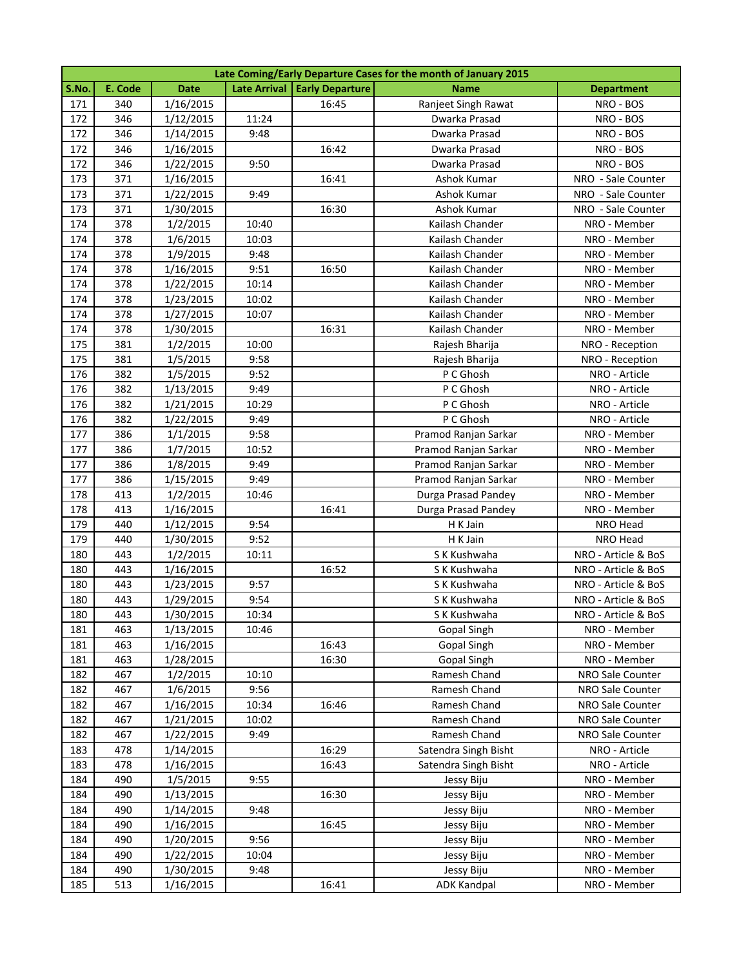|       | Late Coming/Early Departure Cases for the month of January 2015 |             |       |                                |                      |                     |  |  |
|-------|-----------------------------------------------------------------|-------------|-------|--------------------------------|----------------------|---------------------|--|--|
| S.No. | E. Code                                                         | <b>Date</b> |       | Late Arrival   Early Departure | <b>Name</b>          | <b>Department</b>   |  |  |
| 171   | 340                                                             | 1/16/2015   |       | 16:45                          | Ranjeet Singh Rawat  | NRO - BOS           |  |  |
| 172   | 346                                                             | 1/12/2015   | 11:24 |                                | Dwarka Prasad        | NRO - BOS           |  |  |
| 172   | 346                                                             | 1/14/2015   | 9:48  |                                | Dwarka Prasad        | NRO - BOS           |  |  |
| 172   | 346                                                             | 1/16/2015   |       | 16:42                          | Dwarka Prasad        | NRO - BOS           |  |  |
| 172   | 346                                                             | 1/22/2015   | 9:50  |                                | Dwarka Prasad        | NRO - BOS           |  |  |
| 173   | 371                                                             | 1/16/2015   |       | 16:41                          | Ashok Kumar          | NRO - Sale Counter  |  |  |
| 173   | 371                                                             | 1/22/2015   | 9:49  |                                | Ashok Kumar          | NRO - Sale Counter  |  |  |
| 173   | 371                                                             | 1/30/2015   |       | 16:30                          | Ashok Kumar          | NRO - Sale Counter  |  |  |
| 174   | 378                                                             | 1/2/2015    | 10:40 |                                | Kailash Chander      | NRO - Member        |  |  |
| 174   | 378                                                             | 1/6/2015    | 10:03 |                                | Kailash Chander      | NRO - Member        |  |  |
| 174   | 378                                                             | 1/9/2015    | 9:48  |                                | Kailash Chander      | NRO - Member        |  |  |
| 174   | 378                                                             | 1/16/2015   | 9:51  | 16:50                          | Kailash Chander      | NRO - Member        |  |  |
| 174   | 378                                                             | 1/22/2015   | 10:14 |                                | Kailash Chander      | NRO - Member        |  |  |
| 174   | 378                                                             | 1/23/2015   | 10:02 |                                | Kailash Chander      | NRO - Member        |  |  |
| 174   | 378                                                             | 1/27/2015   | 10:07 |                                | Kailash Chander      | NRO - Member        |  |  |
| 174   | 378                                                             | 1/30/2015   |       | 16:31                          | Kailash Chander      | NRO - Member        |  |  |
| 175   | 381                                                             | 1/2/2015    | 10:00 |                                | Rajesh Bharija       | NRO - Reception     |  |  |
| 175   | 381                                                             | 1/5/2015    | 9:58  |                                | Rajesh Bharija       | NRO - Reception     |  |  |
| 176   | 382                                                             | 1/5/2015    | 9:52  |                                | P C Ghosh            | NRO - Article       |  |  |
| 176   | 382                                                             | 1/13/2015   | 9:49  |                                | P C Ghosh            | NRO - Article       |  |  |
| 176   | 382                                                             | 1/21/2015   | 10:29 |                                | P C Ghosh            | NRO - Article       |  |  |
| 176   | 382                                                             | 1/22/2015   | 9:49  |                                | P C Ghosh            | NRO - Article       |  |  |
| 177   | 386                                                             | 1/1/2015    | 9:58  |                                | Pramod Ranjan Sarkar | NRO - Member        |  |  |
| 177   | 386                                                             | 1/7/2015    | 10:52 |                                | Pramod Ranjan Sarkar | NRO - Member        |  |  |
| 177   | 386                                                             | 1/8/2015    | 9:49  |                                | Pramod Ranjan Sarkar | NRO - Member        |  |  |
| 177   | 386                                                             | 1/15/2015   | 9:49  |                                | Pramod Ranjan Sarkar | NRO - Member        |  |  |
| 178   | 413                                                             | 1/2/2015    | 10:46 |                                | Durga Prasad Pandey  | NRO - Member        |  |  |
| 178   | 413                                                             | 1/16/2015   |       | 16:41                          | Durga Prasad Pandey  | NRO - Member        |  |  |
| 179   | 440                                                             | 1/12/2015   | 9:54  |                                | H K Jain             | NRO Head            |  |  |
| 179   | 440                                                             | 1/30/2015   | 9:52  |                                | H K Jain             | NRO Head            |  |  |
| 180   | 443                                                             | 1/2/2015    | 10:11 |                                | S K Kushwaha         | NRO - Article & BoS |  |  |
| 180   | 443                                                             | 1/16/2015   |       | 16:52                          | S K Kushwaha         | NRO - Article & BoS |  |  |
| 180   | 443                                                             | 1/23/2015   | 9:57  |                                | S K Kushwaha         | NRO - Article & BoS |  |  |
| 180   | 443                                                             | 1/29/2015   | 9:54  |                                | S K Kushwaha         | NRO - Article & BoS |  |  |
| 180   | 443                                                             | 1/30/2015   | 10:34 |                                | S K Kushwaha         | NRO - Article & BoS |  |  |
| 181   | 463                                                             | 1/13/2015   | 10:46 |                                | <b>Gopal Singh</b>   | NRO - Member        |  |  |
| 181   | 463                                                             | 1/16/2015   |       | 16:43                          | <b>Gopal Singh</b>   | NRO - Member        |  |  |
| 181   | 463                                                             | 1/28/2015   |       | 16:30                          | Gopal Singh          | NRO - Member        |  |  |
| 182   | 467                                                             | 1/2/2015    | 10:10 |                                | Ramesh Chand         | NRO Sale Counter    |  |  |
| 182   | 467                                                             | 1/6/2015    | 9:56  |                                | Ramesh Chand         | NRO Sale Counter    |  |  |
| 182   | 467                                                             | 1/16/2015   | 10:34 | 16:46                          | Ramesh Chand         | NRO Sale Counter    |  |  |
| 182   | 467                                                             | 1/21/2015   | 10:02 |                                | Ramesh Chand         | NRO Sale Counter    |  |  |
| 182   | 467                                                             | 1/22/2015   | 9:49  |                                | Ramesh Chand         | NRO Sale Counter    |  |  |
| 183   | 478                                                             | 1/14/2015   |       | 16:29                          | Satendra Singh Bisht | NRO - Article       |  |  |
| 183   | 478                                                             | 1/16/2015   |       | 16:43                          | Satendra Singh Bisht | NRO - Article       |  |  |
| 184   | 490                                                             | 1/5/2015    | 9:55  |                                | Jessy Biju           | NRO - Member        |  |  |
| 184   | 490                                                             | 1/13/2015   |       | 16:30                          | Jessy Biju           | NRO - Member        |  |  |
| 184   | 490                                                             | 1/14/2015   | 9:48  |                                | Jessy Biju           | NRO - Member        |  |  |
| 184   | 490                                                             | 1/16/2015   |       | 16:45                          | Jessy Biju           | NRO - Member        |  |  |
| 184   | 490                                                             | 1/20/2015   | 9:56  |                                | Jessy Biju           | NRO - Member        |  |  |
| 184   | 490                                                             | 1/22/2015   | 10:04 |                                | Jessy Biju           | NRO - Member        |  |  |
| 184   | 490                                                             | 1/30/2015   | 9:48  |                                | Jessy Biju           | NRO - Member        |  |  |
| 185   | 513                                                             | 1/16/2015   |       | 16:41                          | <b>ADK Kandpal</b>   | NRO - Member        |  |  |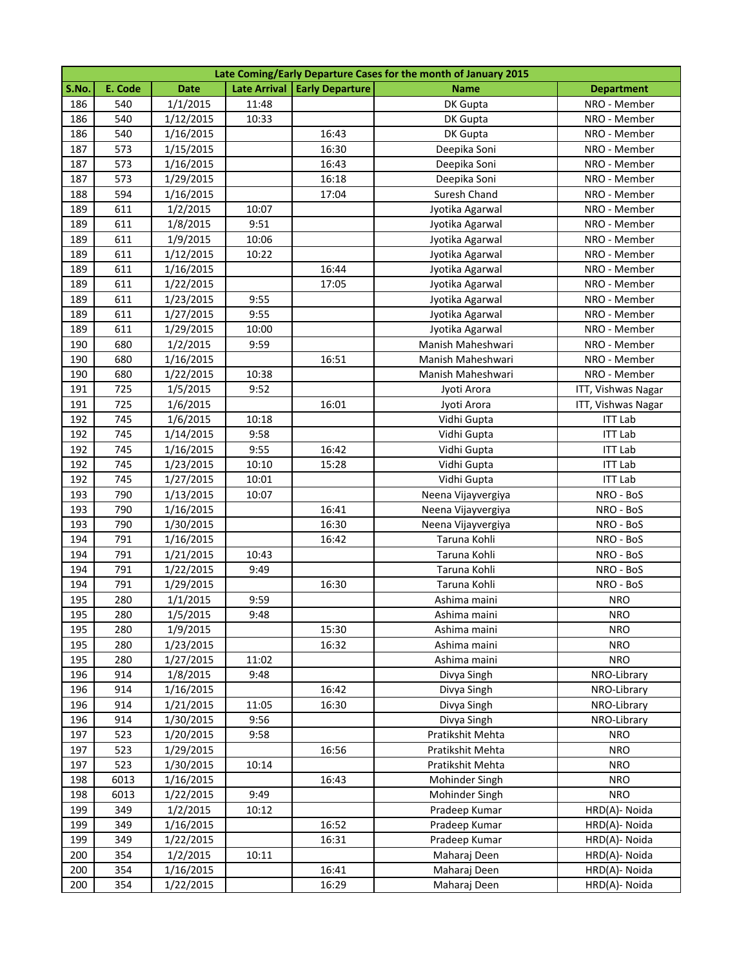|       | Late Coming/Early Departure Cases for the month of January 2015 |             |       |                                |                    |                    |  |  |
|-------|-----------------------------------------------------------------|-------------|-------|--------------------------------|--------------------|--------------------|--|--|
| S.No. | E. Code                                                         | <b>Date</b> |       | Late Arrival   Early Departure | <b>Name</b>        | <b>Department</b>  |  |  |
| 186   | 540                                                             | 1/1/2015    | 11:48 |                                | DK Gupta           | NRO - Member       |  |  |
| 186   | 540                                                             | 1/12/2015   | 10:33 |                                | DK Gupta           | NRO - Member       |  |  |
| 186   | 540                                                             | 1/16/2015   |       | 16:43                          | DK Gupta           | NRO - Member       |  |  |
| 187   | 573                                                             | 1/15/2015   |       | 16:30                          | Deepika Soni       | NRO - Member       |  |  |
| 187   | 573                                                             | 1/16/2015   |       | 16:43                          | Deepika Soni       | NRO - Member       |  |  |
| 187   | 573                                                             | 1/29/2015   |       | 16:18                          | Deepika Soni       | NRO - Member       |  |  |
| 188   | 594                                                             | 1/16/2015   |       | 17:04                          | Suresh Chand       | NRO - Member       |  |  |
| 189   | 611                                                             | 1/2/2015    | 10:07 |                                | Jyotika Agarwal    | NRO - Member       |  |  |
| 189   | 611                                                             | 1/8/2015    | 9:51  |                                | Jyotika Agarwal    | NRO - Member       |  |  |
| 189   | 611                                                             | 1/9/2015    | 10:06 |                                | Jyotika Agarwal    | NRO - Member       |  |  |
| 189   | 611                                                             | 1/12/2015   | 10:22 |                                | Jyotika Agarwal    | NRO - Member       |  |  |
| 189   | 611                                                             | 1/16/2015   |       | 16:44                          | Jyotika Agarwal    | NRO - Member       |  |  |
| 189   | 611                                                             | 1/22/2015   |       | 17:05                          | Jyotika Agarwal    | NRO - Member       |  |  |
| 189   | 611                                                             | 1/23/2015   | 9:55  |                                | Jyotika Agarwal    | NRO - Member       |  |  |
| 189   | 611                                                             | 1/27/2015   | 9:55  |                                | Jyotika Agarwal    | NRO - Member       |  |  |
| 189   | 611                                                             | 1/29/2015   | 10:00 |                                | Jyotika Agarwal    | NRO - Member       |  |  |
| 190   | 680                                                             | 1/2/2015    | 9:59  |                                | Manish Maheshwari  | NRO - Member       |  |  |
| 190   | 680                                                             | 1/16/2015   |       | 16:51                          | Manish Maheshwari  | NRO - Member       |  |  |
| 190   | 680                                                             | 1/22/2015   | 10:38 |                                | Manish Maheshwari  | NRO - Member       |  |  |
| 191   | 725                                                             | 1/5/2015    | 9:52  |                                | Jyoti Arora        | ITT, Vishwas Nagar |  |  |
| 191   | 725                                                             | 1/6/2015    |       | 16:01                          | Jyoti Arora        | ITT, Vishwas Nagar |  |  |
| 192   | 745                                                             | 1/6/2015    | 10:18 |                                | Vidhi Gupta        | <b>ITT Lab</b>     |  |  |
| 192   | 745                                                             | 1/14/2015   | 9:58  |                                | Vidhi Gupta        | <b>ITT Lab</b>     |  |  |
| 192   | 745                                                             | 1/16/2015   | 9:55  | 16:42                          | Vidhi Gupta        | <b>ITT Lab</b>     |  |  |
| 192   | 745                                                             | 1/23/2015   | 10:10 | 15:28                          | Vidhi Gupta        | <b>ITT Lab</b>     |  |  |
| 192   | 745                                                             | 1/27/2015   | 10:01 |                                | Vidhi Gupta        | <b>ITT Lab</b>     |  |  |
| 193   | 790                                                             | 1/13/2015   | 10:07 |                                | Neena Vijayvergiya | NRO - BoS          |  |  |
| 193   | 790                                                             | 1/16/2015   |       | 16:41                          | Neena Vijayvergiya | NRO - BoS          |  |  |
| 193   | 790                                                             | 1/30/2015   |       | 16:30                          | Neena Vijayvergiya | NRO - BoS          |  |  |
| 194   | 791                                                             | 1/16/2015   |       | 16:42                          | Taruna Kohli       | NRO - BoS          |  |  |
| 194   | 791                                                             | 1/21/2015   | 10:43 |                                | Taruna Kohli       | NRO - BoS          |  |  |
| 194   | 791                                                             | 1/22/2015   | 9:49  |                                | Taruna Kohli       | NRO - BoS          |  |  |
| 194   | 791                                                             | 1/29/2015   |       | 16:30                          | Taruna Kohli       | NRO - BoS          |  |  |
| 195   | 280                                                             | 1/1/2015    | 9:59  |                                | Ashima maini       | <b>NRO</b>         |  |  |
| 195   | 280                                                             | 1/5/2015    | 9:48  |                                | Ashima maini       | <b>NRO</b>         |  |  |
| 195   | 280                                                             | 1/9/2015    |       | 15:30                          | Ashima maini       | <b>NRO</b>         |  |  |
| 195   | 280                                                             | 1/23/2015   |       | 16:32                          | Ashima maini       | <b>NRO</b>         |  |  |
| 195   | 280                                                             | 1/27/2015   | 11:02 |                                | Ashima maini       | <b>NRO</b>         |  |  |
| 196   | 914                                                             | 1/8/2015    | 9:48  |                                | Divya Singh        | NRO-Library        |  |  |
| 196   | 914                                                             | 1/16/2015   |       | 16:42                          | Divya Singh        | NRO-Library        |  |  |
| 196   | 914                                                             | 1/21/2015   | 11:05 | 16:30                          | Divya Singh        | NRO-Library        |  |  |
| 196   | 914                                                             | 1/30/2015   | 9:56  |                                | Divya Singh        | NRO-Library        |  |  |
| 197   | 523                                                             | 1/20/2015   | 9:58  |                                | Pratikshit Mehta   | <b>NRO</b>         |  |  |
| 197   | 523                                                             | 1/29/2015   |       | 16:56                          | Pratikshit Mehta   | <b>NRO</b>         |  |  |
| 197   | 523                                                             | 1/30/2015   | 10:14 |                                | Pratikshit Mehta   | <b>NRO</b>         |  |  |
| 198   | 6013                                                            | 1/16/2015   |       | 16:43                          | Mohinder Singh     | <b>NRO</b>         |  |  |
| 198   | 6013                                                            | 1/22/2015   | 9:49  |                                | Mohinder Singh     | <b>NRO</b>         |  |  |
| 199   | 349                                                             | 1/2/2015    | 10:12 |                                | Pradeep Kumar      | HRD(A)- Noida      |  |  |
| 199   | 349                                                             | 1/16/2015   |       | 16:52                          | Pradeep Kumar      | HRD(A)- Noida      |  |  |
| 199   | 349                                                             | 1/22/2015   |       | 16:31                          | Pradeep Kumar      | HRD(A)- Noida      |  |  |
| 200   | 354                                                             | 1/2/2015    | 10:11 |                                | Maharaj Deen       | HRD(A)- Noida      |  |  |
| 200   | 354                                                             | 1/16/2015   |       | 16:41                          | Maharaj Deen       | HRD(A)- Noida      |  |  |
| 200   | 354                                                             | 1/22/2015   |       | 16:29                          | Maharaj Deen       | HRD(A)- Noida      |  |  |
|       |                                                                 |             |       |                                |                    |                    |  |  |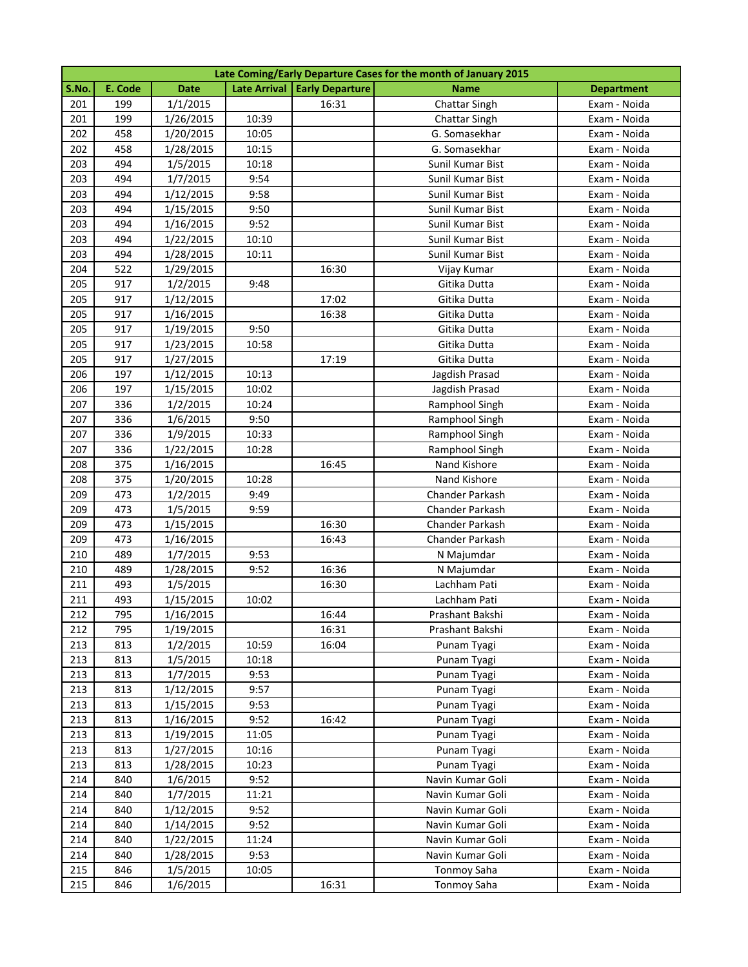|       | Late Coming/Early Departure Cases for the month of January 2015 |             |       |                                |                      |                   |  |  |
|-------|-----------------------------------------------------------------|-------------|-------|--------------------------------|----------------------|-------------------|--|--|
| S.No. | E. Code                                                         | <b>Date</b> |       | Late Arrival   Early Departure | <b>Name</b>          | <b>Department</b> |  |  |
| 201   | 199                                                             | 1/1/2015    |       | 16:31                          | Chattar Singh        | Exam - Noida      |  |  |
| 201   | 199                                                             | 1/26/2015   | 10:39 |                                | <b>Chattar Singh</b> | Exam - Noida      |  |  |
| 202   | 458                                                             | 1/20/2015   | 10:05 |                                | G. Somasekhar        | Exam - Noida      |  |  |
| 202   | 458                                                             | 1/28/2015   | 10:15 |                                | G. Somasekhar        | Exam - Noida      |  |  |
| 203   | 494                                                             | 1/5/2015    | 10:18 |                                | Sunil Kumar Bist     | Exam - Noida      |  |  |
| 203   | 494                                                             | 1/7/2015    | 9:54  |                                | Sunil Kumar Bist     | Exam - Noida      |  |  |
| 203   | 494                                                             | 1/12/2015   | 9:58  |                                | Sunil Kumar Bist     | Exam - Noida      |  |  |
| 203   | 494                                                             | 1/15/2015   | 9:50  |                                | Sunil Kumar Bist     | Exam - Noida      |  |  |
| 203   | 494                                                             | 1/16/2015   | 9:52  |                                | Sunil Kumar Bist     | Exam - Noida      |  |  |
| 203   | 494                                                             | 1/22/2015   | 10:10 |                                | Sunil Kumar Bist     | Exam - Noida      |  |  |
| 203   | 494                                                             | 1/28/2015   | 10:11 |                                | Sunil Kumar Bist     | Exam - Noida      |  |  |
| 204   | 522                                                             | 1/29/2015   |       | 16:30                          | Vijay Kumar          | Exam - Noida      |  |  |
| 205   | 917                                                             | 1/2/2015    | 9:48  |                                | Gitika Dutta         | Exam - Noida      |  |  |
| 205   | 917                                                             | 1/12/2015   |       | 17:02                          | Gitika Dutta         | Exam - Noida      |  |  |
| 205   | 917                                                             | 1/16/2015   |       | 16:38                          | Gitika Dutta         | Exam - Noida      |  |  |
| 205   | 917                                                             | 1/19/2015   | 9:50  |                                | Gitika Dutta         | Exam - Noida      |  |  |
| 205   | 917                                                             | 1/23/2015   | 10:58 |                                | Gitika Dutta         | Exam - Noida      |  |  |
| 205   | 917                                                             | 1/27/2015   |       | 17:19                          | Gitika Dutta         | Exam - Noida      |  |  |
| 206   | 197                                                             | 1/12/2015   | 10:13 |                                | Jagdish Prasad       | Exam - Noida      |  |  |
| 206   | 197                                                             | 1/15/2015   | 10:02 |                                | Jagdish Prasad       | Exam - Noida      |  |  |
| 207   | 336                                                             | 1/2/2015    | 10:24 |                                | Ramphool Singh       | Exam - Noida      |  |  |
| 207   | 336                                                             | 1/6/2015    | 9:50  |                                | Ramphool Singh       | Exam - Noida      |  |  |
| 207   | 336                                                             | 1/9/2015    | 10:33 |                                | Ramphool Singh       | Exam - Noida      |  |  |
| 207   | 336                                                             | 1/22/2015   | 10:28 |                                | Ramphool Singh       | Exam - Noida      |  |  |
| 208   | 375                                                             | 1/16/2015   |       | 16:45                          | Nand Kishore         | Exam - Noida      |  |  |
| 208   | 375                                                             | 1/20/2015   | 10:28 |                                | Nand Kishore         | Exam - Noida      |  |  |
| 209   | 473                                                             | 1/2/2015    | 9:49  |                                | Chander Parkash      | Exam - Noida      |  |  |
| 209   | 473                                                             | 1/5/2015    | 9:59  |                                | Chander Parkash      | Exam - Noida      |  |  |
| 209   | 473                                                             | 1/15/2015   |       | 16:30                          | Chander Parkash      | Exam - Noida      |  |  |
| 209   | 473                                                             | 1/16/2015   |       | 16:43                          | Chander Parkash      | Exam - Noida      |  |  |
| 210   | 489                                                             | 1/7/2015    | 9:53  |                                | N Majumdar           | Exam - Noida      |  |  |
| 210   | 489                                                             | 1/28/2015   | 9:52  | 16:36                          | N Majumdar           | Exam - Noida      |  |  |
| 211   | 493                                                             | 1/5/2015    |       | 16:30                          | Lachham Pati         | Exam - Noida      |  |  |
| 211   | 493                                                             | 1/15/2015   | 10:02 |                                | Lachham Pati         | Exam - Noida      |  |  |
| 212   | 795                                                             | 1/16/2015   |       | 16:44                          | Prashant Bakshi      | Exam - Noida      |  |  |
| 212   | 795                                                             | 1/19/2015   |       | 16:31                          | Prashant Bakshi      | Exam - Noida      |  |  |
| 213   | 813                                                             | 1/2/2015    | 10:59 | 16:04                          | Punam Tyagi          | Exam - Noida      |  |  |
| 213   | 813                                                             | 1/5/2015    | 10:18 |                                | Punam Tyagi          | Exam - Noida      |  |  |
| 213   | 813                                                             | 1/7/2015    | 9:53  |                                | Punam Tyagi          | Exam - Noida      |  |  |
| 213   | 813                                                             | 1/12/2015   | 9:57  |                                | Punam Tyagi          | Exam - Noida      |  |  |
| 213   | 813                                                             | 1/15/2015   | 9:53  |                                | Punam Tyagi          | Exam - Noida      |  |  |
| 213   | 813                                                             | 1/16/2015   | 9:52  | 16:42                          | Punam Tyagi          | Exam - Noida      |  |  |
| 213   | 813                                                             | 1/19/2015   | 11:05 |                                | Punam Tyagi          | Exam - Noida      |  |  |
| 213   | 813                                                             | 1/27/2015   | 10:16 |                                | Punam Tyagi          | Exam - Noida      |  |  |
| 213   | 813                                                             | 1/28/2015   | 10:23 |                                | Punam Tyagi          | Exam - Noida      |  |  |
| 214   | 840                                                             | 1/6/2015    | 9:52  |                                | Navin Kumar Goli     | Exam - Noida      |  |  |
| 214   | 840                                                             | 1/7/2015    | 11:21 |                                | Navin Kumar Goli     | Exam - Noida      |  |  |
| 214   | 840                                                             | 1/12/2015   | 9:52  |                                | Navin Kumar Goli     | Exam - Noida      |  |  |
| 214   | 840                                                             | 1/14/2015   | 9:52  |                                | Navin Kumar Goli     | Exam - Noida      |  |  |
| 214   | 840                                                             | 1/22/2015   | 11:24 |                                | Navin Kumar Goli     | Exam - Noida      |  |  |
| 214   | 840                                                             | 1/28/2015   | 9:53  |                                | Navin Kumar Goli     | Exam - Noida      |  |  |
| 215   | 846                                                             | 1/5/2015    | 10:05 |                                | Tonmoy Saha          | Exam - Noida      |  |  |
| 215   | 846                                                             | 1/6/2015    |       | 16:31                          | Tonmoy Saha          | Exam - Noida      |  |  |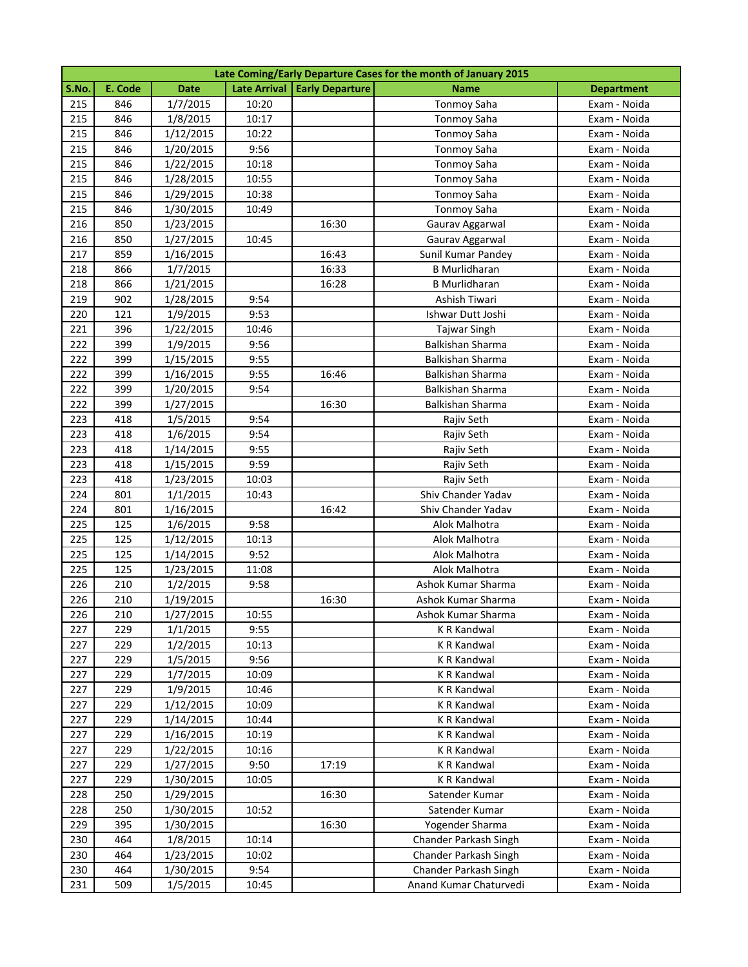|       | Late Coming/Early Departure Cases for the month of January 2015 |             |       |                                |                         |                   |  |  |
|-------|-----------------------------------------------------------------|-------------|-------|--------------------------------|-------------------------|-------------------|--|--|
| S.No. | E. Code                                                         | <b>Date</b> |       | Late Arrival   Early Departure | <b>Name</b>             | <b>Department</b> |  |  |
| 215   | 846                                                             | 1/7/2015    | 10:20 |                                | <b>Tonmoy Saha</b>      | Exam - Noida      |  |  |
| 215   | 846                                                             | 1/8/2015    | 10:17 |                                | <b>Tonmoy Saha</b>      | Exam - Noida      |  |  |
| 215   | 846                                                             | 1/12/2015   | 10:22 |                                | <b>Tonmoy Saha</b>      | Exam - Noida      |  |  |
| 215   | 846                                                             | 1/20/2015   | 9:56  |                                | <b>Tonmoy Saha</b>      | Exam - Noida      |  |  |
| 215   | 846                                                             | 1/22/2015   | 10:18 |                                | <b>Tonmoy Saha</b>      | Exam - Noida      |  |  |
| 215   | 846                                                             | 1/28/2015   | 10:55 |                                | <b>Tonmoy Saha</b>      | Exam - Noida      |  |  |
| 215   | 846                                                             | 1/29/2015   | 10:38 |                                | <b>Tonmoy Saha</b>      | Exam - Noida      |  |  |
| 215   | 846                                                             | 1/30/2015   | 10:49 |                                | <b>Tonmoy Saha</b>      | Exam - Noida      |  |  |
| 216   | 850                                                             | 1/23/2015   |       | 16:30                          | Gaurav Aggarwal         | Exam - Noida      |  |  |
| 216   | 850                                                             | 1/27/2015   | 10:45 |                                | Gaurav Aggarwal         | Exam - Noida      |  |  |
| 217   | 859                                                             | 1/16/2015   |       | 16:43                          | Sunil Kumar Pandey      | Exam - Noida      |  |  |
| 218   | 866                                                             | 1/7/2015    |       | 16:33                          | <b>B</b> Murlidharan    | Exam - Noida      |  |  |
| 218   | 866                                                             | 1/21/2015   |       | 16:28                          | <b>B</b> Murlidharan    | Exam - Noida      |  |  |
| 219   | 902                                                             | 1/28/2015   | 9:54  |                                | Ashish Tiwari           | Exam - Noida      |  |  |
| 220   | 121                                                             | 1/9/2015    | 9:53  |                                | Ishwar Dutt Joshi       | Exam - Noida      |  |  |
| 221   | 396                                                             | 1/22/2015   | 10:46 |                                | <b>Tajwar Singh</b>     | Exam - Noida      |  |  |
| 222   | 399                                                             | 1/9/2015    | 9:56  |                                | <b>Balkishan Sharma</b> | Exam - Noida      |  |  |
| 222   | 399                                                             | 1/15/2015   | 9:55  |                                | <b>Balkishan Sharma</b> | Exam - Noida      |  |  |
| 222   | 399                                                             | 1/16/2015   | 9:55  | 16:46                          | <b>Balkishan Sharma</b> | Exam - Noida      |  |  |
| 222   | 399                                                             | 1/20/2015   | 9:54  |                                | <b>Balkishan Sharma</b> | Exam - Noida      |  |  |
| 222   | 399                                                             | 1/27/2015   |       | 16:30                          | <b>Balkishan Sharma</b> | Exam - Noida      |  |  |
| 223   | 418                                                             | 1/5/2015    | 9:54  |                                | Rajiv Seth              | Exam - Noida      |  |  |
| 223   | 418                                                             | 1/6/2015    | 9:54  |                                | Rajiv Seth              | Exam - Noida      |  |  |
| 223   | 418                                                             | 1/14/2015   | 9:55  |                                | Rajiv Seth              | Exam - Noida      |  |  |
| 223   | 418                                                             | 1/15/2015   | 9:59  |                                | Rajiv Seth              | Exam - Noida      |  |  |
| 223   | 418                                                             | 1/23/2015   | 10:03 |                                | Rajiv Seth              | Exam - Noida      |  |  |
| 224   | 801                                                             | 1/1/2015    | 10:43 |                                | Shiv Chander Yadav      | Exam - Noida      |  |  |
| 224   | 801                                                             | 1/16/2015   |       | 16:42                          | Shiv Chander Yadav      | Exam - Noida      |  |  |
| 225   | 125                                                             | 1/6/2015    | 9:58  |                                | Alok Malhotra           | Exam - Noida      |  |  |
| 225   | 125                                                             | 1/12/2015   | 10:13 |                                | Alok Malhotra           | Exam - Noida      |  |  |
| 225   | 125                                                             | 1/14/2015   | 9:52  |                                | Alok Malhotra           | Exam - Noida      |  |  |
| 225   | 125                                                             | 1/23/2015   | 11:08 |                                | Alok Malhotra           | Exam - Noida      |  |  |
| 226   | 210                                                             | 1/2/2015    | 9:58  |                                | Ashok Kumar Sharma      | Exam - Noida      |  |  |
| 226   | 210                                                             | 1/19/2015   |       | 16:30                          | Ashok Kumar Sharma      | Exam - Noida      |  |  |
| 226   | 210                                                             | 1/27/2015   | 10:55 |                                | Ashok Kumar Sharma      | Exam - Noida      |  |  |
| 227   | 229                                                             | 1/1/2015    | 9:55  |                                | K R Kandwal             | Exam - Noida      |  |  |
| 227   | 229                                                             | 1/2/2015    | 10:13 |                                | K R Kandwal             | Exam - Noida      |  |  |
| 227   | 229                                                             | 1/5/2015    | 9:56  |                                | K R Kandwal             | Exam - Noida      |  |  |
| 227   | 229                                                             | 1/7/2015    | 10:09 |                                | K R Kandwal             | Exam - Noida      |  |  |
| 227   | 229                                                             | 1/9/2015    | 10:46 |                                | <b>K R Kandwal</b>      | Exam - Noida      |  |  |
| 227   | 229                                                             | 1/12/2015   | 10:09 |                                | <b>K R Kandwal</b>      | Exam - Noida      |  |  |
| 227   | 229                                                             | 1/14/2015   | 10:44 |                                | K R Kandwal             | Exam - Noida      |  |  |
| 227   | 229                                                             | 1/16/2015   | 10:19 |                                | K R Kandwal             | Exam - Noida      |  |  |
| 227   | 229                                                             | 1/22/2015   | 10:16 |                                | K R Kandwal             | Exam - Noida      |  |  |
| 227   | 229                                                             | 1/27/2015   | 9:50  | 17:19                          | K R Kandwal             | Exam - Noida      |  |  |
| 227   | 229                                                             | 1/30/2015   | 10:05 |                                | K R Kandwal             | Exam - Noida      |  |  |
| 228   | 250                                                             | 1/29/2015   |       | 16:30                          | Satender Kumar          | Exam - Noida      |  |  |
| 228   | 250                                                             | 1/30/2015   | 10:52 |                                | Satender Kumar          | Exam - Noida      |  |  |
| 229   | 395                                                             | 1/30/2015   |       | 16:30                          | Yogender Sharma         | Exam - Noida      |  |  |
| 230   | 464                                                             | 1/8/2015    | 10:14 |                                | Chander Parkash Singh   | Exam - Noida      |  |  |
| 230   | 464                                                             | 1/23/2015   | 10:02 |                                | Chander Parkash Singh   | Exam - Noida      |  |  |
| 230   | 464                                                             | 1/30/2015   | 9:54  |                                | Chander Parkash Singh   | Exam - Noida      |  |  |
| 231   | 509                                                             | 1/5/2015    | 10:45 |                                | Anand Kumar Chaturvedi  | Exam - Noida      |  |  |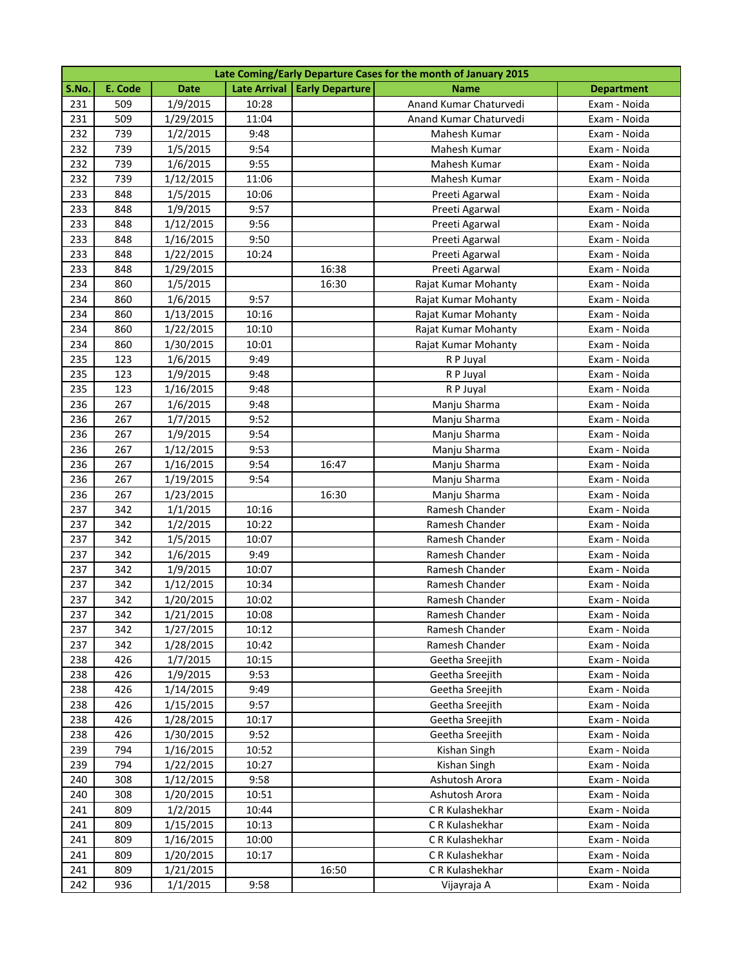|       | Late Coming/Early Departure Cases for the month of January 2015 |             |       |                                |                        |                   |  |  |
|-------|-----------------------------------------------------------------|-------------|-------|--------------------------------|------------------------|-------------------|--|--|
| S.No. | E. Code                                                         | <b>Date</b> |       | Late Arrival   Early Departure | <b>Name</b>            | <b>Department</b> |  |  |
| 231   | 509                                                             | 1/9/2015    | 10:28 |                                | Anand Kumar Chaturvedi | Exam - Noida      |  |  |
| 231   | 509                                                             | 1/29/2015   | 11:04 |                                | Anand Kumar Chaturvedi | Exam - Noida      |  |  |
| 232   | 739                                                             | 1/2/2015    | 9:48  |                                | Mahesh Kumar           | Exam - Noida      |  |  |
| 232   | 739                                                             | 1/5/2015    | 9:54  |                                | Mahesh Kumar           | Exam - Noida      |  |  |
| 232   | 739                                                             | 1/6/2015    | 9:55  |                                | Mahesh Kumar           | Exam - Noida      |  |  |
| 232   | 739                                                             | 1/12/2015   | 11:06 |                                | Mahesh Kumar           | Exam - Noida      |  |  |
| 233   | 848                                                             | 1/5/2015    | 10:06 |                                | Preeti Agarwal         | Exam - Noida      |  |  |
| 233   | 848                                                             | 1/9/2015    | 9:57  |                                | Preeti Agarwal         | Exam - Noida      |  |  |
| 233   | 848                                                             | 1/12/2015   | 9:56  |                                | Preeti Agarwal         | Exam - Noida      |  |  |
| 233   | 848                                                             | 1/16/2015   | 9:50  |                                | Preeti Agarwal         | Exam - Noida      |  |  |
| 233   | 848                                                             | 1/22/2015   | 10:24 |                                | Preeti Agarwal         | Exam - Noida      |  |  |
| 233   | 848                                                             | 1/29/2015   |       | 16:38                          | Preeti Agarwal         | Exam - Noida      |  |  |
| 234   | 860                                                             | 1/5/2015    |       | 16:30                          | Rajat Kumar Mohanty    | Exam - Noida      |  |  |
| 234   | 860                                                             | 1/6/2015    | 9:57  |                                | Rajat Kumar Mohanty    | Exam - Noida      |  |  |
| 234   | 860                                                             | 1/13/2015   | 10:16 |                                | Rajat Kumar Mohanty    | Exam - Noida      |  |  |
| 234   | 860                                                             | 1/22/2015   | 10:10 |                                | Rajat Kumar Mohanty    | Exam - Noida      |  |  |
| 234   | 860                                                             | 1/30/2015   | 10:01 |                                | Rajat Kumar Mohanty    | Exam - Noida      |  |  |
| 235   | 123                                                             | 1/6/2015    | 9:49  |                                | R P Juyal              | Exam - Noida      |  |  |
| 235   | 123                                                             | 1/9/2015    | 9:48  |                                | R P Juyal              | Exam - Noida      |  |  |
| 235   | 123                                                             | 1/16/2015   | 9:48  |                                | R P Juyal              | Exam - Noida      |  |  |
| 236   | 267                                                             | 1/6/2015    | 9:48  |                                | Manju Sharma           | Exam - Noida      |  |  |
| 236   | 267                                                             | 1/7/2015    | 9:52  |                                | Manju Sharma           | Exam - Noida      |  |  |
| 236   | 267                                                             | 1/9/2015    | 9:54  |                                | Manju Sharma           | Exam - Noida      |  |  |
| 236   | 267                                                             | 1/12/2015   | 9:53  |                                | Manju Sharma           | Exam - Noida      |  |  |
| 236   | 267                                                             | 1/16/2015   | 9:54  | 16:47                          | Manju Sharma           | Exam - Noida      |  |  |
| 236   | 267                                                             | 1/19/2015   | 9:54  |                                | Manju Sharma           | Exam - Noida      |  |  |
| 236   | 267                                                             | 1/23/2015   |       | 16:30                          | Manju Sharma           | Exam - Noida      |  |  |
| 237   | 342                                                             | 1/1/2015    | 10:16 |                                | Ramesh Chander         | Exam - Noida      |  |  |
| 237   | 342                                                             | 1/2/2015    | 10:22 |                                | Ramesh Chander         | Exam - Noida      |  |  |
| 237   | 342                                                             | 1/5/2015    | 10:07 |                                | Ramesh Chander         | Exam - Noida      |  |  |
| 237   | 342                                                             | 1/6/2015    | 9:49  |                                | Ramesh Chander         | Exam - Noida      |  |  |
| 237   | 342                                                             | 1/9/2015    | 10:07 |                                | Ramesh Chander         | Exam - Noida      |  |  |
| 237   | 342                                                             | 1/12/2015   | 10:34 |                                | Ramesh Chander         | Exam - Noida      |  |  |
| 237   | 342                                                             | 1/20/2015   | 10:02 |                                | Ramesh Chander         | Exam - Noida      |  |  |
| 237   | 342                                                             | 1/21/2015   | 10:08 |                                | Ramesh Chander         | Exam - Noida      |  |  |
| 237   | 342                                                             | 1/27/2015   | 10:12 |                                | Ramesh Chander         | Exam - Noida      |  |  |
| 237   | 342                                                             | 1/28/2015   | 10:42 |                                | Ramesh Chander         | Exam - Noida      |  |  |
| 238   | 426                                                             | 1/7/2015    | 10:15 |                                | Geetha Sreejith        | Exam - Noida      |  |  |
| 238   | 426                                                             | 1/9/2015    | 9:53  |                                | Geetha Sreejith        | Exam - Noida      |  |  |
| 238   | 426                                                             | 1/14/2015   | 9:49  |                                | Geetha Sreejith        | Exam - Noida      |  |  |
| 238   | 426                                                             | 1/15/2015   | 9:57  |                                | Geetha Sreejith        | Exam - Noida      |  |  |
| 238   | 426                                                             | 1/28/2015   | 10:17 |                                | Geetha Sreejith        | Exam - Noida      |  |  |
| 238   | 426                                                             | 1/30/2015   | 9:52  |                                | Geetha Sreejith        | Exam - Noida      |  |  |
| 239   | 794                                                             | 1/16/2015   | 10:52 |                                | Kishan Singh           | Exam - Noida      |  |  |
| 239   | 794                                                             | 1/22/2015   | 10:27 |                                | Kishan Singh           | Exam - Noida      |  |  |
| 240   | 308                                                             | 1/12/2015   | 9:58  |                                | Ashutosh Arora         | Exam - Noida      |  |  |
| 240   | 308                                                             | 1/20/2015   | 10:51 |                                | Ashutosh Arora         | Exam - Noida      |  |  |
| 241   | 809                                                             | 1/2/2015    | 10:44 |                                | C R Kulashekhar        | Exam - Noida      |  |  |
| 241   | 809                                                             | 1/15/2015   | 10:13 |                                | CR Kulashekhar         | Exam - Noida      |  |  |
| 241   | 809                                                             | 1/16/2015   | 10:00 |                                | CR Kulashekhar         | Exam - Noida      |  |  |
| 241   | 809                                                             | 1/20/2015   | 10:17 |                                | C R Kulashekhar        | Exam - Noida      |  |  |
| 241   | 809                                                             | 1/21/2015   |       | 16:50                          | C R Kulashekhar        | Exam - Noida      |  |  |
| 242   | 936                                                             | 1/1/2015    | 9:58  |                                | Vijayraja A            | Exam - Noida      |  |  |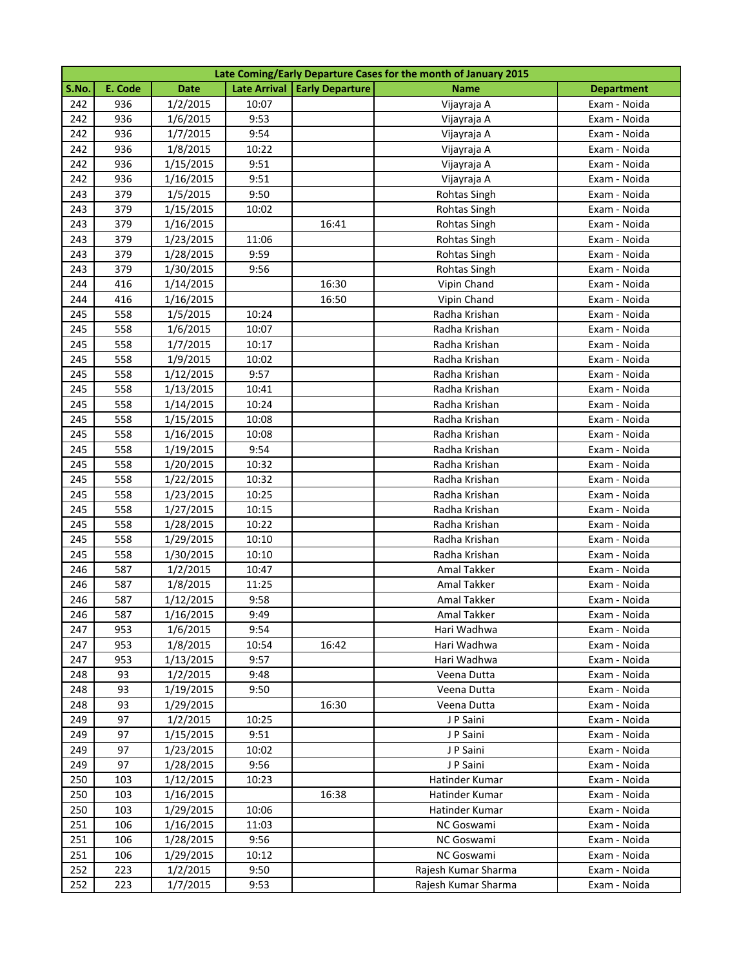|       | Late Coming/Early Departure Cases for the month of January 2015 |             |       |                                |                     |                   |  |  |
|-------|-----------------------------------------------------------------|-------------|-------|--------------------------------|---------------------|-------------------|--|--|
| S.No. | E. Code                                                         | <b>Date</b> |       | Late Arrival   Early Departure | <b>Name</b>         | <b>Department</b> |  |  |
| 242   | 936                                                             | 1/2/2015    | 10:07 |                                | Vijayraja A         | Exam - Noida      |  |  |
| 242   | 936                                                             | 1/6/2015    | 9:53  |                                | Vijayraja A         | Exam - Noida      |  |  |
| 242   | 936                                                             | 1/7/2015    | 9:54  |                                | Vijayraja A         | Exam - Noida      |  |  |
| 242   | 936                                                             | 1/8/2015    | 10:22 |                                | Vijayraja A         | Exam - Noida      |  |  |
| 242   | 936                                                             | 1/15/2015   | 9:51  |                                | Vijayraja A         | Exam - Noida      |  |  |
| 242   | 936                                                             | 1/16/2015   | 9:51  |                                | Vijayraja A         | Exam - Noida      |  |  |
| 243   | 379                                                             | 1/5/2015    | 9:50  |                                | Rohtas Singh        | Exam - Noida      |  |  |
| 243   | 379                                                             | 1/15/2015   | 10:02 |                                | Rohtas Singh        | Exam - Noida      |  |  |
| 243   | 379                                                             | 1/16/2015   |       | 16:41                          | Rohtas Singh        | Exam - Noida      |  |  |
| 243   | 379                                                             | 1/23/2015   | 11:06 |                                | <b>Rohtas Singh</b> | Exam - Noida      |  |  |
| 243   | 379                                                             | 1/28/2015   | 9:59  |                                | <b>Rohtas Singh</b> | Exam - Noida      |  |  |
| 243   | 379                                                             | 1/30/2015   | 9:56  |                                | <b>Rohtas Singh</b> | Exam - Noida      |  |  |
| 244   | 416                                                             | 1/14/2015   |       | 16:30                          | Vipin Chand         | Exam - Noida      |  |  |
| 244   | 416                                                             | 1/16/2015   |       | 16:50                          | Vipin Chand         | Exam - Noida      |  |  |
| 245   | 558                                                             | 1/5/2015    | 10:24 |                                | Radha Krishan       | Exam - Noida      |  |  |
| 245   | 558                                                             | 1/6/2015    | 10:07 |                                | Radha Krishan       | Exam - Noida      |  |  |
| 245   | 558                                                             | 1/7/2015    | 10:17 |                                | Radha Krishan       | Exam - Noida      |  |  |
| 245   | 558                                                             | 1/9/2015    | 10:02 |                                | Radha Krishan       | Exam - Noida      |  |  |
| 245   | 558                                                             | 1/12/2015   | 9:57  |                                | Radha Krishan       | Exam - Noida      |  |  |
| 245   | 558                                                             | 1/13/2015   | 10:41 |                                | Radha Krishan       | Exam - Noida      |  |  |
| 245   | 558                                                             | 1/14/2015   | 10:24 |                                | Radha Krishan       | Exam - Noida      |  |  |
| 245   | 558                                                             | 1/15/2015   | 10:08 |                                | Radha Krishan       | Exam - Noida      |  |  |
| 245   | 558                                                             | 1/16/2015   | 10:08 |                                | Radha Krishan       | Exam - Noida      |  |  |
| 245   | 558                                                             | 1/19/2015   | 9:54  |                                | Radha Krishan       | Exam - Noida      |  |  |
| 245   | 558                                                             | 1/20/2015   | 10:32 |                                | Radha Krishan       | Exam - Noida      |  |  |
| 245   | 558                                                             | 1/22/2015   | 10:32 |                                | Radha Krishan       | Exam - Noida      |  |  |
| 245   | 558                                                             | 1/23/2015   | 10:25 |                                | Radha Krishan       | Exam - Noida      |  |  |
| 245   | 558                                                             | 1/27/2015   | 10:15 |                                | Radha Krishan       | Exam - Noida      |  |  |
| 245   | 558                                                             | 1/28/2015   | 10:22 |                                | Radha Krishan       | Exam - Noida      |  |  |
| 245   | 558                                                             | 1/29/2015   | 10:10 |                                | Radha Krishan       | Exam - Noida      |  |  |
| 245   | 558                                                             | 1/30/2015   | 10:10 |                                | Radha Krishan       | Exam - Noida      |  |  |
| 246   | 587                                                             | 1/2/2015    | 10:47 |                                | Amal Takker         | Exam - Noida      |  |  |
| 246   | 587                                                             | 1/8/2015    | 11:25 |                                | Amal Takker         | Exam - Noida      |  |  |
| 246   | 587                                                             | 1/12/2015   | 9:58  |                                | Amal Takker         | Exam - Noida      |  |  |
| 246   | 587                                                             | 1/16/2015   | 9:49  |                                | Amal Takker         | Exam - Noida      |  |  |
| 247   | 953                                                             | 1/6/2015    | 9:54  |                                | Hari Wadhwa         | Exam - Noida      |  |  |
| 247   | 953                                                             | 1/8/2015    | 10:54 | 16:42                          | Hari Wadhwa         | Exam - Noida      |  |  |
| 247   | 953                                                             | 1/13/2015   | 9:57  |                                | Hari Wadhwa         | Exam - Noida      |  |  |
| 248   | 93                                                              | 1/2/2015    | 9:48  |                                | Veena Dutta         | Exam - Noida      |  |  |
| 248   | 93                                                              | 1/19/2015   | 9:50  |                                | Veena Dutta         | Exam - Noida      |  |  |
| 248   | 93                                                              | 1/29/2015   |       | 16:30                          | Veena Dutta         | Exam - Noida      |  |  |
| 249   | 97                                                              | 1/2/2015    | 10:25 |                                | J P Saini           | Exam - Noida      |  |  |
| 249   | 97                                                              | 1/15/2015   | 9:51  |                                | J P Saini           | Exam - Noida      |  |  |
| 249   | 97                                                              | 1/23/2015   | 10:02 |                                | J P Saini           | Exam - Noida      |  |  |
| 249   | 97                                                              | 1/28/2015   | 9:56  |                                | J P Saini           | Exam - Noida      |  |  |
| 250   | 103                                                             | 1/12/2015   | 10:23 |                                | Hatinder Kumar      | Exam - Noida      |  |  |
| 250   | 103                                                             | 1/16/2015   |       | 16:38                          | Hatinder Kumar      | Exam - Noida      |  |  |
| 250   | 103                                                             | 1/29/2015   | 10:06 |                                | Hatinder Kumar      | Exam - Noida      |  |  |
| 251   | 106                                                             | 1/16/2015   | 11:03 |                                | NC Goswami          | Exam - Noida      |  |  |
| 251   | 106                                                             | 1/28/2015   | 9:56  |                                | NC Goswami          | Exam - Noida      |  |  |
| 251   | 106                                                             | 1/29/2015   | 10:12 |                                | NC Goswami          | Exam - Noida      |  |  |
| 252   | 223                                                             | 1/2/2015    | 9:50  |                                | Rajesh Kumar Sharma | Exam - Noida      |  |  |
| 252   | 223                                                             | 1/7/2015    | 9:53  |                                | Rajesh Kumar Sharma | Exam - Noida      |  |  |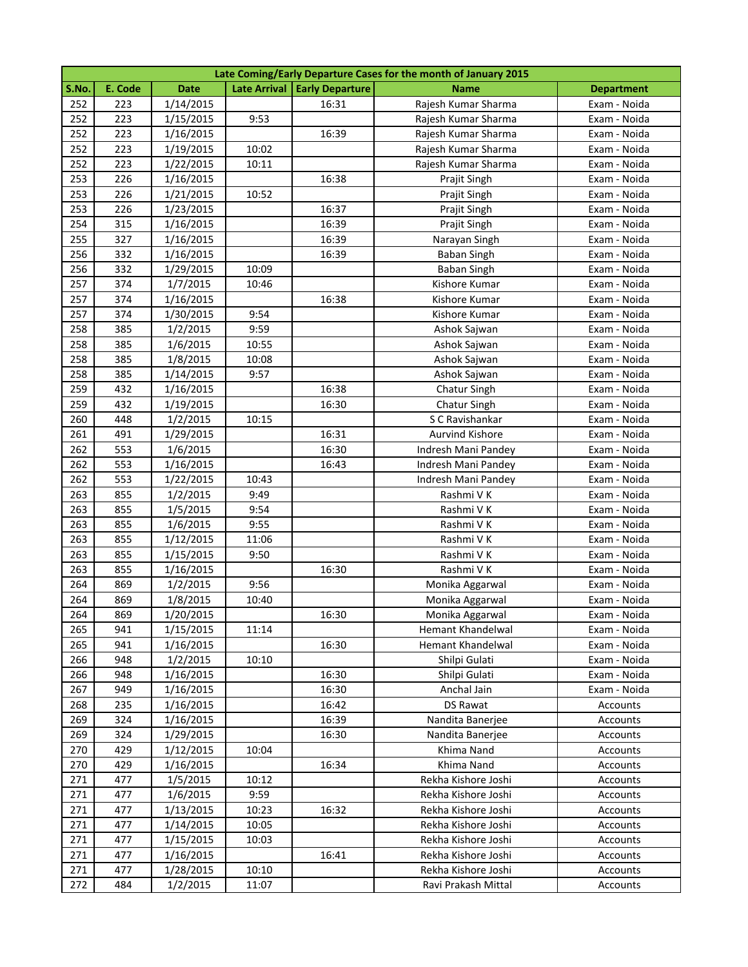|       | Late Coming/Early Departure Cases for the month of January 2015 |             |       |                                |                        |                   |  |  |
|-------|-----------------------------------------------------------------|-------------|-------|--------------------------------|------------------------|-------------------|--|--|
| S.No. | E. Code                                                         | <b>Date</b> |       | Late Arrival   Early Departure | <b>Name</b>            | <b>Department</b> |  |  |
| 252   | 223                                                             | 1/14/2015   |       | 16:31                          | Rajesh Kumar Sharma    | Exam - Noida      |  |  |
| 252   | 223                                                             | 1/15/2015   | 9:53  |                                | Rajesh Kumar Sharma    | Exam - Noida      |  |  |
| 252   | 223                                                             | 1/16/2015   |       | 16:39                          | Rajesh Kumar Sharma    | Exam - Noida      |  |  |
| 252   | 223                                                             | 1/19/2015   | 10:02 |                                | Rajesh Kumar Sharma    | Exam - Noida      |  |  |
| 252   | 223                                                             | 1/22/2015   | 10:11 |                                | Rajesh Kumar Sharma    | Exam - Noida      |  |  |
| 253   | 226                                                             | 1/16/2015   |       | 16:38                          | Prajit Singh           | Exam - Noida      |  |  |
| 253   | 226                                                             | 1/21/2015   | 10:52 |                                | Prajit Singh           | Exam - Noida      |  |  |
| 253   | 226                                                             | 1/23/2015   |       | 16:37                          | Prajit Singh           | Exam - Noida      |  |  |
| 254   | 315                                                             | 1/16/2015   |       | 16:39                          | Prajit Singh           | Exam - Noida      |  |  |
| 255   | 327                                                             | 1/16/2015   |       | 16:39                          | Narayan Singh          | Exam - Noida      |  |  |
| 256   | 332                                                             | 1/16/2015   |       | 16:39                          | <b>Baban Singh</b>     | Exam - Noida      |  |  |
| 256   | 332                                                             | 1/29/2015   | 10:09 |                                | <b>Baban Singh</b>     | Exam - Noida      |  |  |
| 257   | 374                                                             | 1/7/2015    | 10:46 |                                | Kishore Kumar          | Exam - Noida      |  |  |
| 257   | 374                                                             | 1/16/2015   |       | 16:38                          | Kishore Kumar          | Exam - Noida      |  |  |
| 257   | 374                                                             | 1/30/2015   | 9:54  |                                | Kishore Kumar          | Exam - Noida      |  |  |
| 258   | 385                                                             | 1/2/2015    | 9:59  |                                | Ashok Sajwan           | Exam - Noida      |  |  |
| 258   | 385                                                             | 1/6/2015    | 10:55 |                                | Ashok Sajwan           | Exam - Noida      |  |  |
| 258   | 385                                                             | 1/8/2015    | 10:08 |                                | Ashok Sajwan           | Exam - Noida      |  |  |
| 258   | 385                                                             | 1/14/2015   | 9:57  |                                | Ashok Sajwan           | Exam - Noida      |  |  |
| 259   | 432                                                             | 1/16/2015   |       | 16:38                          | Chatur Singh           | Exam - Noida      |  |  |
| 259   | 432                                                             | 1/19/2015   |       | 16:30                          | Chatur Singh           | Exam - Noida      |  |  |
| 260   | 448                                                             | 1/2/2015    | 10:15 |                                | S C Ravishankar        | Exam - Noida      |  |  |
| 261   | 491                                                             | 1/29/2015   |       | 16:31                          | <b>Aurvind Kishore</b> | Exam - Noida      |  |  |
| 262   | 553                                                             | 1/6/2015    |       | 16:30                          | Indresh Mani Pandey    | Exam - Noida      |  |  |
| 262   | 553                                                             | 1/16/2015   |       | 16:43                          | Indresh Mani Pandey    | Exam - Noida      |  |  |
| 262   | 553                                                             | 1/22/2015   | 10:43 |                                | Indresh Mani Pandey    | Exam - Noida      |  |  |
| 263   | 855                                                             | 1/2/2015    | 9:49  |                                | Rashmi V K             | Exam - Noida      |  |  |
| 263   | 855                                                             | 1/5/2015    | 9:54  |                                | Rashmi V K             | Exam - Noida      |  |  |
| 263   | 855                                                             | 1/6/2015    | 9:55  |                                | Rashmi V K             | Exam - Noida      |  |  |
| 263   | 855                                                             | 1/12/2015   | 11:06 |                                | Rashmi V K             | Exam - Noida      |  |  |
| 263   | 855                                                             | 1/15/2015   | 9:50  |                                | Rashmi V K             | Exam - Noida      |  |  |
| 263   | 855                                                             | 1/16/2015   |       | 16:30                          | Rashmi V K             | Exam - Noida      |  |  |
| 264   | 869                                                             | 1/2/2015    | 9:56  |                                | Monika Aggarwal        | Exam - Noida      |  |  |
| 264   | 869                                                             | 1/8/2015    | 10:40 |                                | Monika Aggarwal        | Exam - Noida      |  |  |
| 264   | 869                                                             | 1/20/2015   |       | 16:30                          | Monika Aggarwal        | Exam - Noida      |  |  |
| 265   | 941                                                             | 1/15/2015   | 11:14 |                                | Hemant Khandelwal      | Exam - Noida      |  |  |
| 265   | 941                                                             | 1/16/2015   |       | 16:30                          | Hemant Khandelwal      | Exam - Noida      |  |  |
| 266   | 948                                                             | 1/2/2015    | 10:10 |                                | Shilpi Gulati          | Exam - Noida      |  |  |
| 266   | 948                                                             | 1/16/2015   |       | 16:30                          | Shilpi Gulati          | Exam - Noida      |  |  |
| 267   | 949                                                             | 1/16/2015   |       | 16:30                          | Anchal Jain            | Exam - Noida      |  |  |
| 268   | 235                                                             | 1/16/2015   |       | 16:42                          | DS Rawat               | Accounts          |  |  |
| 269   | 324                                                             | 1/16/2015   |       | 16:39                          | Nandita Banerjee       | Accounts          |  |  |
| 269   | 324                                                             | 1/29/2015   |       | 16:30                          | Nandita Banerjee       | Accounts          |  |  |
| 270   | 429                                                             | 1/12/2015   | 10:04 |                                | Khima Nand             | Accounts          |  |  |
| 270   | 429                                                             | 1/16/2015   |       | 16:34                          | Khima Nand             | Accounts          |  |  |
| 271   | 477                                                             | 1/5/2015    | 10:12 |                                | Rekha Kishore Joshi    | Accounts          |  |  |
| 271   | 477                                                             | 1/6/2015    | 9:59  |                                | Rekha Kishore Joshi    | Accounts          |  |  |
| 271   | 477                                                             | 1/13/2015   | 10:23 | 16:32                          | Rekha Kishore Joshi    | Accounts          |  |  |
| 271   | 477                                                             | 1/14/2015   | 10:05 |                                | Rekha Kishore Joshi    | Accounts          |  |  |
| 271   | 477                                                             | 1/15/2015   | 10:03 |                                | Rekha Kishore Joshi    | Accounts          |  |  |
| 271   | 477                                                             | 1/16/2015   |       | 16:41                          | Rekha Kishore Joshi    | Accounts          |  |  |
| 271   | 477                                                             | 1/28/2015   | 10:10 |                                | Rekha Kishore Joshi    | Accounts          |  |  |
| 272   | 484                                                             | 1/2/2015    | 11:07 |                                | Ravi Prakash Mittal    | Accounts          |  |  |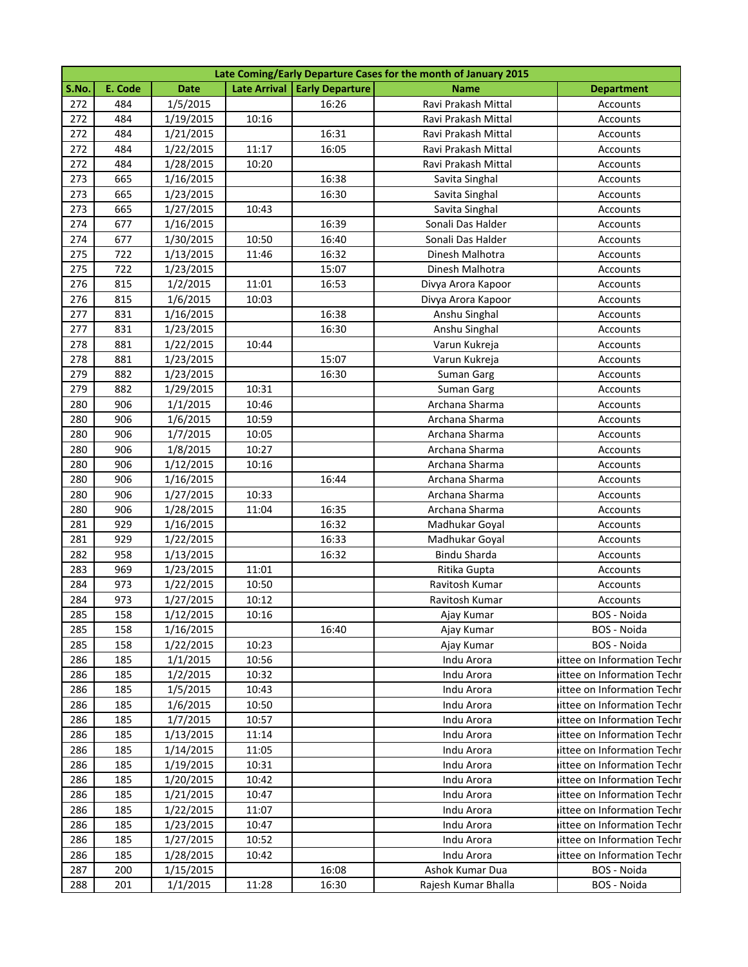|       | Late Coming/Early Departure Cases for the month of January 2015 |             |       |                                |                     |                            |  |  |
|-------|-----------------------------------------------------------------|-------------|-------|--------------------------------|---------------------|----------------------------|--|--|
| S.No. | E. Code                                                         | <b>Date</b> |       | Late Arrival   Early Departure | <b>Name</b>         | <b>Department</b>          |  |  |
| 272   | 484                                                             | 1/5/2015    |       | 16:26                          | Ravi Prakash Mittal | Accounts                   |  |  |
| 272   | 484                                                             | 1/19/2015   | 10:16 |                                | Ravi Prakash Mittal | Accounts                   |  |  |
| 272   | 484                                                             | 1/21/2015   |       | 16:31                          | Ravi Prakash Mittal | Accounts                   |  |  |
| 272   | 484                                                             | 1/22/2015   | 11:17 | 16:05                          | Ravi Prakash Mittal | Accounts                   |  |  |
| 272   | 484                                                             | 1/28/2015   | 10:20 |                                | Ravi Prakash Mittal | Accounts                   |  |  |
| 273   | 665                                                             | 1/16/2015   |       | 16:38                          | Savita Singhal      | Accounts                   |  |  |
| 273   | 665                                                             | 1/23/2015   |       | 16:30                          | Savita Singhal      | Accounts                   |  |  |
| 273   | 665                                                             | 1/27/2015   | 10:43 |                                | Savita Singhal      | Accounts                   |  |  |
| 274   | 677                                                             | 1/16/2015   |       | 16:39                          | Sonali Das Halder   | Accounts                   |  |  |
| 274   | 677                                                             | 1/30/2015   | 10:50 | 16:40                          | Sonali Das Halder   | Accounts                   |  |  |
| 275   | 722                                                             | 1/13/2015   | 11:46 | 16:32                          | Dinesh Malhotra     | Accounts                   |  |  |
| 275   | 722                                                             | 1/23/2015   |       | 15:07                          | Dinesh Malhotra     | Accounts                   |  |  |
| 276   | 815                                                             | 1/2/2015    | 11:01 | 16:53                          | Divya Arora Kapoor  | Accounts                   |  |  |
| 276   | 815                                                             | 1/6/2015    | 10:03 |                                | Divya Arora Kapoor  | Accounts                   |  |  |
| 277   | 831                                                             | 1/16/2015   |       | 16:38                          | Anshu Singhal       | Accounts                   |  |  |
| 277   | 831                                                             | 1/23/2015   |       | 16:30                          | Anshu Singhal       | Accounts                   |  |  |
| 278   | 881                                                             | 1/22/2015   | 10:44 |                                | Varun Kukreja       | Accounts                   |  |  |
| 278   | 881                                                             | 1/23/2015   |       | 15:07                          | Varun Kukreja       | Accounts                   |  |  |
| 279   | 882                                                             | 1/23/2015   |       | 16:30                          | <b>Suman Garg</b>   | Accounts                   |  |  |
| 279   | 882                                                             | 1/29/2015   | 10:31 |                                | <b>Suman Garg</b>   | Accounts                   |  |  |
| 280   | 906                                                             | 1/1/2015    | 10:46 |                                | Archana Sharma      | Accounts                   |  |  |
| 280   | 906                                                             | 1/6/2015    | 10:59 |                                | Archana Sharma      | Accounts                   |  |  |
| 280   | 906                                                             | 1/7/2015    | 10:05 |                                | Archana Sharma      | Accounts                   |  |  |
| 280   | 906                                                             | 1/8/2015    | 10:27 |                                | Archana Sharma      | Accounts                   |  |  |
| 280   | 906                                                             | 1/12/2015   | 10:16 |                                | Archana Sharma      | Accounts                   |  |  |
| 280   | 906                                                             | 1/16/2015   |       | 16:44                          | Archana Sharma      | Accounts                   |  |  |
| 280   | 906                                                             | 1/27/2015   | 10:33 |                                | Archana Sharma      | Accounts                   |  |  |
| 280   | 906                                                             | 1/28/2015   | 11:04 | 16:35                          | Archana Sharma      | Accounts                   |  |  |
| 281   | 929                                                             | 1/16/2015   |       | 16:32                          | Madhukar Goyal      | Accounts                   |  |  |
| 281   | 929                                                             | 1/22/2015   |       | 16:33                          | Madhukar Goyal      | Accounts                   |  |  |
| 282   | 958                                                             | 1/13/2015   |       | 16:32                          | <b>Bindu Sharda</b> | Accounts                   |  |  |
| 283   | 969                                                             | 1/23/2015   | 11:01 |                                | Ritika Gupta        | Accounts                   |  |  |
| 284   | 973                                                             | 1/22/2015   | 10:50 |                                | Ravitosh Kumar      | Accounts                   |  |  |
| 284   | 973                                                             | 1/27/2015   | 10:12 |                                | Ravitosh Kumar      | Accounts                   |  |  |
| 285   | 158                                                             | 1/12/2015   | 10:16 |                                | Ajay Kumar          | BOS - Noida                |  |  |
| 285   | 158                                                             | 1/16/2015   |       | 16:40                          | Ajay Kumar          | BOS - Noida                |  |  |
| 285   | 158                                                             | 1/22/2015   | 10:23 |                                | Ajay Kumar          | BOS - Noida                |  |  |
| 286   | 185                                                             | 1/1/2015    | 10:56 |                                | Indu Arora          | ittee on Information Techr |  |  |
| 286   | 185                                                             | 1/2/2015    | 10:32 |                                | Indu Arora          | ittee on Information Techr |  |  |
| 286   | 185                                                             | 1/5/2015    | 10:43 |                                | Indu Arora          | ittee on Information Techr |  |  |
| 286   | 185                                                             | 1/6/2015    | 10:50 |                                | Indu Arora          | ittee on Information Techr |  |  |
| 286   | 185                                                             | 1/7/2015    | 10:57 |                                | Indu Arora          | ittee on Information Techr |  |  |
| 286   | 185                                                             | 1/13/2015   | 11:14 |                                | Indu Arora          | ittee on Information Techr |  |  |
| 286   | 185                                                             | 1/14/2015   | 11:05 |                                | Indu Arora          | ittee on Information Techr |  |  |
| 286   | 185                                                             | 1/19/2015   | 10:31 |                                | Indu Arora          | ittee on Information Techr |  |  |
| 286   | 185                                                             | 1/20/2015   | 10:42 |                                | Indu Arora          | ittee on Information Techr |  |  |
| 286   | 185                                                             | 1/21/2015   | 10:47 |                                | Indu Arora          | ittee on Information Techr |  |  |
| 286   | 185                                                             | 1/22/2015   | 11:07 |                                | Indu Arora          | ittee on Information Techr |  |  |
| 286   | 185                                                             | 1/23/2015   | 10:47 |                                | Indu Arora          | ittee on Information Techr |  |  |
| 286   | 185                                                             | 1/27/2015   | 10:52 |                                | Indu Arora          | ittee on Information Techr |  |  |
| 286   | 185                                                             | 1/28/2015   | 10:42 |                                | Indu Arora          | ittee on Information Techr |  |  |
| 287   | 200                                                             | 1/15/2015   |       | 16:08                          | Ashok Kumar Dua     | BOS - Noida                |  |  |
| 288   | 201                                                             | 1/1/2015    | 11:28 | 16:30                          | Rajesh Kumar Bhalla | BOS - Noida                |  |  |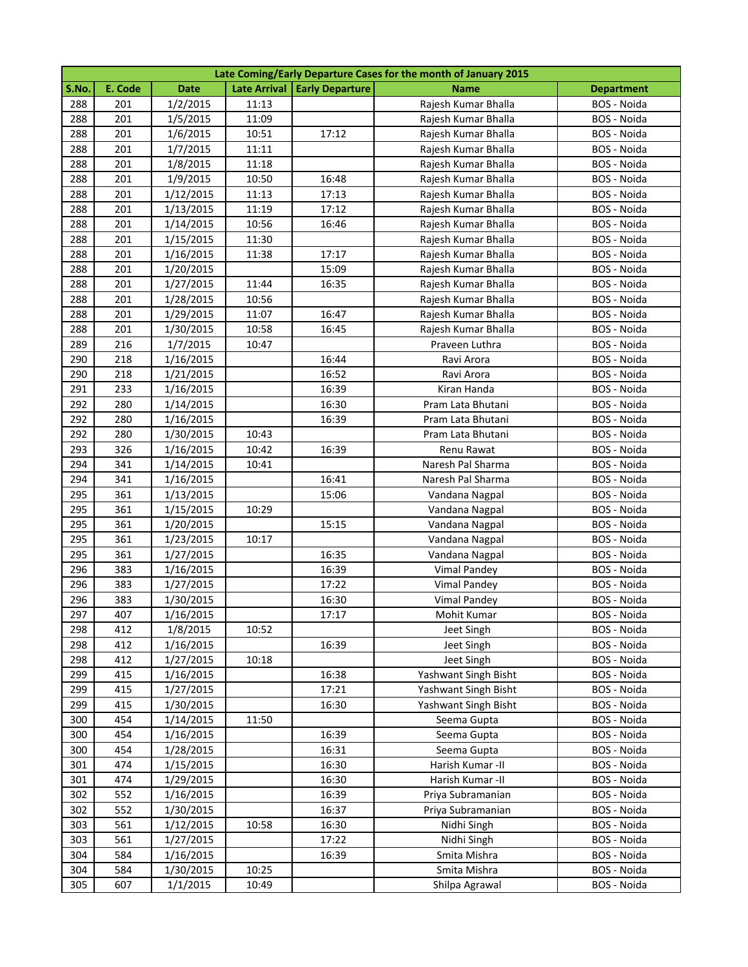|       | Late Coming/Early Departure Cases for the month of January 2015 |             |       |                                |                      |                   |  |  |
|-------|-----------------------------------------------------------------|-------------|-------|--------------------------------|----------------------|-------------------|--|--|
| S.No. | E. Code                                                         | <b>Date</b> |       | Late Arrival   Early Departure | <b>Name</b>          | <b>Department</b> |  |  |
| 288   | 201                                                             | 1/2/2015    | 11:13 |                                | Rajesh Kumar Bhalla  | BOS - Noida       |  |  |
| 288   | 201                                                             | 1/5/2015    | 11:09 |                                | Rajesh Kumar Bhalla  | BOS - Noida       |  |  |
| 288   | 201                                                             | 1/6/2015    | 10:51 | 17:12                          | Rajesh Kumar Bhalla  | BOS - Noida       |  |  |
| 288   | 201                                                             | 1/7/2015    | 11:11 |                                | Rajesh Kumar Bhalla  | BOS - Noida       |  |  |
| 288   | 201                                                             | 1/8/2015    | 11:18 |                                | Rajesh Kumar Bhalla  | BOS - Noida       |  |  |
| 288   | 201                                                             | 1/9/2015    | 10:50 | 16:48                          | Rajesh Kumar Bhalla  | BOS - Noida       |  |  |
| 288   | 201                                                             | 1/12/2015   | 11:13 | 17:13                          | Rajesh Kumar Bhalla  | BOS - Noida       |  |  |
| 288   | 201                                                             | 1/13/2015   | 11:19 | 17:12                          | Rajesh Kumar Bhalla  | BOS - Noida       |  |  |
| 288   | 201                                                             | 1/14/2015   | 10:56 | 16:46                          | Rajesh Kumar Bhalla  | BOS - Noida       |  |  |
| 288   | 201                                                             | 1/15/2015   | 11:30 |                                | Rajesh Kumar Bhalla  | BOS - Noida       |  |  |
| 288   | 201                                                             | 1/16/2015   | 11:38 | 17:17                          | Rajesh Kumar Bhalla  | BOS - Noida       |  |  |
| 288   | 201                                                             | 1/20/2015   |       | 15:09                          | Rajesh Kumar Bhalla  | BOS - Noida       |  |  |
| 288   | 201                                                             | 1/27/2015   | 11:44 | 16:35                          | Rajesh Kumar Bhalla  | BOS - Noida       |  |  |
| 288   | 201                                                             | 1/28/2015   | 10:56 |                                | Rajesh Kumar Bhalla  | BOS - Noida       |  |  |
| 288   | 201                                                             | 1/29/2015   | 11:07 | 16:47                          | Rajesh Kumar Bhalla  | BOS - Noida       |  |  |
| 288   | 201                                                             | 1/30/2015   | 10:58 | 16:45                          | Rajesh Kumar Bhalla  | BOS - Noida       |  |  |
| 289   | 216                                                             | 1/7/2015    | 10:47 |                                | Praveen Luthra       | BOS - Noida       |  |  |
| 290   | 218                                                             | 1/16/2015   |       | 16:44                          | Ravi Arora           | BOS - Noida       |  |  |
| 290   | 218                                                             | 1/21/2015   |       | 16:52                          | Ravi Arora           | BOS - Noida       |  |  |
| 291   | 233                                                             | 1/16/2015   |       | 16:39                          | Kiran Handa          | BOS - Noida       |  |  |
| 292   | 280                                                             | 1/14/2015   |       | 16:30                          | Pram Lata Bhutani    | BOS - Noida       |  |  |
| 292   | 280                                                             | 1/16/2015   |       | 16:39                          | Pram Lata Bhutani    | BOS - Noida       |  |  |
| 292   | 280                                                             | 1/30/2015   | 10:43 |                                | Pram Lata Bhutani    | BOS - Noida       |  |  |
| 293   | 326                                                             | 1/16/2015   | 10:42 | 16:39                          | Renu Rawat           | BOS - Noida       |  |  |
| 294   | 341                                                             | 1/14/2015   | 10:41 |                                | Naresh Pal Sharma    | BOS - Noida       |  |  |
| 294   | 341                                                             | 1/16/2015   |       | 16:41                          | Naresh Pal Sharma    | BOS - Noida       |  |  |
| 295   | 361                                                             | 1/13/2015   |       | 15:06                          | Vandana Nagpal       | BOS - Noida       |  |  |
| 295   | 361                                                             | 1/15/2015   | 10:29 |                                | Vandana Nagpal       | BOS - Noida       |  |  |
| 295   | 361                                                             | 1/20/2015   |       | 15:15                          | Vandana Nagpal       | BOS - Noida       |  |  |
| 295   | 361                                                             | 1/23/2015   | 10:17 |                                | Vandana Nagpal       | BOS - Noida       |  |  |
| 295   | 361                                                             | 1/27/2015   |       | 16:35                          | Vandana Nagpal       | BOS - Noida       |  |  |
| 296   | 383                                                             | 1/16/2015   |       | 16:39                          | Vimal Pandey         | BOS - Noida       |  |  |
| 296   | 383                                                             | 1/27/2015   |       | 17:22                          | <b>Vimal Pandey</b>  | BOS - Noida       |  |  |
| 296   | 383                                                             | 1/30/2015   |       | 16:30                          | Vimal Pandey         | BOS - Noida       |  |  |
| 297   | 407                                                             | 1/16/2015   |       | 17:17                          | Mohit Kumar          | BOS - Noida       |  |  |
| 298   | 412                                                             | 1/8/2015    | 10:52 |                                | Jeet Singh           | BOS - Noida       |  |  |
| 298   | 412                                                             | 1/16/2015   |       | 16:39                          | Jeet Singh           | BOS - Noida       |  |  |
| 298   | 412                                                             | 1/27/2015   | 10:18 |                                | Jeet Singh           | BOS - Noida       |  |  |
| 299   | 415                                                             | 1/16/2015   |       | 16:38                          | Yashwant Singh Bisht | BOS - Noida       |  |  |
| 299   | 415                                                             | 1/27/2015   |       | 17:21                          | Yashwant Singh Bisht | BOS - Noida       |  |  |
| 299   | 415                                                             | 1/30/2015   |       | 16:30                          | Yashwant Singh Bisht | BOS - Noida       |  |  |
| 300   | 454                                                             | 1/14/2015   | 11:50 |                                | Seema Gupta          | BOS - Noida       |  |  |
| 300   | 454                                                             | 1/16/2015   |       | 16:39                          | Seema Gupta          | BOS - Noida       |  |  |
| 300   | 454                                                             | 1/28/2015   |       | 16:31                          | Seema Gupta          | BOS - Noida       |  |  |
| 301   | 474                                                             | 1/15/2015   |       | 16:30                          | Harish Kumar -II     | BOS - Noida       |  |  |
| 301   | 474                                                             | 1/29/2015   |       | 16:30                          | Harish Kumar - II    | BOS - Noida       |  |  |
| 302   | 552                                                             | 1/16/2015   |       | 16:39                          | Priya Subramanian    | BOS - Noida       |  |  |
| 302   | 552                                                             | 1/30/2015   |       | 16:37                          | Priya Subramanian    | BOS - Noida       |  |  |
| 303   | 561                                                             | 1/12/2015   | 10:58 | 16:30                          | Nidhi Singh          | BOS - Noida       |  |  |
| 303   | 561                                                             | 1/27/2015   |       | 17:22                          | Nidhi Singh          | BOS - Noida       |  |  |
| 304   | 584                                                             | 1/16/2015   |       | 16:39                          | Smita Mishra         | BOS - Noida       |  |  |
| 304   | 584                                                             | 1/30/2015   | 10:25 |                                | Smita Mishra         | BOS - Noida       |  |  |
| 305   | 607                                                             | 1/1/2015    | 10:49 |                                | Shilpa Agrawal       | BOS - Noida       |  |  |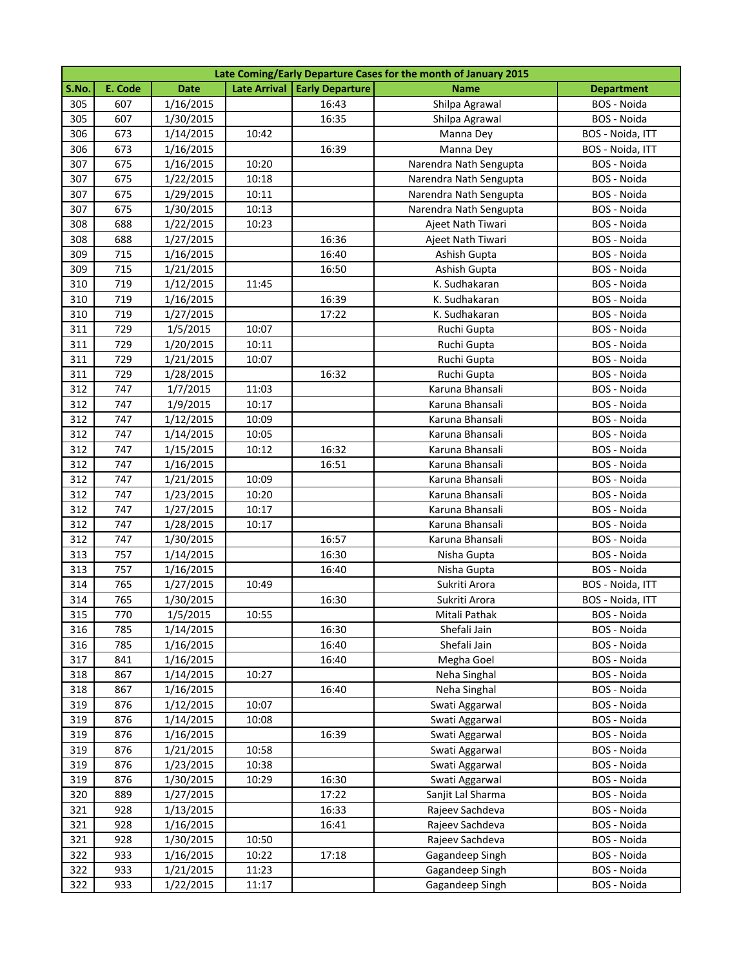|       | Late Coming/Early Departure Cases for the month of January 2015 |             |       |                                |                        |                   |  |  |
|-------|-----------------------------------------------------------------|-------------|-------|--------------------------------|------------------------|-------------------|--|--|
| S.No. | E. Code                                                         | <b>Date</b> |       | Late Arrival   Early Departure | <b>Name</b>            | <b>Department</b> |  |  |
| 305   | 607                                                             | 1/16/2015   |       | 16:43                          | Shilpa Agrawal         | BOS - Noida       |  |  |
| 305   | 607                                                             | 1/30/2015   |       | 16:35                          | Shilpa Agrawal         | BOS - Noida       |  |  |
| 306   | 673                                                             | 1/14/2015   | 10:42 |                                | Manna Dey              | BOS - Noida, ITT  |  |  |
| 306   | 673                                                             | 1/16/2015   |       | 16:39                          | Manna Dey              | BOS - Noida, ITT  |  |  |
| 307   | 675                                                             | 1/16/2015   | 10:20 |                                | Narendra Nath Sengupta | BOS - Noida       |  |  |
| 307   | 675                                                             | 1/22/2015   | 10:18 |                                | Narendra Nath Sengupta | BOS - Noida       |  |  |
| 307   | 675                                                             | 1/29/2015   | 10:11 |                                | Narendra Nath Sengupta | BOS - Noida       |  |  |
| 307   | 675                                                             | 1/30/2015   | 10:13 |                                | Narendra Nath Sengupta | BOS - Noida       |  |  |
| 308   | 688                                                             | 1/22/2015   | 10:23 |                                | Ajeet Nath Tiwari      | BOS - Noida       |  |  |
| 308   | 688                                                             | 1/27/2015   |       | 16:36                          | Ajeet Nath Tiwari      | BOS - Noida       |  |  |
| 309   | 715                                                             | 1/16/2015   |       | 16:40                          | Ashish Gupta           | BOS - Noida       |  |  |
| 309   | 715                                                             | 1/21/2015   |       | 16:50                          | Ashish Gupta           | BOS - Noida       |  |  |
| 310   | 719                                                             | 1/12/2015   | 11:45 |                                | K. Sudhakaran          | BOS - Noida       |  |  |
| 310   | 719                                                             | 1/16/2015   |       | 16:39                          | K. Sudhakaran          | BOS - Noida       |  |  |
| 310   | 719                                                             | 1/27/2015   |       | 17:22                          | K. Sudhakaran          | BOS - Noida       |  |  |
| 311   | 729                                                             | 1/5/2015    | 10:07 |                                | Ruchi Gupta            | BOS - Noida       |  |  |
| 311   | 729                                                             | 1/20/2015   | 10:11 |                                | Ruchi Gupta            | BOS - Noida       |  |  |
| 311   | 729                                                             | 1/21/2015   | 10:07 |                                | Ruchi Gupta            | BOS - Noida       |  |  |
| 311   | 729                                                             | 1/28/2015   |       | 16:32                          | Ruchi Gupta            | BOS - Noida       |  |  |
| 312   | 747                                                             | 1/7/2015    | 11:03 |                                | Karuna Bhansali        | BOS - Noida       |  |  |
| 312   | 747                                                             | 1/9/2015    | 10:17 |                                | Karuna Bhansali        | BOS - Noida       |  |  |
| 312   | 747                                                             | 1/12/2015   | 10:09 |                                | Karuna Bhansali        | BOS - Noida       |  |  |
| 312   | 747                                                             | 1/14/2015   | 10:05 |                                | Karuna Bhansali        | BOS - Noida       |  |  |
| 312   | 747                                                             | 1/15/2015   | 10:12 | 16:32                          | Karuna Bhansali        | BOS - Noida       |  |  |
| 312   | 747                                                             | 1/16/2015   |       | 16:51                          | Karuna Bhansali        | BOS - Noida       |  |  |
| 312   | 747                                                             | 1/21/2015   | 10:09 |                                | Karuna Bhansali        | BOS - Noida       |  |  |
| 312   | 747                                                             | 1/23/2015   | 10:20 |                                | Karuna Bhansali        | BOS - Noida       |  |  |
| 312   | 747                                                             | 1/27/2015   | 10:17 |                                | Karuna Bhansali        | BOS - Noida       |  |  |
| 312   | 747                                                             | 1/28/2015   | 10:17 |                                | Karuna Bhansali        | BOS - Noida       |  |  |
| 312   | 747                                                             | 1/30/2015   |       | 16:57                          | Karuna Bhansali        | BOS - Noida       |  |  |
| 313   | 757                                                             | 1/14/2015   |       | 16:30                          | Nisha Gupta            | BOS - Noida       |  |  |
| 313   | 757                                                             | 1/16/2015   |       | 16:40                          | Nisha Gupta            | BOS - Noida       |  |  |
| 314   | 765                                                             | 1/27/2015   | 10:49 |                                | Sukriti Arora          | BOS - Noida, ITT  |  |  |
| 314   | 765                                                             | 1/30/2015   |       | 16:30                          | Sukriti Arora          | BOS - Noida, ITT  |  |  |
| 315   | 770                                                             | 1/5/2015    | 10:55 |                                | Mitali Pathak          | BOS - Noida       |  |  |
| 316   | 785                                                             | 1/14/2015   |       | 16:30                          | Shefali Jain           | BOS - Noida       |  |  |
| 316   | 785                                                             | 1/16/2015   |       | 16:40                          | Shefali Jain           | BOS - Noida       |  |  |
| 317   | 841                                                             | 1/16/2015   |       | 16:40                          | Megha Goel             | BOS - Noida       |  |  |
| 318   | 867                                                             | 1/14/2015   | 10:27 |                                | Neha Singhal           | BOS - Noida       |  |  |
| 318   | 867                                                             | 1/16/2015   |       | 16:40                          | Neha Singhal           | BOS - Noida       |  |  |
| 319   | 876                                                             | 1/12/2015   | 10:07 |                                | Swati Aggarwal         | BOS - Noida       |  |  |
| 319   | 876                                                             | 1/14/2015   | 10:08 |                                | Swati Aggarwal         | BOS - Noida       |  |  |
| 319   | 876                                                             | 1/16/2015   |       | 16:39                          | Swati Aggarwal         | BOS - Noida       |  |  |
| 319   | 876                                                             | 1/21/2015   | 10:58 |                                | Swati Aggarwal         | BOS - Noida       |  |  |
| 319   | 876                                                             | 1/23/2015   | 10:38 |                                | Swati Aggarwal         | BOS - Noida       |  |  |
| 319   | 876                                                             | 1/30/2015   | 10:29 | 16:30                          | Swati Aggarwal         | BOS - Noida       |  |  |
| 320   | 889                                                             | 1/27/2015   |       | 17:22                          | Sanjit Lal Sharma      | BOS - Noida       |  |  |
| 321   | 928                                                             | 1/13/2015   |       | 16:33                          | Rajeev Sachdeva        | BOS - Noida       |  |  |
| 321   | 928                                                             | 1/16/2015   |       | 16:41                          | Rajeev Sachdeva        | BOS - Noida       |  |  |
| 321   | 928                                                             | 1/30/2015   | 10:50 |                                | Rajeev Sachdeva        | BOS - Noida       |  |  |
| 322   | 933                                                             | 1/16/2015   | 10:22 | 17:18                          | Gagandeep Singh        | BOS - Noida       |  |  |
| 322   | 933                                                             | 1/21/2015   | 11:23 |                                | Gagandeep Singh        | BOS - Noida       |  |  |
| 322   | 933                                                             | 1/22/2015   | 11:17 |                                | Gagandeep Singh        | BOS - Noida       |  |  |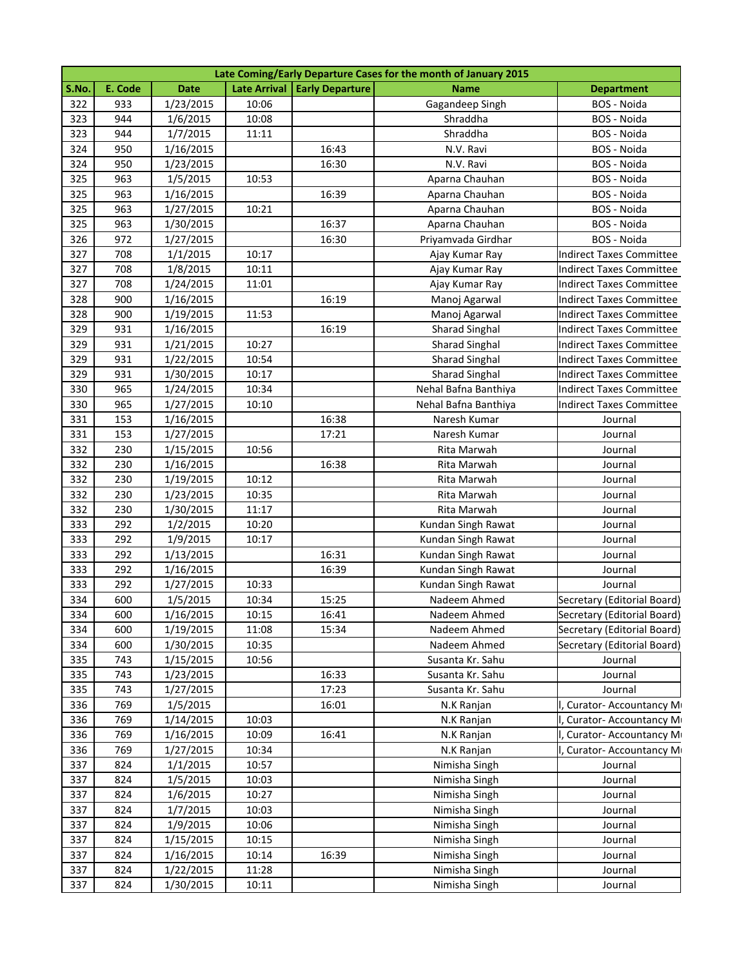|       | Late Coming/Early Departure Cases for the month of January 2015 |             |                     |                        |                       |                                 |  |  |
|-------|-----------------------------------------------------------------|-------------|---------------------|------------------------|-----------------------|---------------------------------|--|--|
| S.No. | E. Code                                                         | <b>Date</b> | <b>Late Arrival</b> | <b>Early Departure</b> | <b>Name</b>           | <b>Department</b>               |  |  |
| 322   | 933                                                             | 1/23/2015   | 10:06               |                        | Gagandeep Singh       | BOS - Noida                     |  |  |
| 323   | 944                                                             | 1/6/2015    | 10:08               |                        | Shraddha              | BOS - Noida                     |  |  |
| 323   | 944                                                             | 1/7/2015    | 11:11               |                        | Shraddha              | BOS - Noida                     |  |  |
| 324   | 950                                                             | 1/16/2015   |                     | 16:43                  | N.V. Ravi             | BOS - Noida                     |  |  |
| 324   | 950                                                             | 1/23/2015   |                     | 16:30                  | N.V. Ravi             | BOS - Noida                     |  |  |
| 325   | 963                                                             | 1/5/2015    | 10:53               |                        | Aparna Chauhan        | BOS - Noida                     |  |  |
| 325   | 963                                                             | 1/16/2015   |                     | 16:39                  | Aparna Chauhan        | BOS - Noida                     |  |  |
| 325   | 963                                                             | 1/27/2015   | 10:21               |                        | Aparna Chauhan        | BOS - Noida                     |  |  |
| 325   | 963                                                             | 1/30/2015   |                     | 16:37                  | Aparna Chauhan        | BOS - Noida                     |  |  |
| 326   | 972                                                             | 1/27/2015   |                     | 16:30                  | Priyamvada Girdhar    | BOS - Noida                     |  |  |
| 327   | 708                                                             | 1/1/2015    | 10:17               |                        | Ajay Kumar Ray        | Indirect Taxes Committee        |  |  |
| 327   | 708                                                             | 1/8/2015    | 10:11               |                        | Ajay Kumar Ray        | Indirect Taxes Committee        |  |  |
| 327   | 708                                                             | 1/24/2015   | 11:01               |                        | Ajay Kumar Ray        | Indirect Taxes Committee        |  |  |
| 328   | 900                                                             | 1/16/2015   |                     | 16:19                  | Manoj Agarwal         | Indirect Taxes Committee        |  |  |
| 328   | 900                                                             | 1/19/2015   | 11:53               |                        | Manoj Agarwal         | Indirect Taxes Committee        |  |  |
| 329   | 931                                                             | 1/16/2015   |                     | 16:19                  | <b>Sharad Singhal</b> | <b>Indirect Taxes Committee</b> |  |  |
| 329   | 931                                                             | 1/21/2015   | 10:27               |                        | <b>Sharad Singhal</b> | <b>Indirect Taxes Committee</b> |  |  |
| 329   | 931                                                             | 1/22/2015   | 10:54               |                        | <b>Sharad Singhal</b> | <b>Indirect Taxes Committee</b> |  |  |
| 329   | 931                                                             | 1/30/2015   | 10:17               |                        | <b>Sharad Singhal</b> | <b>Indirect Taxes Committee</b> |  |  |
| 330   | 965                                                             | 1/24/2015   | 10:34               |                        | Nehal Bafna Banthiya  | Indirect Taxes Committee        |  |  |
| 330   | 965                                                             | 1/27/2015   | 10:10               |                        | Nehal Bafna Banthiya  | <b>Indirect Taxes Committee</b> |  |  |
| 331   | 153                                                             | 1/16/2015   |                     | 16:38                  | Naresh Kumar          | Journal                         |  |  |
| 331   | 153                                                             | 1/27/2015   |                     | 17:21                  | Naresh Kumar          | Journal                         |  |  |
| 332   | 230                                                             | 1/15/2015   | 10:56               |                        | Rita Marwah           | Journal                         |  |  |
| 332   | 230                                                             | 1/16/2015   |                     | 16:38                  | Rita Marwah           | Journal                         |  |  |
| 332   | 230                                                             | 1/19/2015   | 10:12               |                        | Rita Marwah           | Journal                         |  |  |
| 332   | 230                                                             | 1/23/2015   | 10:35               |                        | Rita Marwah           | Journal                         |  |  |
| 332   | 230                                                             | 1/30/2015   | 11:17               |                        | Rita Marwah           | Journal                         |  |  |
| 333   | 292                                                             | 1/2/2015    | 10:20               |                        | Kundan Singh Rawat    | Journal                         |  |  |
| 333   | 292                                                             | 1/9/2015    | 10:17               |                        | Kundan Singh Rawat    | Journal                         |  |  |
| 333   | 292                                                             | 1/13/2015   |                     | 16:31                  | Kundan Singh Rawat    | Journal                         |  |  |
| 333   | 292                                                             | 1/16/2015   |                     | 16:39                  | Kundan Singh Rawat    | Journal                         |  |  |
| 333   | 292                                                             | 1/27/2015   | 10:33               |                        | Kundan Singh Rawat    | Journal                         |  |  |
| 334   | 600                                                             | 1/5/2015    | 10:34               | 15:25                  | Nadeem Ahmed          | Secretary (Editorial Board)     |  |  |
| 334   | 600                                                             | 1/16/2015   | 10:15               | 16:41                  | Nadeem Ahmed          | Secretary (Editorial Board)     |  |  |
| 334   | 600                                                             | 1/19/2015   | 11:08               | 15:34                  | Nadeem Ahmed          | Secretary (Editorial Board)     |  |  |
| 334   | 600                                                             | 1/30/2015   | 10:35               |                        | Nadeem Ahmed          | Secretary (Editorial Board)     |  |  |
| 335   | 743                                                             | 1/15/2015   | 10:56               |                        | Susanta Kr. Sahu      | Journal                         |  |  |
| 335   | 743                                                             | 1/23/2015   |                     | 16:33                  | Susanta Kr. Sahu      | Journal                         |  |  |
| 335   | 743                                                             | 1/27/2015   |                     | 17:23                  | Susanta Kr. Sahu      | Journal                         |  |  |
| 336   | 769                                                             | 1/5/2015    |                     | 16:01                  | N.K Ranjan            | Curator- Accountancy M          |  |  |
| 336   | 769                                                             | 1/14/2015   | 10:03               |                        | N.K Ranjan            | , Curator- Accountancy M        |  |  |
| 336   | 769                                                             | 1/16/2015   | 10:09               | 16:41                  | N.K Ranjan            | Curator- Accountancy M          |  |  |
| 336   | 769                                                             | 1/27/2015   | 10:34               |                        | N.K Ranjan            | Curator- Accountancy M          |  |  |
| 337   | 824                                                             | 1/1/2015    | 10:57               |                        | Nimisha Singh         | Journal                         |  |  |
| 337   | 824                                                             | 1/5/2015    | 10:03               |                        | Nimisha Singh         | Journal                         |  |  |
| 337   | 824                                                             | 1/6/2015    | 10:27               |                        | Nimisha Singh         | Journal                         |  |  |
| 337   | 824                                                             | 1/7/2015    | 10:03               |                        | Nimisha Singh         | Journal                         |  |  |
| 337   | 824                                                             | 1/9/2015    | 10:06               |                        | Nimisha Singh         | Journal                         |  |  |
| 337   | 824                                                             | 1/15/2015   | 10:15               |                        | Nimisha Singh         | Journal                         |  |  |
| 337   | 824                                                             | 1/16/2015   | 10:14               | 16:39                  | Nimisha Singh         | Journal                         |  |  |
| 337   | 824                                                             | 1/22/2015   | 11:28               |                        | Nimisha Singh         | Journal                         |  |  |
| 337   | 824                                                             | 1/30/2015   | 10:11               |                        | Nimisha Singh         | Journal                         |  |  |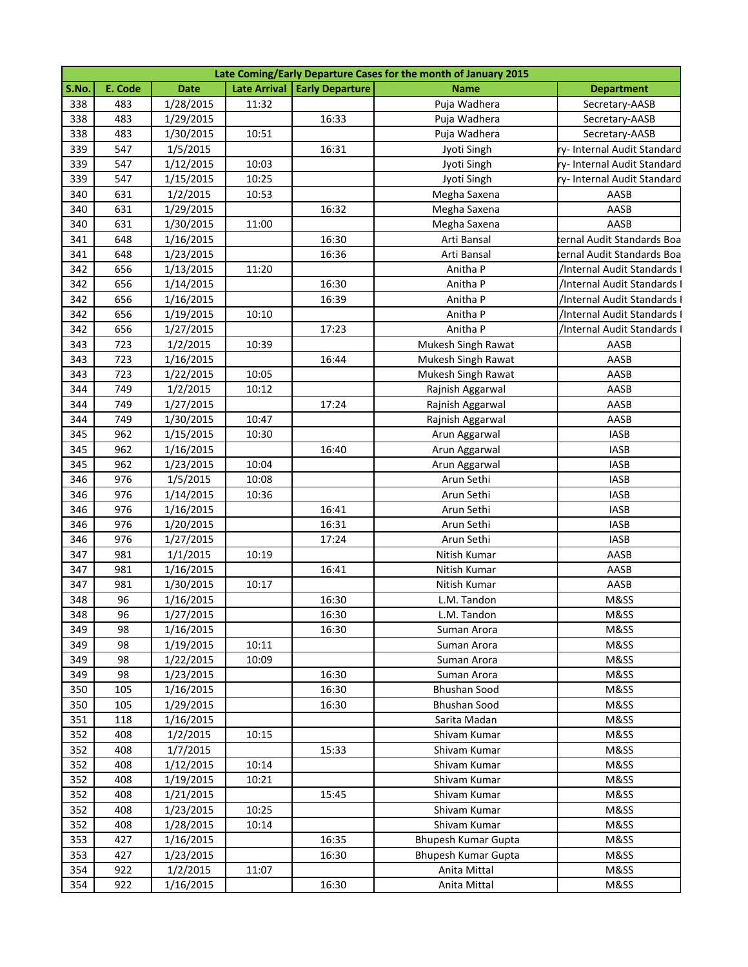|       | Late Coming/Early Departure Cases for the month of January 2015 |             |                     |                        |                     |                             |  |  |
|-------|-----------------------------------------------------------------|-------------|---------------------|------------------------|---------------------|-----------------------------|--|--|
| S.No. | E. Code                                                         | <b>Date</b> | <b>Late Arrival</b> | <b>Early Departure</b> | <b>Name</b>         | <b>Department</b>           |  |  |
| 338   | 483                                                             | 1/28/2015   | 11:32               |                        | Puja Wadhera        | Secretary-AASB              |  |  |
| 338   | 483                                                             | 1/29/2015   |                     | 16:33                  | Puja Wadhera        | Secretary-AASB              |  |  |
| 338   | 483                                                             | 1/30/2015   | 10:51               |                        | Puja Wadhera        | Secretary-AASB              |  |  |
| 339   | 547                                                             | 1/5/2015    |                     | 16:31                  | Jyoti Singh         | ry-Internal Audit Standard  |  |  |
| 339   | 547                                                             | 1/12/2015   | 10:03               |                        | Jyoti Singh         | ry- Internal Audit Standard |  |  |
| 339   | 547                                                             | 1/15/2015   | 10:25               |                        | Jyoti Singh         | ry- Internal Audit Standard |  |  |
| 340   | 631                                                             | 1/2/2015    | 10:53               |                        | Megha Saxena        | AASB                        |  |  |
| 340   | 631                                                             | 1/29/2015   |                     | 16:32                  | Megha Saxena        | AASB                        |  |  |
| 340   | 631                                                             | 1/30/2015   | 11:00               |                        | Megha Saxena        | AASB                        |  |  |
| 341   | 648                                                             | 1/16/2015   |                     | 16:30                  | Arti Bansal         | ernal Audit Standards Boa   |  |  |
| 341   | 648                                                             | 1/23/2015   |                     | 16:36                  | Arti Bansal         | ernal Audit Standards Boa:  |  |  |
| 342   | 656                                                             | 1/13/2015   | 11:20               |                        | Anitha P            | /Internal Audit Standards I |  |  |
| 342   | 656                                                             | 1/14/2015   |                     | 16:30                  | Anitha P            | /Internal Audit Standards I |  |  |
| 342   | 656                                                             | 1/16/2015   |                     | 16:39                  | Anitha P            | /Internal Audit Standards I |  |  |
| 342   | 656                                                             | 1/19/2015   | 10:10               |                        | Anitha P            | /Internal Audit Standards I |  |  |
| 342   | 656                                                             | 1/27/2015   |                     | 17:23                  | Anitha P            | /Internal Audit Standards I |  |  |
| 343   | 723                                                             | 1/2/2015    | 10:39               |                        | Mukesh Singh Rawat  | AASB                        |  |  |
| 343   | 723                                                             | 1/16/2015   |                     | 16:44                  | Mukesh Singh Rawat  | AASB                        |  |  |
| 343   | 723                                                             | 1/22/2015   | 10:05               |                        | Mukesh Singh Rawat  | AASB                        |  |  |
| 344   | 749                                                             | 1/2/2015    | 10:12               |                        | Rajnish Aggarwal    | AASB                        |  |  |
| 344   | 749                                                             | 1/27/2015   |                     | 17:24                  | Rajnish Aggarwal    | AASB                        |  |  |
| 344   | 749                                                             | 1/30/2015   | 10:47               |                        | Rajnish Aggarwal    | AASB                        |  |  |
| 345   | 962                                                             | 1/15/2015   | 10:30               |                        | Arun Aggarwal       | <b>IASB</b>                 |  |  |
| 345   | 962                                                             | 1/16/2015   |                     | 16:40                  | Arun Aggarwal       | <b>IASB</b>                 |  |  |
| 345   | 962                                                             | 1/23/2015   | 10:04               |                        | Arun Aggarwal       | <b>IASB</b>                 |  |  |
| 346   | 976                                                             | 1/5/2015    | 10:08               |                        | Arun Sethi          | <b>IASB</b>                 |  |  |
| 346   | 976                                                             | 1/14/2015   | 10:36               |                        | Arun Sethi          | <b>IASB</b>                 |  |  |
| 346   | 976                                                             | 1/16/2015   |                     | 16:41                  | Arun Sethi          | <b>IASB</b>                 |  |  |
| 346   | 976                                                             | 1/20/2015   |                     | 16:31                  | Arun Sethi          | <b>IASB</b>                 |  |  |
| 346   | 976                                                             | 1/27/2015   |                     | 17:24                  | Arun Sethi          | <b>IASB</b>                 |  |  |
| 347   | 981                                                             | 1/1/2015    | 10:19               |                        | Nitish Kumar        | AASB                        |  |  |
| 347   | 981                                                             | 1/16/2015   |                     | 16:41                  | Nitish Kumar        | AASB                        |  |  |
| 347   | 981                                                             | 1/30/2015   | 10:17               |                        | Nitish Kumar        | AASB                        |  |  |
| 348   | 96                                                              | 1/16/2015   |                     | 16:30                  | L.M. Tandon         | M&SS                        |  |  |
| 348   | 96                                                              | 1/27/2015   |                     | 16:30                  | L.M. Tandon         | M&SS                        |  |  |
| 349   | 98                                                              | 1/16/2015   |                     | 16:30                  | Suman Arora         | M&SS                        |  |  |
| 349   | 98                                                              | 1/19/2015   | 10:11               |                        | Suman Arora         | M&SS                        |  |  |
| 349   | 98                                                              | 1/22/2015   | 10:09               |                        | Suman Arora         | M&SS                        |  |  |
| 349   | 98                                                              | 1/23/2015   |                     | 16:30                  | Suman Arora         | M&SS                        |  |  |
| 350   | 105                                                             | 1/16/2015   |                     | 16:30                  | Bhushan Sood        | M&SS                        |  |  |
| 350   | 105                                                             | 1/29/2015   |                     | 16:30                  | <b>Bhushan Sood</b> | M&SS                        |  |  |
| 351   | 118                                                             | 1/16/2015   |                     |                        | Sarita Madan        | M&SS                        |  |  |
| 352   | 408                                                             | 1/2/2015    | 10:15               |                        | Shivam Kumar        | M&SS                        |  |  |
| 352   | 408                                                             | 1/7/2015    |                     | 15:33                  | Shivam Kumar        | M&SS                        |  |  |
| 352   | 408                                                             | 1/12/2015   | 10:14               |                        | Shivam Kumar        | M&SS                        |  |  |
| 352   | 408                                                             | 1/19/2015   | 10:21               |                        | Shivam Kumar        | M&SS                        |  |  |
| 352   | 408                                                             | 1/21/2015   |                     | 15:45                  | Shivam Kumar        | M&SS                        |  |  |
| 352   | 408                                                             | 1/23/2015   | 10:25               |                        | Shivam Kumar        | M&SS                        |  |  |
| 352   | 408                                                             | 1/28/2015   | 10:14               |                        | Shivam Kumar        | M&SS                        |  |  |
| 353   | 427                                                             | 1/16/2015   |                     | 16:35                  | Bhupesh Kumar Gupta | M&SS                        |  |  |
| 353   | 427                                                             | 1/23/2015   |                     | 16:30                  | Bhupesh Kumar Gupta | M&SS                        |  |  |
| 354   | 922                                                             | 1/2/2015    | 11:07               |                        | Anita Mittal        | M&SS                        |  |  |
| 354   | 922                                                             | 1/16/2015   |                     | 16:30                  | Anita Mittal        | M&SS                        |  |  |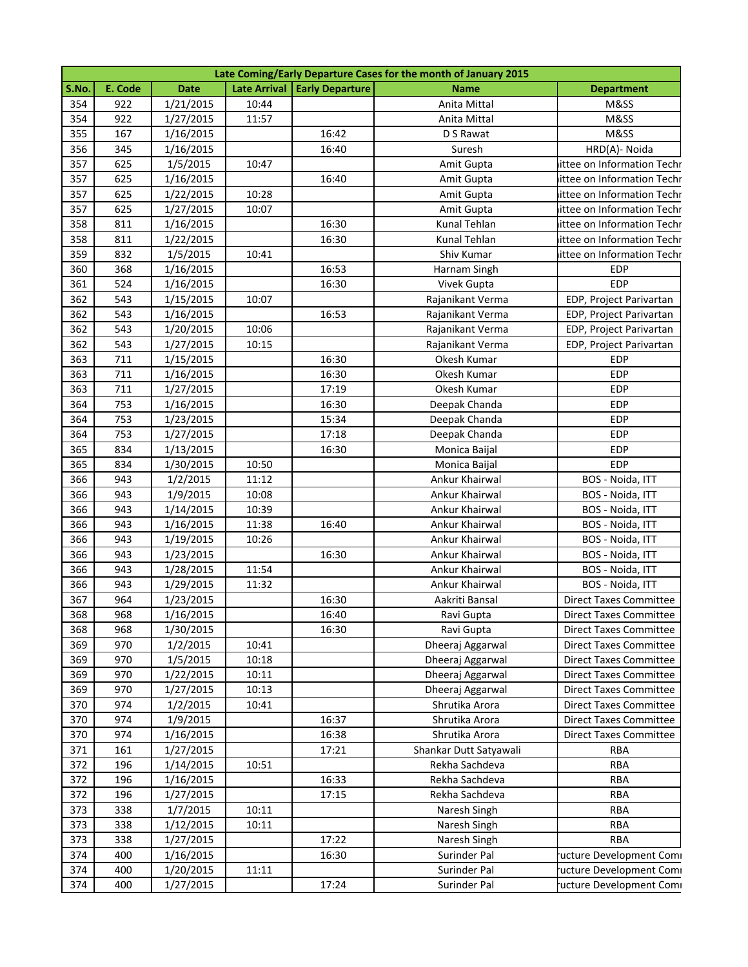|       | Late Coming/Early Departure Cases for the month of January 2015 |             |                     |                        |                        |                               |  |  |
|-------|-----------------------------------------------------------------|-------------|---------------------|------------------------|------------------------|-------------------------------|--|--|
| S.No. | E. Code                                                         | <b>Date</b> | <b>Late Arrival</b> | <b>Early Departure</b> | Name                   | <b>Department</b>             |  |  |
| 354   | 922                                                             | 1/21/2015   | 10:44               |                        | Anita Mittal           | M&SS                          |  |  |
| 354   | 922                                                             | 1/27/2015   | 11:57               |                        | Anita Mittal           | M&SS                          |  |  |
| 355   | 167                                                             | 1/16/2015   |                     | 16:42                  | D S Rawat              | M&SS                          |  |  |
| 356   | 345                                                             | 1/16/2015   |                     | 16:40                  | Suresh                 | HRD(A)- Noida                 |  |  |
| 357   | 625                                                             | 1/5/2015    | 10:47               |                        | Amit Gupta             | ittee on Information Techr    |  |  |
| 357   | 625                                                             | 1/16/2015   |                     | 16:40                  | Amit Gupta             | ittee on Information Techr    |  |  |
| 357   | 625                                                             | 1/22/2015   | 10:28               |                        | Amit Gupta             | ittee on Information Techr    |  |  |
| 357   | 625                                                             | 1/27/2015   | 10:07               |                        | Amit Gupta             | ittee on Information Techr    |  |  |
| 358   | 811                                                             | 1/16/2015   |                     | 16:30                  | Kunal Tehlan           | ittee on Information Techr    |  |  |
| 358   | 811                                                             | 1/22/2015   |                     | 16:30                  | Kunal Tehlan           | ittee on Information Techr    |  |  |
| 359   | 832                                                             | 1/5/2015    | 10:41               |                        | Shiv Kumar             | ittee on Information Techr    |  |  |
| 360   | 368                                                             | 1/16/2015   |                     | 16:53                  | Harnam Singh           | <b>EDP</b>                    |  |  |
| 361   | 524                                                             | 1/16/2015   |                     | 16:30                  | Vivek Gupta            | <b>EDP</b>                    |  |  |
| 362   | 543                                                             | 1/15/2015   | 10:07               |                        | Rajanikant Verma       | EDP, Project Parivartan       |  |  |
| 362   | 543                                                             | 1/16/2015   |                     | 16:53                  | Rajanikant Verma       | EDP, Project Parivartan       |  |  |
| 362   | 543                                                             | 1/20/2015   | 10:06               |                        | Rajanikant Verma       | EDP, Project Parivartan       |  |  |
| 362   | 543                                                             | 1/27/2015   | 10:15               |                        | Rajanikant Verma       | EDP, Project Parivartan       |  |  |
| 363   | 711                                                             | 1/15/2015   |                     | 16:30                  | Okesh Kumar            | <b>EDP</b>                    |  |  |
| 363   | 711                                                             | 1/16/2015   |                     | 16:30                  | Okesh Kumar            | <b>EDP</b>                    |  |  |
| 363   | 711                                                             | 1/27/2015   |                     | 17:19                  | Okesh Kumar            | EDP                           |  |  |
| 364   | 753                                                             | 1/16/2015   |                     | 16:30                  | Deepak Chanda          | <b>EDP</b>                    |  |  |
| 364   | 753                                                             | 1/23/2015   |                     | 15:34                  | Deepak Chanda          | <b>EDP</b>                    |  |  |
| 364   | 753                                                             | 1/27/2015   |                     | 17:18                  | Deepak Chanda          | <b>EDP</b>                    |  |  |
| 365   | 834                                                             | 1/13/2015   |                     | 16:30                  | Monica Baijal          | <b>EDP</b>                    |  |  |
| 365   | 834                                                             | 1/30/2015   | 10:50               |                        | Monica Baijal          | <b>EDP</b>                    |  |  |
| 366   | 943                                                             | 1/2/2015    | 11:12               |                        | Ankur Khairwal         | BOS - Noida, ITT              |  |  |
| 366   | 943                                                             | 1/9/2015    | 10:08               |                        | Ankur Khairwal         | BOS - Noida, ITT              |  |  |
| 366   | 943                                                             | 1/14/2015   | 10:39               |                        | Ankur Khairwal         | BOS - Noida, ITT              |  |  |
| 366   | 943                                                             | 1/16/2015   | 11:38               | 16:40                  | Ankur Khairwal         | BOS - Noida, ITT              |  |  |
| 366   | 943                                                             | 1/19/2015   | 10:26               |                        | Ankur Khairwal         | BOS - Noida, ITT              |  |  |
| 366   | 943                                                             | 1/23/2015   |                     | 16:30                  | Ankur Khairwal         | BOS - Noida, ITT              |  |  |
| 366   | 943                                                             | 1/28/2015   | 11:54               |                        | Ankur Khairwal         | BOS - Noida, ITT              |  |  |
| 366   | 943                                                             | 1/29/2015   | 11:32               |                        | Ankur Khairwal         | BOS - Noida, ITT              |  |  |
| 367   | 964                                                             | 1/23/2015   |                     | 16:30                  | Aakriti Bansal         | <b>Direct Taxes Committee</b> |  |  |
| 368   | 968                                                             | 1/16/2015   |                     | 16:40                  | Ravi Gupta             | <b>Direct Taxes Committee</b> |  |  |
| 368   | 968                                                             | 1/30/2015   |                     | 16:30                  | Ravi Gupta             | <b>Direct Taxes Committee</b> |  |  |
| 369   | 970                                                             | 1/2/2015    | 10:41               |                        | Dheeraj Aggarwal       | <b>Direct Taxes Committee</b> |  |  |
| 369   | 970                                                             | 1/5/2015    | 10:18               |                        | Dheeraj Aggarwal       | <b>Direct Taxes Committee</b> |  |  |
| 369   | 970                                                             | 1/22/2015   | 10:11               |                        | Dheeraj Aggarwal       | <b>Direct Taxes Committee</b> |  |  |
| 369   | 970                                                             | 1/27/2015   | 10:13               |                        | Dheeraj Aggarwal       | <b>Direct Taxes Committee</b> |  |  |
| 370   | 974                                                             | 1/2/2015    | 10:41               |                        | Shrutika Arora         | <b>Direct Taxes Committee</b> |  |  |
| 370   | 974                                                             | 1/9/2015    |                     | 16:37                  | Shrutika Arora         | <b>Direct Taxes Committee</b> |  |  |
| 370   | 974                                                             | 1/16/2015   |                     | 16:38                  | Shrutika Arora         | <b>Direct Taxes Committee</b> |  |  |
| 371   | 161                                                             | 1/27/2015   |                     | 17:21                  | Shankar Dutt Satyawali | <b>RBA</b>                    |  |  |
| 372   | 196                                                             | 1/14/2015   | 10:51               |                        | Rekha Sachdeva         | <b>RBA</b>                    |  |  |
| 372   | 196                                                             | 1/16/2015   |                     | 16:33                  | Rekha Sachdeva         | <b>RBA</b>                    |  |  |
| 372   | 196                                                             | 1/27/2015   |                     | 17:15                  | Rekha Sachdeva         | <b>RBA</b>                    |  |  |
| 373   | 338                                                             | 1/7/2015    | 10:11               |                        | Naresh Singh           | <b>RBA</b>                    |  |  |
| 373   | 338                                                             | 1/12/2015   | 10:11               |                        | Naresh Singh           | <b>RBA</b>                    |  |  |
| 373   | 338                                                             | 1/27/2015   |                     | 17:22                  | Naresh Singh           | <b>RBA</b>                    |  |  |
| 374   | 400                                                             | 1/16/2015   |                     | 16:30                  | Surinder Pal           | ucture Development Comi       |  |  |
| 374   | 400                                                             | 1/20/2015   | 11:11               |                        | Surinder Pal           | ucture Development Comi       |  |  |
| 374   | 400                                                             | 1/27/2015   |                     | 17:24                  | Surinder Pal           | ucture Development Comi       |  |  |
|       |                                                                 |             |                     |                        |                        |                               |  |  |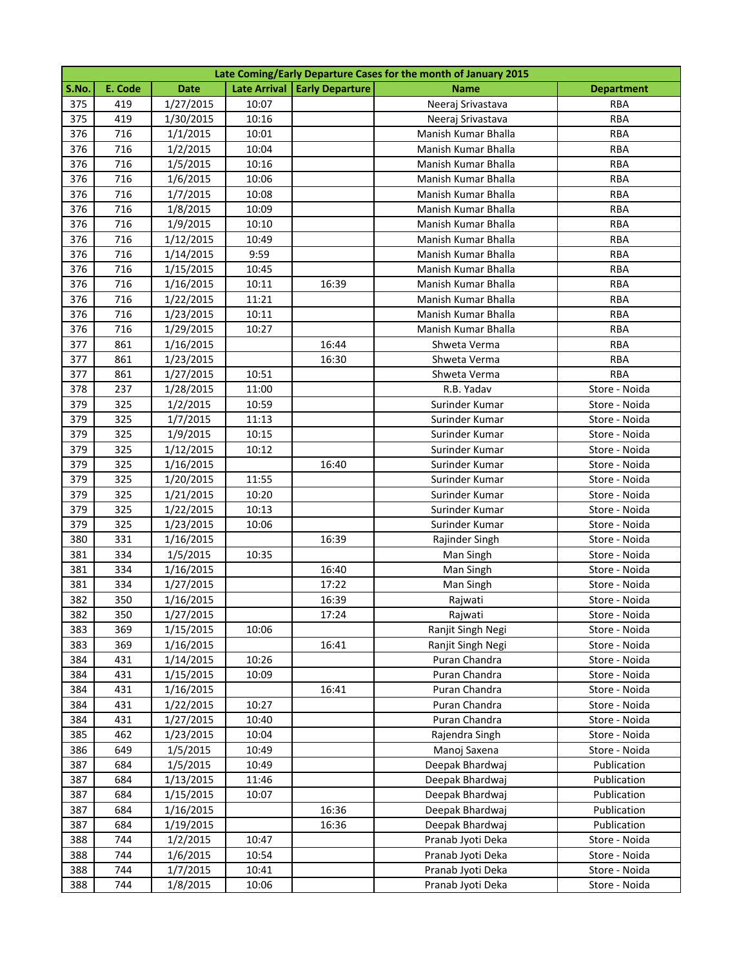|       | Late Coming/Early Departure Cases for the month of January 2015 |             |                |                                |                     |                   |  |  |  |
|-------|-----------------------------------------------------------------|-------------|----------------|--------------------------------|---------------------|-------------------|--|--|--|
| S.No. | E. Code                                                         | <b>Date</b> |                | Late Arrival   Early Departure | <b>Name</b>         | <b>Department</b> |  |  |  |
| 375   | 419                                                             | 1/27/2015   | 10:07          |                                | Neeraj Srivastava   | RBA               |  |  |  |
| 375   | 419                                                             | 1/30/2015   | 10:16          |                                | Neeraj Srivastava   | <b>RBA</b>        |  |  |  |
| 376   | 716                                                             | 1/1/2015    | 10:01          |                                | Manish Kumar Bhalla | <b>RBA</b>        |  |  |  |
| 376   | 716                                                             | 1/2/2015    | 10:04          |                                | Manish Kumar Bhalla | <b>RBA</b>        |  |  |  |
| 376   | 716                                                             | 1/5/2015    | 10:16          |                                | Manish Kumar Bhalla | <b>RBA</b>        |  |  |  |
| 376   | 716                                                             | 1/6/2015    | 10:06          |                                | Manish Kumar Bhalla | <b>RBA</b>        |  |  |  |
| 376   | 716                                                             | 1/7/2015    | 10:08          |                                | Manish Kumar Bhalla | <b>RBA</b>        |  |  |  |
| 376   | 716                                                             | 1/8/2015    | 10:09          |                                | Manish Kumar Bhalla | <b>RBA</b>        |  |  |  |
| 376   | 716                                                             | 1/9/2015    | 10:10          |                                | Manish Kumar Bhalla | <b>RBA</b>        |  |  |  |
| 376   | 716                                                             | 1/12/2015   | 10:49          |                                | Manish Kumar Bhalla | <b>RBA</b>        |  |  |  |
| 376   | 716                                                             | 1/14/2015   | 9:59           |                                | Manish Kumar Bhalla | <b>RBA</b>        |  |  |  |
| 376   | 716                                                             | 1/15/2015   | 10:45          |                                | Manish Kumar Bhalla | RBA               |  |  |  |
| 376   | 716                                                             | 1/16/2015   | 10:11          | 16:39                          | Manish Kumar Bhalla | <b>RBA</b>        |  |  |  |
| 376   | 716                                                             | 1/22/2015   | 11:21          |                                | Manish Kumar Bhalla | <b>RBA</b>        |  |  |  |
| 376   | 716                                                             | 1/23/2015   | 10:11          |                                | Manish Kumar Bhalla | <b>RBA</b>        |  |  |  |
| 376   | 716                                                             | 1/29/2015   | 10:27          |                                | Manish Kumar Bhalla | <b>RBA</b>        |  |  |  |
| 377   | 861                                                             | 1/16/2015   |                | 16:44                          | Shweta Verma        | <b>RBA</b>        |  |  |  |
| 377   | 861                                                             | 1/23/2015   |                | 16:30                          | Shweta Verma        | <b>RBA</b>        |  |  |  |
| 377   | 861                                                             | 1/27/2015   | 10:51          |                                | Shweta Verma        | <b>RBA</b>        |  |  |  |
| 378   | 237                                                             | 1/28/2015   | 11:00          |                                | R.B. Yadav          | Store - Noida     |  |  |  |
| 379   | 325                                                             | 1/2/2015    | 10:59          |                                | Surinder Kumar      | Store - Noida     |  |  |  |
| 379   | 325                                                             | 1/7/2015    | 11:13          |                                | Surinder Kumar      | Store - Noida     |  |  |  |
| 379   | 325                                                             | 1/9/2015    | 10:15          |                                | Surinder Kumar      | Store - Noida     |  |  |  |
| 379   | 325                                                             | 1/12/2015   | 10:12          |                                | Surinder Kumar      | Store - Noida     |  |  |  |
| 379   | 325                                                             | 1/16/2015   |                | 16:40                          | Surinder Kumar      | Store - Noida     |  |  |  |
| 379   | 325                                                             | 1/20/2015   | 11:55          |                                | Surinder Kumar      | Store - Noida     |  |  |  |
| 379   | 325                                                             | 1/21/2015   | 10:20          |                                | Surinder Kumar      | Store - Noida     |  |  |  |
| 379   | 325                                                             | 1/22/2015   | 10:13          |                                | Surinder Kumar      | Store - Noida     |  |  |  |
| 379   | 325                                                             | 1/23/2015   | 10:06          |                                | Surinder Kumar      | Store - Noida     |  |  |  |
| 380   | 331                                                             | 1/16/2015   |                | 16:39                          | Rajinder Singh      | Store - Noida     |  |  |  |
| 381   | 334                                                             | 1/5/2015    | 10:35          |                                | Man Singh           | Store - Noida     |  |  |  |
| 381   | 334                                                             | 1/16/2015   |                | 16:40                          | Man Singh           | Store - Noida     |  |  |  |
| 381   | 334                                                             | 1/27/2015   |                | 17:22                          | Man Singh           | Store - Noida     |  |  |  |
| 382   | 350                                                             | 1/16/2015   |                | 16:39                          | Rajwati             | Store - Noida     |  |  |  |
| 382   | 350                                                             | 1/27/2015   |                | 17:24                          | Rajwati             | Store - Noida     |  |  |  |
| 383   | 369                                                             | 1/15/2015   | 10:06          |                                | Ranjit Singh Negi   | Store - Noida     |  |  |  |
| 383   | 369                                                             | 1/16/2015   |                | 16:41                          | Ranjit Singh Negi   | Store - Noida     |  |  |  |
| 384   | 431                                                             | 1/14/2015   | 10:26          |                                | Puran Chandra       | Store - Noida     |  |  |  |
| 384   | 431                                                             | 1/15/2015   | 10:09          |                                | Puran Chandra       | Store - Noida     |  |  |  |
| 384   | 431                                                             | 1/16/2015   |                | 16:41                          | Puran Chandra       | Store - Noida     |  |  |  |
| 384   | 431                                                             | 1/22/2015   | 10:27          |                                | Puran Chandra       | Store - Noida     |  |  |  |
| 384   | 431                                                             | 1/27/2015   | 10:40          |                                | Puran Chandra       | Store - Noida     |  |  |  |
| 385   | 462                                                             | 1/23/2015   | 10:04          |                                | Rajendra Singh      | Store - Noida     |  |  |  |
| 386   | 649                                                             | 1/5/2015    | 10:49          |                                | Manoj Saxena        | Store - Noida     |  |  |  |
| 387   | 684                                                             | 1/5/2015    | 10:49          |                                | Deepak Bhardwaj     | Publication       |  |  |  |
| 387   | 684                                                             | 1/13/2015   | 11:46          |                                | Deepak Bhardwaj     | Publication       |  |  |  |
| 387   | 684                                                             | 1/15/2015   | 10:07          |                                | Deepak Bhardwaj     | Publication       |  |  |  |
| 387   | 684                                                             | 1/16/2015   |                | 16:36                          | Deepak Bhardwaj     | Publication       |  |  |  |
| 387   | 684                                                             | 1/19/2015   |                | 16:36                          | Deepak Bhardwaj     | Publication       |  |  |  |
| 388   | 744                                                             | 1/2/2015    | 10:47          |                                | Pranab Jyoti Deka   | Store - Noida     |  |  |  |
| 388   | 744<br>744                                                      | 1/6/2015    | 10:54<br>10:41 |                                | Pranab Jyoti Deka   | Store - Noida     |  |  |  |
| 388   |                                                                 | 1/7/2015    |                |                                | Pranab Jyoti Deka   | Store - Noida     |  |  |  |
| 388   | 744                                                             | 1/8/2015    | 10:06          |                                | Pranab Jyoti Deka   | Store - Noida     |  |  |  |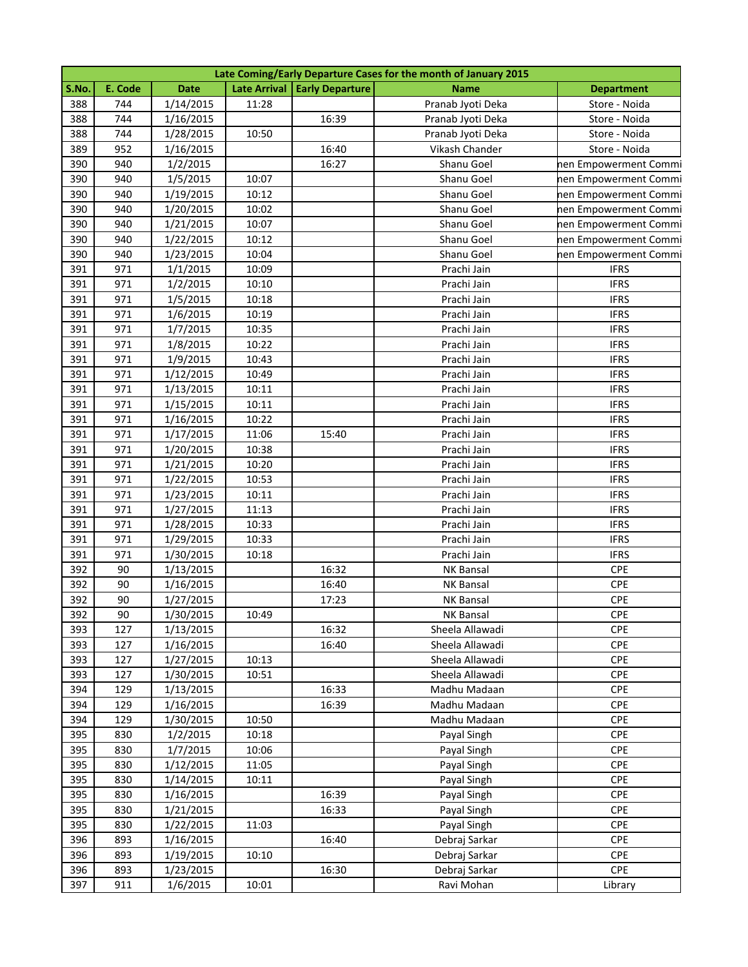|       | Late Coming/Early Departure Cases for the month of January 2015 |             |       |                                |                   |                       |  |  |
|-------|-----------------------------------------------------------------|-------------|-------|--------------------------------|-------------------|-----------------------|--|--|
| S.No. | E. Code                                                         | <b>Date</b> |       | Late Arrival   Early Departure | <b>Name</b>       | <b>Department</b>     |  |  |
| 388   | 744                                                             | 1/14/2015   | 11:28 |                                | Pranab Jyoti Deka | Store - Noida         |  |  |
| 388   | 744                                                             | 1/16/2015   |       | 16:39                          | Pranab Jyoti Deka | Store - Noida         |  |  |
| 388   | 744                                                             | 1/28/2015   | 10:50 |                                | Pranab Jyoti Deka | Store - Noida         |  |  |
| 389   | 952                                                             | 1/16/2015   |       | 16:40                          | Vikash Chander    | Store - Noida         |  |  |
| 390   | 940                                                             | 1/2/2015    |       | 16:27                          | Shanu Goel        | nen Empowerment Commi |  |  |
| 390   | 940                                                             | 1/5/2015    | 10:07 |                                | Shanu Goel        | nen Empowerment Commi |  |  |
| 390   | 940                                                             | 1/19/2015   | 10:12 |                                | Shanu Goel        | nen Empowerment Commi |  |  |
| 390   | 940                                                             | 1/20/2015   | 10:02 |                                | Shanu Goel        | nen Empowerment Commi |  |  |
| 390   | 940                                                             | 1/21/2015   | 10:07 |                                | Shanu Goel        | nen Empowerment Commi |  |  |
| 390   | 940                                                             | 1/22/2015   | 10:12 |                                | Shanu Goel        | hen Empowerment Commi |  |  |
| 390   | 940                                                             | 1/23/2015   | 10:04 |                                | Shanu Goel        | nen Empowerment Commi |  |  |
| 391   | 971                                                             | 1/1/2015    | 10:09 |                                | Prachi Jain       | <b>IFRS</b>           |  |  |
| 391   | 971                                                             | 1/2/2015    | 10:10 |                                | Prachi Jain       | <b>IFRS</b>           |  |  |
| 391   | 971                                                             | 1/5/2015    | 10:18 |                                | Prachi Jain       | <b>IFRS</b>           |  |  |
| 391   | 971                                                             | 1/6/2015    | 10:19 |                                | Prachi Jain       | <b>IFRS</b>           |  |  |
| 391   | 971                                                             | 1/7/2015    | 10:35 |                                | Prachi Jain       | <b>IFRS</b>           |  |  |
| 391   | 971                                                             | 1/8/2015    | 10:22 |                                | Prachi Jain       | <b>IFRS</b>           |  |  |
| 391   | 971                                                             | 1/9/2015    | 10:43 |                                | Prachi Jain       | <b>IFRS</b>           |  |  |
| 391   | 971                                                             | 1/12/2015   | 10:49 |                                | Prachi Jain       | <b>IFRS</b>           |  |  |
| 391   | 971                                                             | 1/13/2015   | 10:11 |                                | Prachi Jain       | <b>IFRS</b>           |  |  |
| 391   | 971                                                             | 1/15/2015   | 10:11 |                                | Prachi Jain       | <b>IFRS</b>           |  |  |
| 391   | 971                                                             | 1/16/2015   | 10:22 |                                | Prachi Jain       | <b>IFRS</b>           |  |  |
| 391   | 971                                                             | 1/17/2015   | 11:06 | 15:40                          | Prachi Jain       | <b>IFRS</b>           |  |  |
| 391   | 971                                                             | 1/20/2015   | 10:38 |                                | Prachi Jain       | <b>IFRS</b>           |  |  |
| 391   | 971                                                             | 1/21/2015   | 10:20 |                                | Prachi Jain       | <b>IFRS</b>           |  |  |
| 391   | 971                                                             | 1/22/2015   | 10:53 |                                | Prachi Jain       | <b>IFRS</b>           |  |  |
| 391   | 971                                                             | 1/23/2015   | 10:11 |                                | Prachi Jain       | <b>IFRS</b>           |  |  |
| 391   | 971                                                             | 1/27/2015   | 11:13 |                                | Prachi Jain       | <b>IFRS</b>           |  |  |
| 391   | 971                                                             | 1/28/2015   | 10:33 |                                | Prachi Jain       | <b>IFRS</b>           |  |  |
| 391   | 971                                                             | 1/29/2015   | 10:33 |                                | Prachi Jain       | <b>IFRS</b>           |  |  |
| 391   | 971                                                             | 1/30/2015   | 10:18 |                                | Prachi Jain       | <b>IFRS</b>           |  |  |
| 392   | 90                                                              | 1/13/2015   |       | 16:32                          | <b>NK Bansal</b>  | <b>CPE</b>            |  |  |
| 392   | 90                                                              | 1/16/2015   |       | 16:40                          | <b>NK Bansal</b>  | <b>CPE</b>            |  |  |
| 392   | 90                                                              | 1/27/2015   |       | 17:23                          | <b>NK Bansal</b>  | CPE                   |  |  |
| 392   | $90\,$                                                          | 1/30/2015   | 10:49 |                                | NK Bansal         | CPE                   |  |  |
| 393   | 127                                                             | 1/13/2015   |       | 16:32                          | Sheela Allawadi   | <b>CPE</b>            |  |  |
| 393   | 127                                                             | 1/16/2015   |       | 16:40                          | Sheela Allawadi   | <b>CPE</b>            |  |  |
| 393   | 127                                                             | 1/27/2015   | 10:13 |                                | Sheela Allawadi   | <b>CPE</b>            |  |  |
| 393   | 127                                                             | 1/30/2015   | 10:51 |                                | Sheela Allawadi   | CPE                   |  |  |
| 394   | 129                                                             | 1/13/2015   |       | 16:33                          | Madhu Madaan      | <b>CPE</b>            |  |  |
| 394   | 129                                                             | 1/16/2015   |       | 16:39                          | Madhu Madaan      | <b>CPE</b>            |  |  |
| 394   | 129                                                             | 1/30/2015   | 10:50 |                                | Madhu Madaan      | <b>CPE</b>            |  |  |
| 395   | 830                                                             | 1/2/2015    | 10:18 |                                | Payal Singh       | <b>CPE</b>            |  |  |
| 395   | 830                                                             | 1/7/2015    | 10:06 |                                | Payal Singh       | <b>CPE</b>            |  |  |
| 395   | 830                                                             | 1/12/2015   | 11:05 |                                | Payal Singh       | <b>CPE</b>            |  |  |
| 395   | 830                                                             | 1/14/2015   | 10:11 |                                | Payal Singh       | <b>CPE</b>            |  |  |
| 395   | 830                                                             | 1/16/2015   |       | 16:39                          | Payal Singh       | <b>CPE</b>            |  |  |
| 395   | 830                                                             | 1/21/2015   |       | 16:33                          | Payal Singh       | <b>CPE</b>            |  |  |
| 395   | 830                                                             | 1/22/2015   | 11:03 |                                | Payal Singh       | CPE                   |  |  |
| 396   | 893                                                             | 1/16/2015   |       | 16:40                          | Debraj Sarkar     | <b>CPE</b>            |  |  |
| 396   | 893                                                             | 1/19/2015   | 10:10 |                                | Debraj Sarkar     | <b>CPE</b>            |  |  |
| 396   | 893                                                             | 1/23/2015   |       | 16:30                          | Debraj Sarkar     | <b>CPE</b>            |  |  |
| 397   | 911                                                             | 1/6/2015    | 10:01 |                                | Ravi Mohan        | Library               |  |  |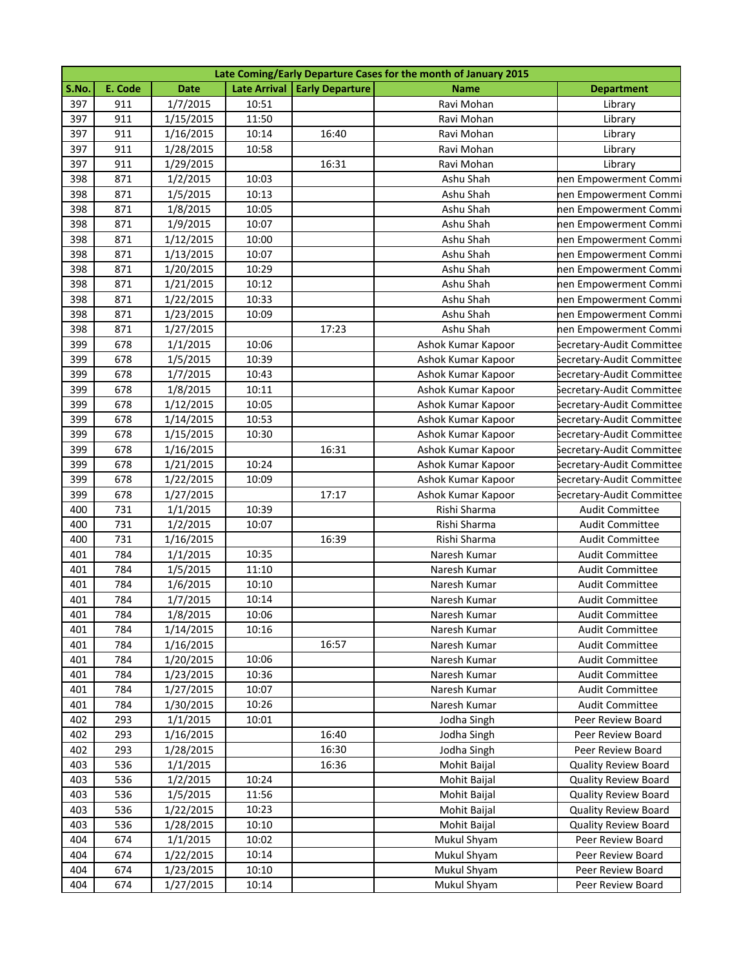|       | Late Coming/Early Departure Cases for the month of January 2015 |             |       |                                |                    |                             |  |  |
|-------|-----------------------------------------------------------------|-------------|-------|--------------------------------|--------------------|-----------------------------|--|--|
| S.No. | E. Code                                                         | <b>Date</b> |       | Late Arrival   Early Departure | <b>Name</b>        | <b>Department</b>           |  |  |
| 397   | 911                                                             | 1/7/2015    | 10:51 |                                | Ravi Mohan         | Library                     |  |  |
| 397   | 911                                                             | 1/15/2015   | 11:50 |                                | Ravi Mohan         | Library                     |  |  |
| 397   | 911                                                             | 1/16/2015   | 10:14 | 16:40                          | Ravi Mohan         | Library                     |  |  |
| 397   | 911                                                             | 1/28/2015   | 10:58 |                                | Ravi Mohan         | Library                     |  |  |
| 397   | 911                                                             | 1/29/2015   |       | 16:31                          | Ravi Mohan         | Library                     |  |  |
| 398   | 871                                                             | 1/2/2015    | 10:03 |                                | Ashu Shah          | nen Empowerment Commi       |  |  |
| 398   | 871                                                             | 1/5/2015    | 10:13 |                                | Ashu Shah          | nen Empowerment Commi       |  |  |
| 398   | 871                                                             | 1/8/2015    | 10:05 |                                | Ashu Shah          | nen Empowerment Commi       |  |  |
| 398   | 871                                                             | 1/9/2015    | 10:07 |                                | Ashu Shah          | nen Empowerment Commi       |  |  |
| 398   | 871                                                             | 1/12/2015   | 10:00 |                                | Ashu Shah          | nen Empowerment Commi       |  |  |
| 398   | 871                                                             | 1/13/2015   | 10:07 |                                | Ashu Shah          | nen Empowerment Commi       |  |  |
| 398   | 871                                                             | 1/20/2015   | 10:29 |                                | Ashu Shah          | nen Empowerment Commi       |  |  |
| 398   | 871                                                             | 1/21/2015   | 10:12 |                                | Ashu Shah          | nen Empowerment Commi       |  |  |
| 398   | 871                                                             | 1/22/2015   | 10:33 |                                | Ashu Shah          | nen Empowerment Commi       |  |  |
| 398   | 871                                                             | 1/23/2015   | 10:09 |                                | Ashu Shah          | nen Empowerment Commi       |  |  |
| 398   | 871                                                             | 1/27/2015   |       | 17:23                          | Ashu Shah          | nen Empowerment Commi       |  |  |
| 399   | 678                                                             | 1/1/2015    | 10:06 |                                | Ashok Kumar Kapoor | Secretary-Audit Committee   |  |  |
| 399   | 678                                                             | 1/5/2015    | 10:39 |                                | Ashok Kumar Kapoor | Secretary-Audit Committee   |  |  |
| 399   | 678                                                             | 1/7/2015    | 10:43 |                                | Ashok Kumar Kapoor | Secretary-Audit Committee   |  |  |
| 399   | 678                                                             | 1/8/2015    | 10:11 |                                | Ashok Kumar Kapoor | Secretary-Audit Committee   |  |  |
| 399   | 678                                                             | 1/12/2015   | 10:05 |                                | Ashok Kumar Kapoor | Secretary-Audit Committee   |  |  |
| 399   | 678                                                             | 1/14/2015   | 10:53 |                                | Ashok Kumar Kapoor | Secretary-Audit Committee   |  |  |
| 399   | 678                                                             | 1/15/2015   | 10:30 |                                | Ashok Kumar Kapoor | Secretary-Audit Committee   |  |  |
| 399   | 678                                                             | 1/16/2015   |       | 16:31                          | Ashok Kumar Kapoor | Secretary-Audit Committee   |  |  |
| 399   | 678                                                             | 1/21/2015   | 10:24 |                                | Ashok Kumar Kapoor | Secretary-Audit Committee   |  |  |
| 399   | 678                                                             | 1/22/2015   | 10:09 |                                | Ashok Kumar Kapoor | Secretary-Audit Committee   |  |  |
| 399   | 678                                                             | 1/27/2015   |       | 17:17                          | Ashok Kumar Kapoor | Secretary-Audit Committee   |  |  |
| 400   | 731                                                             | 1/1/2015    | 10:39 |                                | Rishi Sharma       | <b>Audit Committee</b>      |  |  |
| 400   | 731                                                             | 1/2/2015    | 10:07 |                                | Rishi Sharma       | <b>Audit Committee</b>      |  |  |
| 400   | 731                                                             | 1/16/2015   |       | 16:39                          | Rishi Sharma       | <b>Audit Committee</b>      |  |  |
| 401   | 784                                                             | 1/1/2015    | 10:35 |                                | Naresh Kumar       | <b>Audit Committee</b>      |  |  |
| 401   | 784                                                             | 1/5/2015    | 11:10 |                                | Naresh Kumar       | <b>Audit Committee</b>      |  |  |
| 401   | 784                                                             | 1/6/2015    | 10:10 |                                | Naresh Kumar       | <b>Audit Committee</b>      |  |  |
| 401   | 784                                                             | 1/7/2015    | 10:14 |                                | Naresh Kumar       | <b>Audit Committee</b>      |  |  |
| 401   | 784                                                             | 1/8/2015    | 10:06 |                                | Naresh Kumar       | Audit Committee             |  |  |
| 401   | 784                                                             | 1/14/2015   | 10:16 |                                | Naresh Kumar       | <b>Audit Committee</b>      |  |  |
| 401   | 784                                                             | 1/16/2015   |       | 16:57                          | Naresh Kumar       | <b>Audit Committee</b>      |  |  |
| 401   | 784                                                             | 1/20/2015   | 10:06 |                                | Naresh Kumar       | <b>Audit Committee</b>      |  |  |
| 401   | 784                                                             | 1/23/2015   | 10:36 |                                | Naresh Kumar       | <b>Audit Committee</b>      |  |  |
| 401   | 784                                                             | 1/27/2015   | 10:07 |                                | Naresh Kumar       | <b>Audit Committee</b>      |  |  |
| 401   | 784                                                             | 1/30/2015   | 10:26 |                                | Naresh Kumar       | <b>Audit Committee</b>      |  |  |
| 402   | 293                                                             | 1/1/2015    | 10:01 |                                | Jodha Singh        | Peer Review Board           |  |  |
| 402   | 293                                                             | 1/16/2015   |       | 16:40                          | Jodha Singh        | Peer Review Board           |  |  |
| 402   | 293                                                             | 1/28/2015   |       | 16:30                          | Jodha Singh        | Peer Review Board           |  |  |
| 403   | 536                                                             | 1/1/2015    |       | 16:36                          | Mohit Baijal       | <b>Quality Review Board</b> |  |  |
| 403   | 536                                                             | 1/2/2015    | 10:24 |                                | Mohit Baijal       | <b>Quality Review Board</b> |  |  |
| 403   | 536                                                             | 1/5/2015    | 11:56 |                                | Mohit Baijal       | <b>Quality Review Board</b> |  |  |
| 403   | 536                                                             | 1/22/2015   | 10:23 |                                | Mohit Baijal       | <b>Quality Review Board</b> |  |  |
| 403   | 536                                                             | 1/28/2015   | 10:10 |                                | Mohit Baijal       | <b>Quality Review Board</b> |  |  |
| 404   | 674                                                             | 1/1/2015    | 10:02 |                                | Mukul Shyam        | Peer Review Board           |  |  |
| 404   | 674                                                             | 1/22/2015   | 10:14 |                                | Mukul Shyam        | Peer Review Board           |  |  |
| 404   | 674                                                             | 1/23/2015   | 10:10 |                                | Mukul Shyam        | Peer Review Board           |  |  |
| 404   | 674                                                             | 1/27/2015   | 10:14 |                                | Mukul Shyam        | Peer Review Board           |  |  |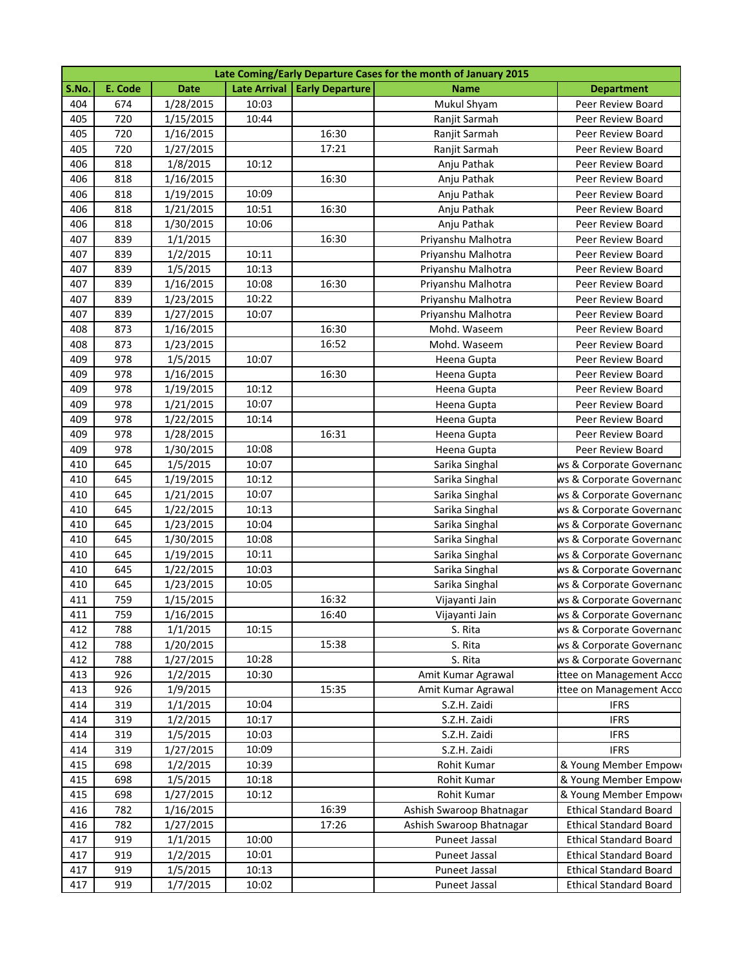| Late Coming/Early Departure Cases for the month of January 2015 |         |             |       |                                |                          |                               |  |
|-----------------------------------------------------------------|---------|-------------|-------|--------------------------------|--------------------------|-------------------------------|--|
| S.No.                                                           | E. Code | <b>Date</b> |       | Late Arrival   Early Departure | <b>Name</b>              | <b>Department</b>             |  |
| 404                                                             | 674     | 1/28/2015   | 10:03 |                                | Mukul Shyam              | Peer Review Board             |  |
| 405                                                             | 720     | 1/15/2015   | 10:44 |                                | Ranjit Sarmah            | Peer Review Board             |  |
| 405                                                             | 720     | 1/16/2015   |       | 16:30                          | Ranjit Sarmah            | Peer Review Board             |  |
| 405                                                             | 720     | 1/27/2015   |       | 17:21                          | Ranjit Sarmah            | Peer Review Board             |  |
| 406                                                             | 818     | 1/8/2015    | 10:12 |                                | Anju Pathak              | Peer Review Board             |  |
| 406                                                             | 818     | 1/16/2015   |       | 16:30                          | Anju Pathak              | Peer Review Board             |  |
| 406                                                             | 818     | 1/19/2015   | 10:09 |                                | Anju Pathak              | Peer Review Board             |  |
| 406                                                             | 818     | 1/21/2015   | 10:51 | 16:30                          | Anju Pathak              | Peer Review Board             |  |
| 406                                                             | 818     | 1/30/2015   | 10:06 |                                | Anju Pathak              | Peer Review Board             |  |
| 407                                                             | 839     | 1/1/2015    |       | 16:30                          | Priyanshu Malhotra       | Peer Review Board             |  |
| 407                                                             | 839     | 1/2/2015    | 10:11 |                                | Priyanshu Malhotra       | Peer Review Board             |  |
| 407                                                             | 839     | 1/5/2015    | 10:13 |                                | Priyanshu Malhotra       | Peer Review Board             |  |
| 407                                                             | 839     | 1/16/2015   | 10:08 | 16:30                          | Priyanshu Malhotra       | Peer Review Board             |  |
| 407                                                             | 839     | 1/23/2015   | 10:22 |                                | Priyanshu Malhotra       | Peer Review Board             |  |
| 407                                                             | 839     | 1/27/2015   | 10:07 |                                | Priyanshu Malhotra       | Peer Review Board             |  |
| 408                                                             | 873     | 1/16/2015   |       | 16:30                          | Mohd. Waseem             | Peer Review Board             |  |
| 408                                                             | 873     | 1/23/2015   |       | 16:52                          | Mohd. Waseem             | Peer Review Board             |  |
| 409                                                             | 978     | 1/5/2015    | 10:07 |                                | Heena Gupta              | Peer Review Board             |  |
| 409                                                             | 978     | 1/16/2015   |       | 16:30                          | Heena Gupta              | Peer Review Board             |  |
| 409                                                             | 978     | 1/19/2015   | 10:12 |                                | Heena Gupta              | Peer Review Board             |  |
| 409                                                             | 978     | 1/21/2015   | 10:07 |                                | Heena Gupta              | Peer Review Board             |  |
| 409                                                             | 978     | 1/22/2015   | 10:14 |                                | Heena Gupta              | Peer Review Board             |  |
| 409                                                             | 978     | 1/28/2015   |       | 16:31                          | Heena Gupta              | Peer Review Board             |  |
| 409                                                             | 978     | 1/30/2015   | 10:08 |                                | Heena Gupta              | Peer Review Board             |  |
| 410                                                             | 645     | 1/5/2015    | 10:07 |                                | Sarika Singhal           | ws & Corporate Governanc      |  |
| 410                                                             | 645     | 1/19/2015   | 10:12 |                                | Sarika Singhal           | ws & Corporate Governanc      |  |
| 410                                                             | 645     | 1/21/2015   | 10:07 |                                | Sarika Singhal           | ws & Corporate Governanc      |  |
| 410                                                             | 645     | 1/22/2015   | 10:13 |                                | Sarika Singhal           | ws & Corporate Governanc      |  |
| 410                                                             | 645     | 1/23/2015   | 10:04 |                                | Sarika Singhal           | ws & Corporate Governanc      |  |
| 410                                                             | 645     | 1/30/2015   | 10:08 |                                | Sarika Singhal           | ws & Corporate Governanc      |  |
| 410                                                             | 645     | 1/19/2015   | 10:11 |                                | Sarika Singhal           | ws & Corporate Governanc      |  |
| 410                                                             | 645     | 1/22/2015   | 10:03 |                                | Sarika Singhal           | ws & Corporate Governanc      |  |
| 410                                                             | 645     | 1/23/2015   | 10:05 |                                | Sarika Singhal           | ws & Corporate Governanc      |  |
| 411                                                             | 759     | 1/15/2015   |       | 16:32                          | Vijayanti Jain           | ws & Corporate Governanc      |  |
| 411                                                             | 759     | 1/16/2015   |       | 16:40                          | Vijayanti Jain           | ws & Corporate Governanc      |  |
| 412                                                             | 788     | 1/1/2015    | 10:15 |                                | S. Rita                  | ws & Corporate Governanc      |  |
| 412                                                             | 788     | 1/20/2015   |       | 15:38                          | S. Rita                  | ws & Corporate Governanc      |  |
| 412                                                             | 788     | 1/27/2015   | 10:28 |                                | S. Rita                  | ws & Corporate Governanc      |  |
| 413                                                             | 926     | 1/2/2015    | 10:30 |                                | Amit Kumar Agrawal       | ttee on Management Acco       |  |
| 413                                                             | 926     | 1/9/2015    |       | 15:35                          | Amit Kumar Agrawal       | ttee on Management Acco       |  |
| 414                                                             | 319     | 1/1/2015    | 10:04 |                                | S.Z.H. Zaidi             | <b>IFRS</b>                   |  |
| 414                                                             | 319     | 1/2/2015    | 10:17 |                                | S.Z.H. Zaidi             | <b>IFRS</b>                   |  |
| 414                                                             | 319     | 1/5/2015    | 10:03 |                                | S.Z.H. Zaidi             | <b>IFRS</b>                   |  |
| 414                                                             | 319     | 1/27/2015   | 10:09 |                                | S.Z.H. Zaidi             | <b>IFRS</b>                   |  |
| 415                                                             | 698     | 1/2/2015    | 10:39 |                                | Rohit Kumar              | & Young Member Empow          |  |
| 415                                                             | 698     | 1/5/2015    | 10:18 |                                | Rohit Kumar              | & Young Member Empow          |  |
| 415                                                             | 698     | 1/27/2015   | 10:12 |                                | Rohit Kumar              | & Young Member Empow          |  |
| 416                                                             | 782     | 1/16/2015   |       | 16:39                          | Ashish Swaroop Bhatnagar | <b>Ethical Standard Board</b> |  |
| 416                                                             | 782     | 1/27/2015   |       | 17:26                          | Ashish Swaroop Bhatnagar | <b>Ethical Standard Board</b> |  |
| 417                                                             | 919     | 1/1/2015    | 10:00 |                                | Puneet Jassal            | <b>Ethical Standard Board</b> |  |
| 417                                                             | 919     | 1/2/2015    | 10:01 |                                | Puneet Jassal            | <b>Ethical Standard Board</b> |  |
| 417                                                             | 919     | 1/5/2015    | 10:13 |                                | Puneet Jassal            | <b>Ethical Standard Board</b> |  |
| 417                                                             | 919     | 1/7/2015    | 10:02 |                                | Puneet Jassal            | <b>Ethical Standard Board</b> |  |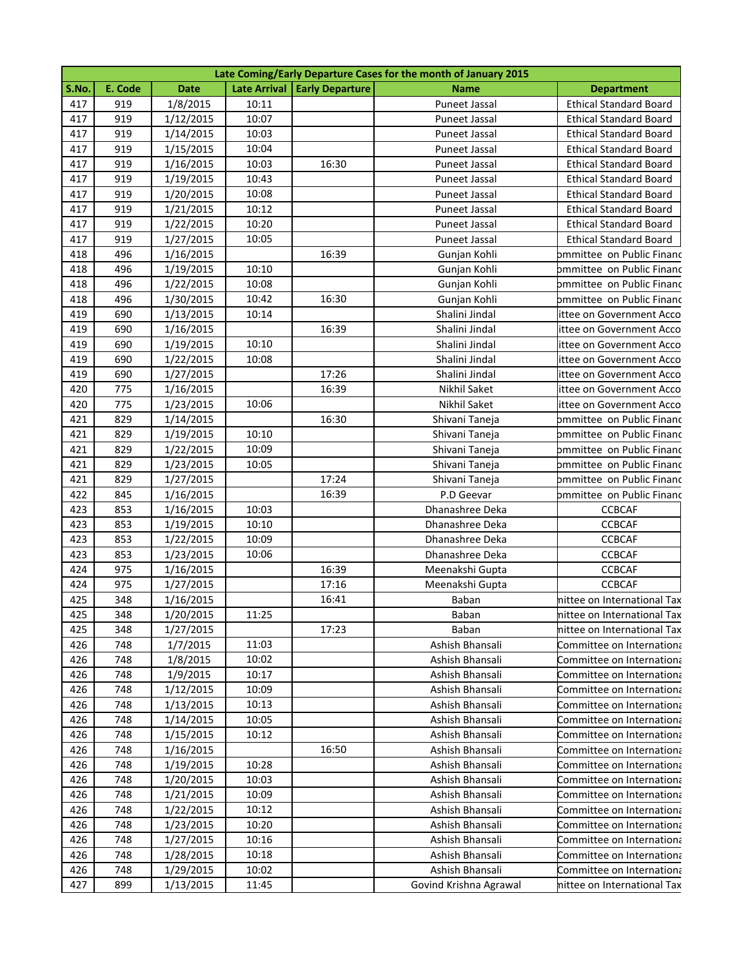| Late Coming/Early Departure Cases for the month of January 2015 |         |             |       |                                |                        |                               |
|-----------------------------------------------------------------|---------|-------------|-------|--------------------------------|------------------------|-------------------------------|
| S.No.                                                           | E. Code | <b>Date</b> |       | Late Arrival   Early Departure | <b>Name</b>            | <b>Department</b>             |
| 417                                                             | 919     | 1/8/2015    | 10:11 |                                | Puneet Jassal          | <b>Ethical Standard Board</b> |
| 417                                                             | 919     | 1/12/2015   | 10:07 |                                | Puneet Jassal          | <b>Ethical Standard Board</b> |
| 417                                                             | 919     | 1/14/2015   | 10:03 |                                | Puneet Jassal          | <b>Ethical Standard Board</b> |
| 417                                                             | 919     | 1/15/2015   | 10:04 |                                | Puneet Jassal          | <b>Ethical Standard Board</b> |
| 417                                                             | 919     | 1/16/2015   | 10:03 | 16:30                          | Puneet Jassal          | <b>Ethical Standard Board</b> |
| 417                                                             | 919     | 1/19/2015   | 10:43 |                                | Puneet Jassal          | <b>Ethical Standard Board</b> |
| 417                                                             | 919     | 1/20/2015   | 10:08 |                                | Puneet Jassal          | <b>Ethical Standard Board</b> |
| 417                                                             | 919     | 1/21/2015   | 10:12 |                                | Puneet Jassal          | <b>Ethical Standard Board</b> |
| 417                                                             | 919     | 1/22/2015   | 10:20 |                                | Puneet Jassal          | <b>Ethical Standard Board</b> |
| 417                                                             | 919     | 1/27/2015   | 10:05 |                                | Puneet Jassal          | <b>Ethical Standard Board</b> |
| 418                                                             | 496     | 1/16/2015   |       | 16:39                          | Gunjan Kohli           | ommittee on Public Financ     |
| 418                                                             | 496     | 1/19/2015   | 10:10 |                                | Gunjan Kohli           | ommittee on Public Financ     |
| 418                                                             | 496     | 1/22/2015   | 10:08 |                                | Gunjan Kohli           | bmmittee on Public Financ     |
| 418                                                             | 496     | 1/30/2015   | 10:42 | 16:30                          | Gunjan Kohli           | bmmittee on Public Financ     |
| 419                                                             | 690     | 1/13/2015   | 10:14 |                                | Shalini Jindal         | ittee on Government Acco      |
| 419                                                             | 690     | 1/16/2015   |       | 16:39                          | Shalini Jindal         | ittee on Government Acco      |
| 419                                                             | 690     | 1/19/2015   | 10:10 |                                | Shalini Jindal         | ittee on Government Acco      |
| 419                                                             | 690     | 1/22/2015   | 10:08 |                                | Shalini Jindal         | ittee on Government Acco      |
| 419                                                             | 690     | 1/27/2015   |       | 17:26                          | Shalini Jindal         | ittee on Government Acco      |
| 420                                                             | 775     | 1/16/2015   |       | 16:39                          | Nikhil Saket           | ittee on Government Acco      |
| 420                                                             | 775     | 1/23/2015   | 10:06 |                                | Nikhil Saket           | ittee on Government Acco      |
| 421                                                             | 829     | 1/14/2015   |       | 16:30                          | Shivani Taneja         | bmmittee on Public Financ     |
| 421                                                             | 829     | 1/19/2015   | 10:10 |                                | Shivani Taneja         | ommittee on Public Financ     |
| 421                                                             | 829     | 1/22/2015   | 10:09 |                                | Shivani Taneja         | ommittee on Public Financ     |
| 421                                                             | 829     | 1/23/2015   | 10:05 |                                | Shivani Taneja         | ommittee on Public Financ     |
| 421                                                             | 829     | 1/27/2015   |       | 17:24                          | Shivani Taneja         | ommittee on Public Financ     |
| 422                                                             | 845     | 1/16/2015   |       | 16:39                          | P.D Geevar             | ommittee on Public Financ     |
| 423                                                             | 853     | 1/16/2015   | 10:03 |                                | Dhanashree Deka        | <b>CCBCAF</b>                 |
| 423                                                             | 853     | 1/19/2015   | 10:10 |                                | Dhanashree Deka        | <b>CCBCAF</b>                 |
| 423                                                             | 853     | 1/22/2015   | 10:09 |                                | Dhanashree Deka        | <b>CCBCAF</b>                 |
| 423                                                             | 853     | 1/23/2015   | 10:06 |                                | Dhanashree Deka        | <b>CCBCAF</b>                 |
| 424                                                             | 975     | 1/16/2015   |       | 16:39                          | Meenakshi Gupta        | <b>CCBCAF</b>                 |
| 424                                                             | 975     | 1/27/2015   |       | 17:16                          | Meenakshi Gupta        | <b>CCBCAF</b>                 |
| 425                                                             | 348     | 1/16/2015   |       | 16:41                          | Baban                  | nittee on International Tax   |
| 425                                                             | 348     | 1/20/2015   | 11:25 |                                | Baban                  | nittee on International Tax   |
| 425                                                             | 348     | 1/27/2015   |       | 17:23                          | Baban                  | nittee on International Tax   |
| 426                                                             | 748     | 1/7/2015    | 11:03 |                                | Ashish Bhansali        | Committee on Internationa     |
| 426                                                             | 748     | 1/8/2015    | 10:02 |                                | Ashish Bhansali        | Committee on Internationa     |
| 426                                                             | 748     | 1/9/2015    | 10:17 |                                | Ashish Bhansali        | Committee on Internationa     |
| 426                                                             | 748     | 1/12/2015   | 10:09 |                                | Ashish Bhansali        | Committee on Internationa     |
| 426                                                             | 748     | 1/13/2015   | 10:13 |                                | Ashish Bhansali        | Committee on Internationa     |
| 426                                                             | 748     | 1/14/2015   | 10:05 |                                | Ashish Bhansali        | Committee on Internationa     |
| 426                                                             | 748     | 1/15/2015   | 10:12 |                                | Ashish Bhansali        | Committee on Internationa     |
| 426                                                             | 748     | 1/16/2015   |       | 16:50                          | Ashish Bhansali        | Committee on Internationa     |
| 426                                                             | 748     | 1/19/2015   | 10:28 |                                | Ashish Bhansali        | Committee on Internationa     |
| 426                                                             | 748     | 1/20/2015   | 10:03 |                                | Ashish Bhansali        | Committee on Internationa     |
| 426                                                             | 748     | 1/21/2015   | 10:09 |                                | Ashish Bhansali        | Committee on Internationa     |
| 426                                                             | 748     | 1/22/2015   | 10:12 |                                | Ashish Bhansali        | Committee on Internationa     |
| 426                                                             | 748     | 1/23/2015   | 10:20 |                                | Ashish Bhansali        | Committee on Internationa     |
| 426                                                             | 748     | 1/27/2015   | 10:16 |                                | Ashish Bhansali        | Committee on Internationa     |
| 426                                                             | 748     | 1/28/2015   | 10:18 |                                | Ashish Bhansali        | Committee on Internationa     |
| 426                                                             | 748     | 1/29/2015   | 10:02 |                                | Ashish Bhansali        | Committee on Internationa     |
| 427                                                             | 899     | 1/13/2015   | 11:45 |                                | Govind Krishna Agrawal | nittee on International Tax   |